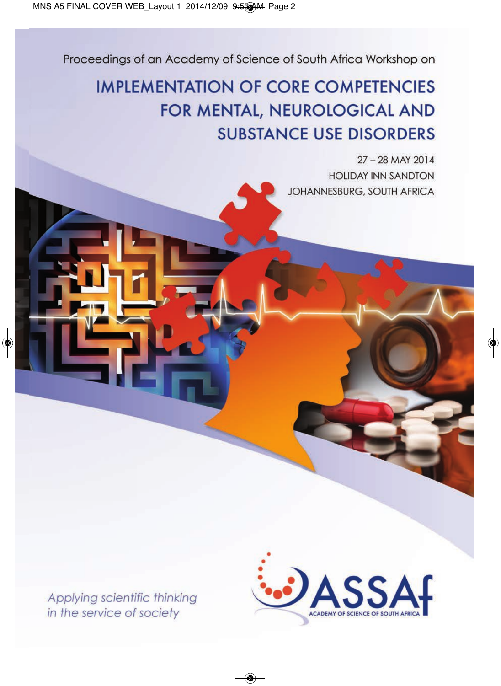Proceedings of an Academy of Science of South Africa Workshop on

## **IMPLEMENTATION OF CORE COMPETENCIES** FOR MENTAL, NEUROLOGICAL AND **SUBSTANCE USE DISORDERS**

27 - 28 MAY 2014 **HOLIDAY INN SANDTON** JOHANNESBURG, SOUTH AFRICA

Applying scientific thinking in the service of society

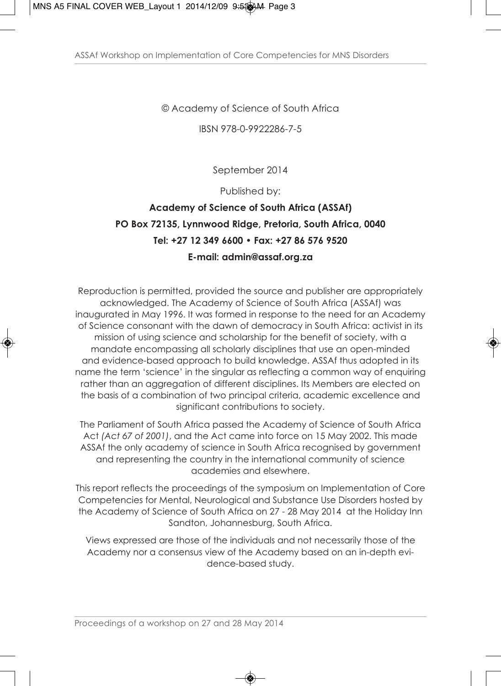© Academy of Science of South Africa

IBSN 978-0-9922286-7-5

September 2014

Published by:

### **Academy of Science of South Africa (ASSAf) PO Box 72135, Lynnwood Ridge, Pretoria, South Africa, 0040 Tel: +27 12 349 6600 • Fax: +27 86 576 9520 E-mail: admin@assaf.org.za**

Reproduction is permitted, provided the source and publisher are appropriately acknowledged. The Academy of Science of South Africa (ASSAf) was inaugurated in May 1996. It was formed in response to the need for an Academy of Science consonant with the dawn of democracy in South Africa: activist in its mission of using science and scholarship for the benefit of society, with a mandate encompassing all scholarly disciplines that use an open-minded and evidence-based approach to build knowledge. ASSAf thus adopted in its name the term 'science' in the singular as reflecting a common way of enquiring rather than an aggregation of different disciplines. Its Members are elected on the basis of a combination of two principal criteria, academic excellence and significant contributions to society.

The Parliament of South Africa passed the Academy of Science of South Africa Act *(Act 67 of 2001)*, and the Act came into force on 15 May 2002. This made ASSAf the only academy of science in South Africa recognised by government and representing the country in the international community of science academies and elsewhere.

This report reflects the proceedings of the symposium on Implementation of Core Competencies for Mental, Neurological and Substance Use Disorders hosted by the Academy of Science of South Africa on 27 - 28 May 2014 at the Holiday Inn Sandton, Johannesburg, South Africa.

Views expressed are those of the individuals and not necessarily those of the Academy nor a consensus view of the Academy based on an in-depth evidence-based study.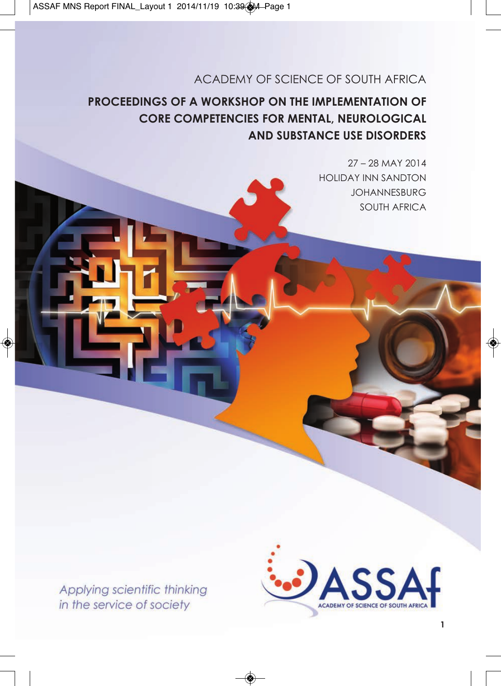### ACADEMY OF SCIENCE OF SOUTH AFRICA

## **PROCEEDINGS OF A WORKSHOP ON THE IMPLEMENTATION OF CORE COMPETENCIES FOR MENTAL, NEUROLOGICAL AND SUBSTANCE USE DISORDERS**

27 – 28 MAY 2014 HOLIDAY INN SANDTON JOHANNESBURG SOUTH AFRICA

Applying scientific thinking in the service of society

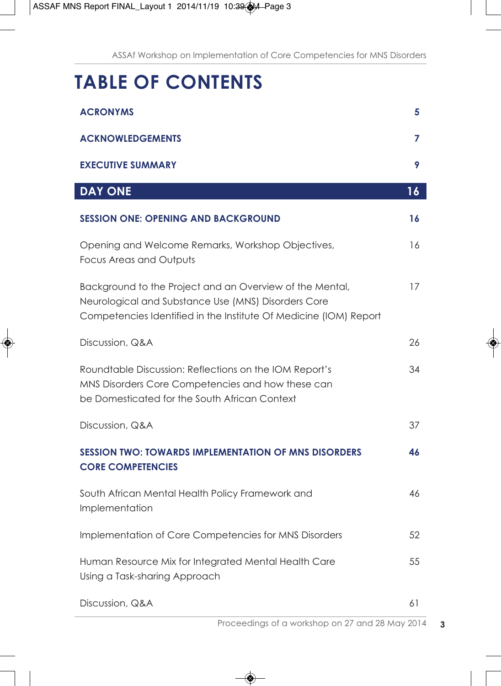# **TABLE OF CONTENTS**

| <b>ACRONYMS</b>                                                                                                                                                                      | 5  |
|--------------------------------------------------------------------------------------------------------------------------------------------------------------------------------------|----|
| <b>ACKNOWLEDGEMENTS</b>                                                                                                                                                              | 7  |
| <b>EXECUTIVE SUMMARY</b>                                                                                                                                                             | 9  |
| <b>DAY ONE</b>                                                                                                                                                                       | 16 |
| <b>SESSION ONE: OPENING AND BACKGROUND</b>                                                                                                                                           | 16 |
| Opening and Welcome Remarks, Workshop Objectives,<br><b>Focus Areas and Outputs</b>                                                                                                  | 16 |
| Background to the Project and an Overview of the Mental,<br>Neurological and Substance Use (MNS) Disorders Core<br>Competencies Identified in the Institute Of Medicine (IOM) Report | 17 |
| Discussion, Q&A                                                                                                                                                                      | 26 |
| Roundtable Discussion: Reflections on the IOM Report's<br>MNS Disorders Core Competencies and how these can<br>be Domesticated for the South African Context                         | 34 |
| Discussion, Q&A                                                                                                                                                                      | 37 |
| <b>SESSION TWO: TOWARDS IMPLEMENTATION OF MNS DISORDERS</b><br><b>CORE COMPETENCIES</b>                                                                                              | 46 |
| South African Mental Health Policy Framework and<br>Implementation                                                                                                                   | 46 |
| Implementation of Core Competencies for MNS Disorders                                                                                                                                | 52 |
| Human Resource Mix for Integrated Mental Health Care<br>Using a Task-sharing Approach                                                                                                | 55 |
| Discussion, Q&A                                                                                                                                                                      | 61 |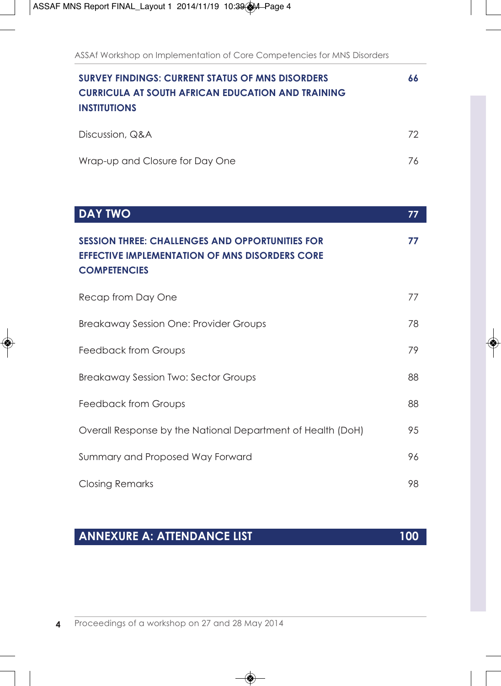| <b>SURVEY FINDINGS: CURRENT STATUS OF MNS DISORDERS</b><br><b>CURRICULA AT SOUTH AFRICAN EDUCATION AND TRAINING</b><br><b>INSTITUTIONS</b> | 66 |
|--------------------------------------------------------------------------------------------------------------------------------------------|----|
| Discussion, Q&A                                                                                                                            | 72 |
| Wrap-up and Closure for Day One                                                                                                            | 76 |

| <b>DAY TWO</b>                                                                                                                         | 77 |
|----------------------------------------------------------------------------------------------------------------------------------------|----|
| <b>SESSION THREE: CHALLENGES AND OPPORTUNITIES FOR</b><br><b>EFFECTIVE IMPLEMENTATION OF MNS DISORDERS CORE</b><br><b>COMPETENCIES</b> | 77 |
| Recap from Day One                                                                                                                     | 77 |
| Breakaway Session One: Provider Groups                                                                                                 | 78 |
| Feedback from Groups                                                                                                                   | 79 |
| <b>Breakaway Session Two: Sector Groups</b>                                                                                            | 88 |
| <b>Feedback from Groups</b>                                                                                                            | 88 |
| Overall Response by the National Department of Health (DoH)                                                                            | 95 |
| Summary and Proposed Way Forward                                                                                                       | 96 |
| <b>Closing Remarks</b>                                                                                                                 | 98 |

## **ANNEXURE A: ATTENDANCE LIST 100**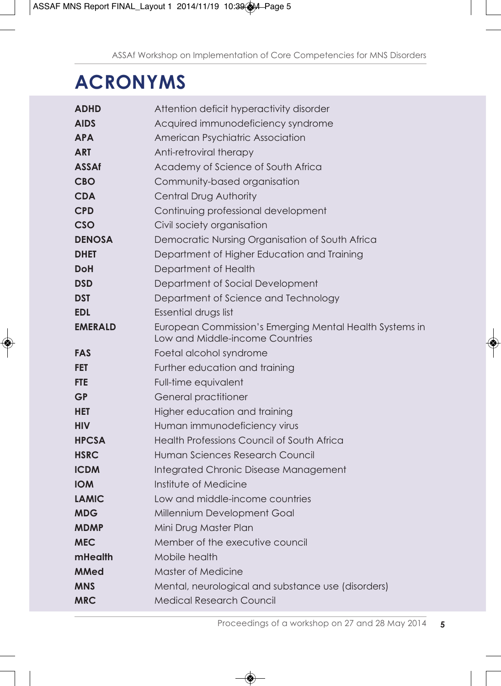# **ACRONYMS**

| <b>ADHD</b>    | Attention deficit hyperactivity disorder                |
|----------------|---------------------------------------------------------|
| <b>AIDS</b>    | Acquired immunodeficiency syndrome                      |
| <b>APA</b>     | American Psychiatric Association                        |
| <b>ART</b>     | Anti-retroviral therapy                                 |
| <b>ASSAf</b>   | Academy of Science of South Africa                      |
| <b>CBO</b>     | Community-based organisation                            |
| <b>CDA</b>     | Central Drug Authority                                  |
| <b>CPD</b>     | Continuing professional development                     |
| CSO            | Civil society organisation                              |
| <b>DENOSA</b>  | Democratic Nursing Organisation of South Africa         |
| <b>DHET</b>    | Department of Higher Education and Training             |
| DoH            | Department of Health                                    |
| <b>DSD</b>     | Department of Social Development                        |
| DST            | Department of Science and Technology                    |
| <b>EDL</b>     | Essential drugs list                                    |
| <b>EMERALD</b> | European Commission's Emerging Mental Health Systems in |
|                | Low and Middle-income Countries                         |
| <b>FAS</b>     | Foetal alcohol syndrome                                 |
| <b>FET</b>     | Further education and training                          |
| <b>FTE</b>     | Full-time equivalent                                    |
| <b>GP</b>      | General practitioner                                    |
| <b>HET</b>     | Higher education and training                           |
| <b>HIV</b>     | Human immunodeficiency virus                            |
| <b>HPCSA</b>   | Health Professions Council of South Africa              |
| <b>HSRC</b>    | Human Sciences Research Council                         |
| <b>ICDM</b>    | Integrated Chronic Disease Management                   |
| <b>IOM</b>     | Institute of Medicine                                   |
| <b>LAMIC</b>   | Low and middle-income countries                         |
| <b>MDG</b>     | Millennium Development Goal                             |
| <b>MDMP</b>    | Mini Drug Master Plan                                   |
| <b>MEC</b>     | Member of the executive council                         |
| mHealth        | Mobile health                                           |
| <b>MMed</b>    | Master of Medicine                                      |
| <b>MNS</b>     | Mental, neurological and substance use (disorders)      |
| <b>MRC</b>     | Medical Research Council                                |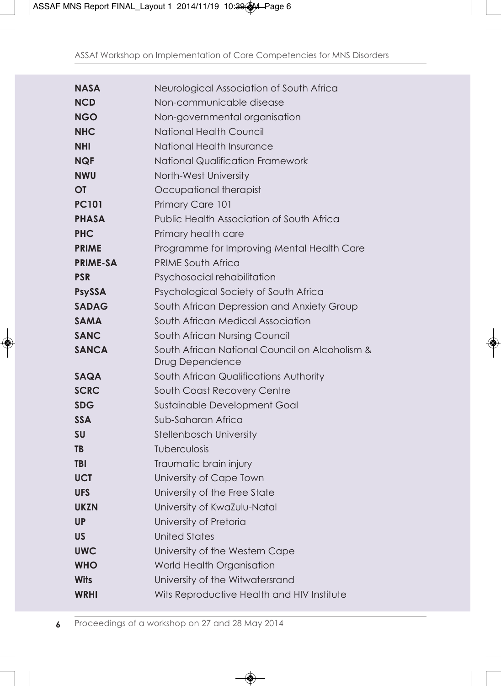| <b>NASA</b>     | Neurological Association of South Africa                          |
|-----------------|-------------------------------------------------------------------|
| <b>NCD</b>      | Non-communicable disease                                          |
| <b>NGO</b>      | Non-governmental organisation                                     |
| <b>NHC</b>      | National Health Council                                           |
| <b>NHI</b>      | National Health Insurance                                         |
| <b>NQF</b>      | <b>National Qualification Framework</b>                           |
| <b>NWU</b>      | North-West University                                             |
| OT              | Occupational therapist                                            |
| <b>PC101</b>    | Primary Care 101                                                  |
| <b>PHASA</b>    | Public Health Association of South Africa                         |
| <b>PHC</b>      | Primary health care                                               |
| <b>PRIME</b>    | Programme for Improving Mental Health Care                        |
| <b>PRIME-SA</b> | <b>PRIME South Africa</b>                                         |
| <b>PSR</b>      | Psychosocial rehabilitation                                       |
| <b>PsySSA</b>   | Psychological Society of South Africa                             |
| <b>SADAG</b>    | South African Depression and Anxiety Group                        |
| <b>SAMA</b>     | South African Medical Association                                 |
| <b>SANC</b>     | South African Nursina Council                                     |
| <b>SANCA</b>    | South African National Council on Alcoholism &<br>Drug Dependence |
| <b>SAQA</b>     | South African Qualifications Authority                            |
| <b>SCRC</b>     | South Coast Recovery Centre                                       |
| <b>SDG</b>      | Sustainable Development Goal                                      |
| <b>SSA</b>      | Sub-Saharan Africa                                                |
| <b>SU</b>       | Stellenbosch University                                           |
| TB              | <b>Tuberculosis</b>                                               |
| TBI             | Traumatic brain injury                                            |
| <b>UCT</b>      | University of Cape Town                                           |
| <b>UFS</b>      | University of the Free State                                      |
| <b>UKZN</b>     | University of KwaZulu-Natal                                       |
| <b>UP</b>       | University of Pretoria                                            |
| <b>US</b>       | <b>United States</b>                                              |
| <b>UWC</b>      | University of the Western Cape                                    |
| <b>WHO</b>      | World Health Organisation                                         |
| <b>Wits</b>     | University of the Witwatersrand                                   |
| <b>WRHI</b>     | Wits Reproductive Health and HIV Institute                        |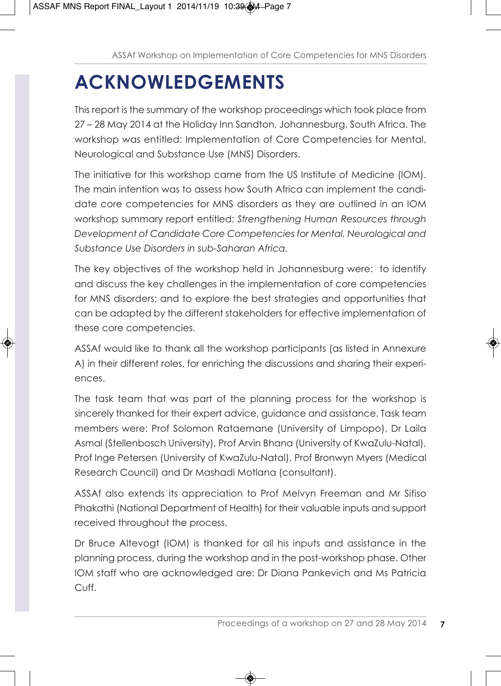# **ACKNOWLEDGEMENTS**

This report is the summary of the workshop proceedings which took place from 27 – 28 May 2014 at the Holiday Inn Sandton, Johannesburg, South Africa. The workshop was entitled: Implementation of Core Competencies for Mental, Neurological and Substance Use (MNS) Disorders.

The initiative for this workshop came from the US Institute of Medicine (IOM). The main intention was to assess how South Africa can implement the candidate core competencies for MNS disorders as they are outlined in an IOM workshop summary report entitled: *Strengthening Human Resources through Development of Candidate Core Competencies for Mental, Neurological and Substance Use Disorders in sub-Saharan Africa.* 

The key objectives of the workshop held in Johannesburg were: to identify and discuss the key challenges in the implementation of core competencies for MNS disorders; and to explore the best strategies and opportunities that can be adapted by the different stakeholders for effective implementation of these core competencies.

ASSAf would like to thank all the workshop participants (as listed in Annexure A) in their different roles, for enriching the discussions and sharing their experiences.

The task team that was part of the planning process for the workshop is sincerely thanked for their expert advice, guidance and assistance. Task team members were: Prof Solomon Rataemane (University of Limpopo), Dr Laila Asmal (Stellenbosch University), Prof Arvin Bhana (University of KwaZulu-Natal), Prof Inge Petersen (University of KwaZulu-Natal), Prof Bronwyn Myers (Medical Research Council) and Dr Mashadi Motlana (consultant).

ASSAf also extends its appreciation to Prof Melvyn Freeman and Mr Sifiso Phakathi (National Department of Health) for their valuable inputs and support received throughout the process.

Dr Bruce Altevogt (IOM) is thanked for all his inputs and assistance in the planning process, during the workshop and in the post-workshop phase. Other IOM staff who are acknowledged are: Dr Diana Pankevich and Ms Patricia Cuff.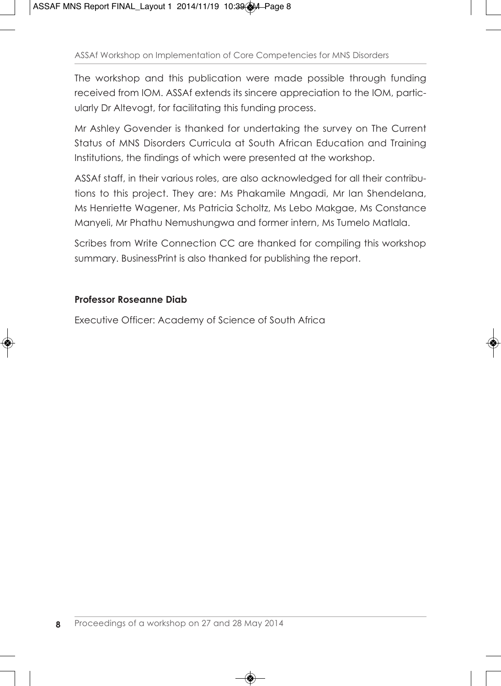The workshop and this publication were made possible through funding received from IOM. ASSAf extends its sincere appreciation to the IOM, particularly Dr Altevogt, for facilitating this funding process.

Mr Ashley Govender is thanked for undertaking the survey on The Current Status of MNS Disorders Curricula at South African Education and Training Institutions, the findings of which were presented at the workshop.

ASSAf staff, in their various roles, are also acknowledged for all their contributions to this project. They are: Ms Phakamile Mngadi, Mr Ian Shendelana, Ms Henriette Wagener, Ms Patricia Scholtz, Ms Lebo Makgae, Ms Constance Manyeli, Mr Phathu Nemushungwa and former intern, Ms Tumelo Matlala.

Scribes from Write Connection CC are thanked for compiling this workshop summary. BusinessPrint is also thanked for publishing the report.

### **Professor Roseanne Diab**

Executive Officer: Academy of Science of South Africa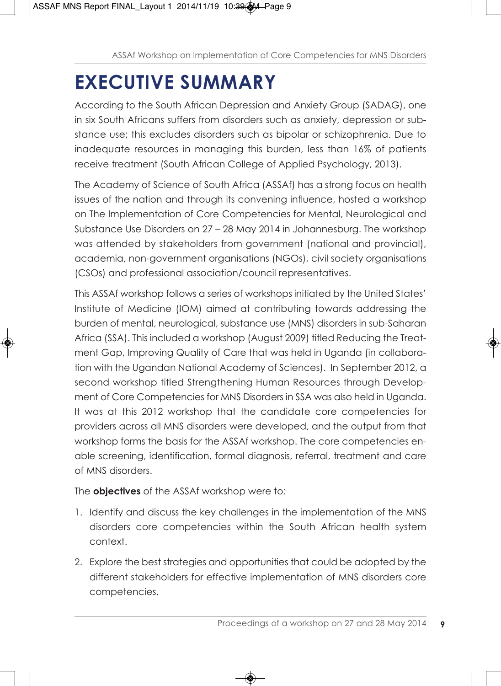# **EXECUTIVE SUMMARY**

According to the South African Depression and Anxiety Group (SADAG), one in six South Africans suffers from disorders such as anxiety, depression or substance use; this excludes disorders such as bipolar or schizophrenia. Due to inadequate resources in managing this burden, less than 16% of patients receive treatment (South African College of Applied Psychology, 2013).

The Academy of Science of South Africa (ASSAf) has a strong focus on health issues of the nation and through its convening influence, hosted a workshop on The Implementation of Core Competencies for Mental, Neurological and Substance Use Disorders on 27 – 28 May 2014 in Johannesburg. The workshop was attended by stakeholders from government (national and provincial), academia, non-government organisations (NGOs), civil society organisations (CSOs) and professional association/council representatives.

This ASSAf workshop follows a series of workshops initiated by the United States' Institute of Medicine (IOM) aimed at contributing towards addressing the burden of mental, neurological, substance use (MNS) disorders in sub-Saharan Africa (SSA). This included a workshop (August 2009) titled Reducing the Treatment Gap, Improving Quality of Care that was held in Uganda (in collaboration with the Ugandan National Academy of Sciences). In September 2012, a second workshop titled Strengthening Human Resources through Development of Core Competencies for MNS Disorders in SSA was also held in Uganda. It was at this 2012 workshop that the candidate core competencies for providers across all MNS disorders were developed, and the output from that workshop forms the basis for the ASSAf workshop. The core competencies enable screening, identification, formal diagnosis, referral, treatment and care of MNS disorders.

The **objectives** of the ASSAf workshop were to:

- 1. Identify and discuss the key challenges in the implementation of the MNS disorders core competencies within the South African health system context.
- 2. Explore the best strategies and opportunities that could be adopted by the different stakeholders for effective implementation of MNS disorders core competencies.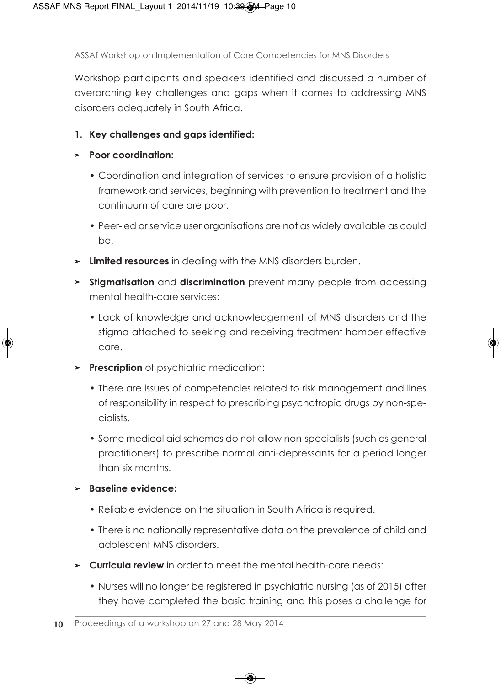Workshop participants and speakers identified and discussed a number of overarching key challenges and gaps when it comes to addressing MNS disorders adequately in South Africa.

### **1. Key challenges and gaps identified:**

#### **➢ Poor coordination:**

- Coordination and integration of services to ensure provision of a holistic framework and services, beginning with prevention to treatment and the continuum of care are poor.
- Peer-led or service user organisations are not as widely available as could be.
- **➢ Limited resources** in dealing with the MNS disorders burden.
- **➢ Stigmatisation** and **discrimination** prevent many people from accessing mental health-care services:
	- Lack of knowledge and acknowledgement of MNS disorders and the stigma attached to seeking and receiving treatment hamper effective care.
- **➢ Prescription** of psychiatric medication:
	- There are issues of competencies related to risk management and lines of responsibility in respect to prescribing psychotropic drugs by non-specialists.
	- Some medical aid schemes do not allow non-specialists (such as general practitioners) to prescribe normal anti-depressants for a period longer than six months.

### **➢ Baseline evidence:**

- Reliable evidence on the situation in South Africa is required.
- There is no nationally representative data on the prevalence of child and adolescent MNS disorders.
- **➢ Curricula review** in order to meet the mental health-care needs:
	- Nurses will no longer be registered in psychiatric nursing (as of 2015) after they have completed the basic training and this poses a challenge for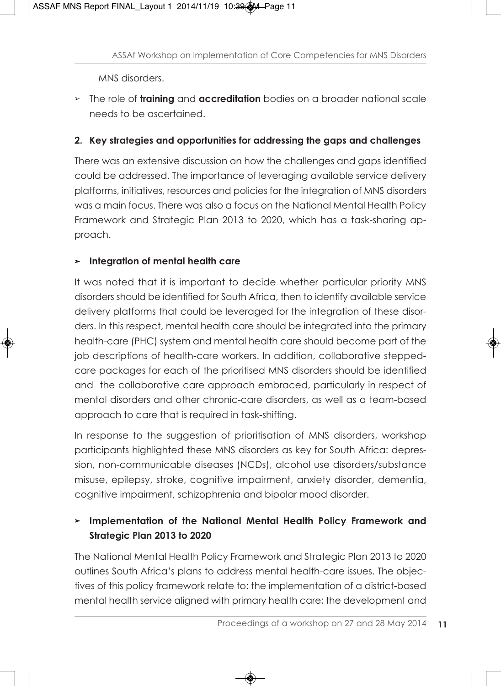MNS disorders.

**➢** The role of **training** and **accreditation** bodies on a broader national scale needs to be ascertained.

### **2. Key strategies and opportunities for addressing the gaps and challenges**

There was an extensive discussion on how the challenges and gaps identified could be addressed. The importance of leveraging available service delivery platforms, initiatives, resources and policies for the integration of MNS disorders was a main focus. There was also a focus on the National Mental Health Policy Framework and Strategic Plan 2013 to 2020, which has a task-sharing approach.

### **➢ Integration of mental health care**

It was noted that it is important to decide whether particular priority MNS disorders should be identified for South Africa, then to identify available service delivery platforms that could be leveraged for the integration of these disorders. In this respect, mental health care should be integrated into the primary health-care (PHC) system and mental health care should become part of the job descriptions of health-care workers. In addition, collaborative steppedcare packages for each of the prioritised MNS disorders should be identified and the collaborative care approach embraced, particularly in respect of mental disorders and other chronic-care disorders, as well as a team-based approach to care that is required in task-shifting.

In response to the suggestion of prioritisation of MNS disorders, workshop participants highlighted these MNS disorders as key for South Africa: depression, non-communicable diseases (NCDs), alcohol use disorders/substance misuse, epilepsy, stroke, cognitive impairment, anxiety disorder, dementia, cognitive impairment, schizophrenia and bipolar mood disorder.

### **➢ Implementation of the National Mental Health Policy Framework and Strategic Plan 2013 to 2020**

The National Mental Health Policy Framework and Strategic Plan 2013 to 2020 outlines South Africa's plans to address mental health-care issues. The objectives of this policy framework relate to: the implementation of a district-based mental health service aligned with primary health care; the development and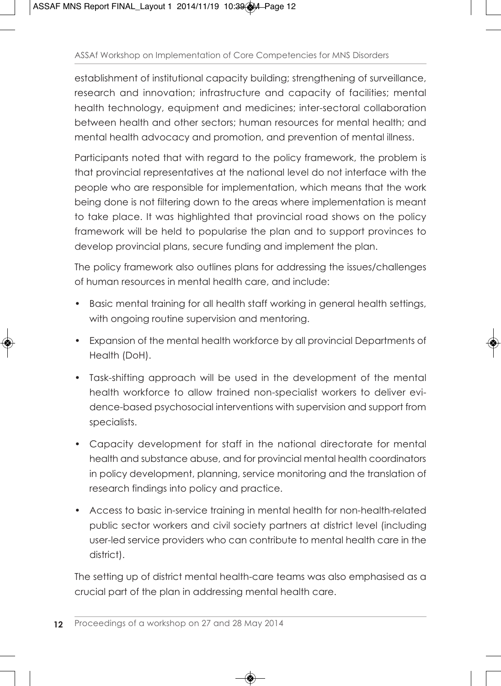establishment of institutional capacity building; strengthening of surveillance, research and innovation; infrastructure and capacity of facilities; mental health technology, equipment and medicines; inter-sectoral collaboration between health and other sectors; human resources for mental health; and mental health advocacy and promotion, and prevention of mental illness.

Participants noted that with regard to the policy framework, the problem is that provincial representatives at the national level do not interface with the people who are responsible for implementation, which means that the work being done is not filtering down to the areas where implementation is meant to take place. It was highlighted that provincial road shows on the policy framework will be held to popularise the plan and to support provinces to develop provincial plans, secure funding and implement the plan.

The policy framework also outlines plans for addressing the issues/challenges of human resources in mental health care, and include:

- Basic mental training for all health staff working in general health settings, with ongoing routine supervision and mentoring.
- Expansion of the mental health workforce by all provincial Departments of Health (DoH).
- Task-shifting approach will be used in the development of the mental health workforce to allow trained non-specialist workers to deliver evidence-based psychosocial interventions with supervision and support from specialists.
- Capacity development for staff in the national directorate for mental health and substance abuse, and for provincial mental health coordinators in policy development, planning, service monitoring and the translation of research findings into policy and practice.
- Access to basic in-service training in mental health for non-health-related public sector workers and civil society partners at district level (including user-led service providers who can contribute to mental health care in the district).

The setting up of district mental health-care teams was also emphasised as a crucial part of the plan in addressing mental health care.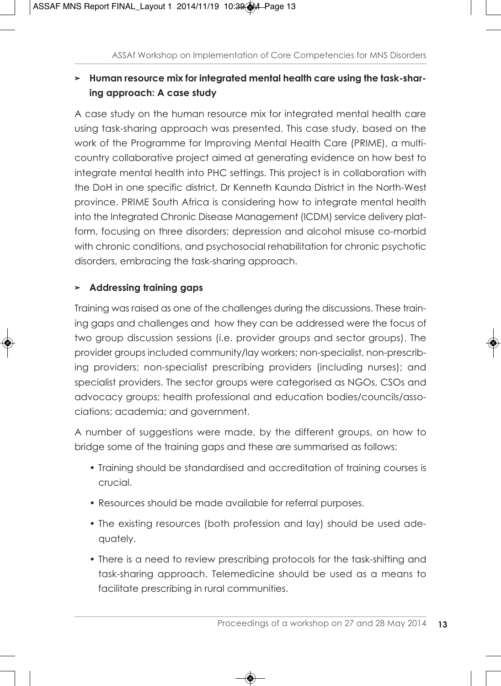### **➢ Human resource mix for integrated mental health care using the task-sharing approach: A case study**

A case study on the human resource mix for integrated mental health care using task-sharing approach was presented. This case study, based on the work of the Programme for Improving Mental Health Care (PRIME), a multicountry collaborative project aimed at generating evidence on how best to integrate mental health into PHC settings. This project is in collaboration with the DoH in one specific district, Dr Kenneth Kaunda District in the North-West province. PRIME South Africa is considering how to integrate mental health into the Integrated Chronic Disease Management (ICDM) service delivery platform, focusing on three disorders: depression and alcohol misuse co-morbid with chronic conditions, and psychosocial rehabilitation for chronic psychotic disorders, embracing the task-sharing approach.

### **➢ Addressing training gaps**

Training was raised as one of the challenges during the discussions. These training gaps and challenges and how they can be addressed were the focus of two group discussion sessions (i.e. provider groups and sector groups). The provider groups included community/lay workers; non-specialist, non-prescribing providers; non-specialist prescribing providers (including nurses); and specialist providers. The sector groups were categorised as NGOs, CSOs and advocacy groups; health professional and education bodies/councils/associations; academia; and government.

A number of suggestions were made, by the different groups, on how to bridge some of the training gaps and these are summarised as follows:

- Training should be standardised and accreditation of training courses is crucial.
- Resources should be made available for referral purposes.
- The existing resources (both profession and lay) should be used adequately.
- There is a need to review prescribing protocols for the task-shifting and task-sharing approach. Telemedicine should be used as a means to facilitate prescribing in rural communities.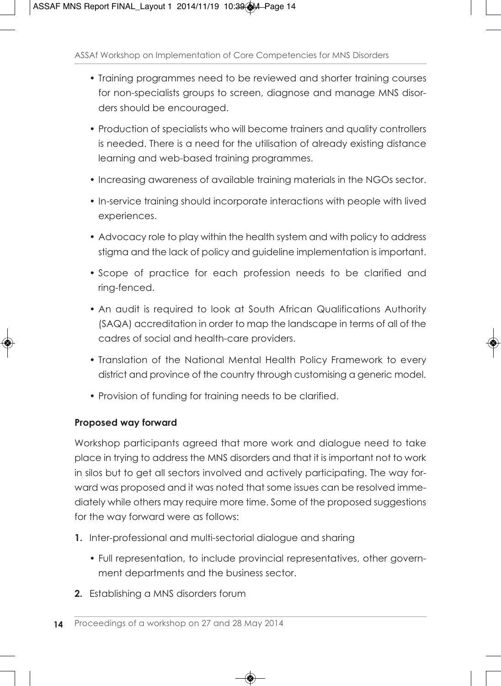- Training programmes need to be reviewed and shorter training courses for non-specialists groups to screen, diagnose and manage MNS disorders should be encouraged.
- Production of specialists who will become trainers and quality controllers is needed. There is a need for the utilisation of already existing distance learning and web-based training programmes.
- Increasing awareness of available training materials in the NGOs sector.
- In-service training should incorporate interactions with people with lived experiences.
- Advocacy role to play within the health system and with policy to address stigma and the lack of policy and guideline implementation is important.
- Scope of practice for each profession needs to be clarified and ring-fenced.
- An audit is required to look at South African Qualifications Authority (SAQA) accreditation in order to map the landscape in terms of all of the cadres of social and health-care providers.
- Translation of the National Mental Health Policy Framework to every district and province of the country through customising a generic model.
- Provision of funding for training needs to be clarified.

### **Proposed way forward**

Workshop participants agreed that more work and dialogue need to take place in trying to address the MNS disorders and that it is important not to work in silos but to get all sectors involved and actively participating. The way forward was proposed and it was noted that some issues can be resolved immediately while others may require more time. Some of the proposed suggestions for the way forward were as follows:

- **1.** Inter-professional and multi-sectorial dialogue and sharing
	- Full representation, to include provincial representatives, other government departments and the business sector.
- **2.** Establishing a MNS disorders forum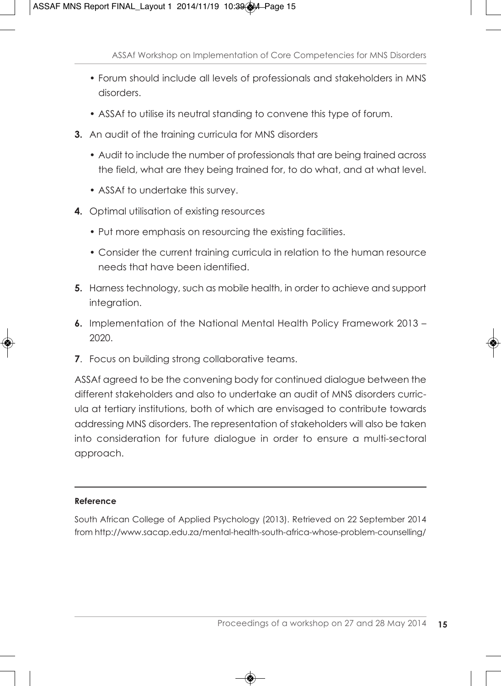- Forum should include all levels of professionals and stakeholders in MNS disorders.
- ASSAf to utilise its neutral standing to convene this type of forum.
- **3.** An audit of the training curricula for MNS disorders
	- Audit to include the number of professionals that are being trained across the field, what are they being trained for, to do what, and at what level.
	- ASSAf to undertake this survey.
- **4.** Optimal utilisation of existing resources
	- Put more emphasis on resourcing the existing facilities.
	- Consider the current training curricula in relation to the human resource needs that have been identified.
- **5.** Harness technology, such as mobile health, in order to achieve and support integration.
- **6.** Implementation of the National Mental Health Policy Framework 2013 2020.
- **7.** Focus on building strong collaborative teams.

ASSAf agreed to be the convening body for continued dialogue between the different stakeholders and also to undertake an audit of MNS disorders curricula at tertiary institutions, both of which are envisaged to contribute towards addressing MNS disorders. The representation of stakeholders will also be taken into consideration for future dialogue in order to ensure a multi-sectoral approach.

### **Reference**

South African College of Applied Psychology (2013). Retrieved on 22 September 2014 from http://www.sacap.edu.za/mental-health-south-africa-whose-problem-counselling/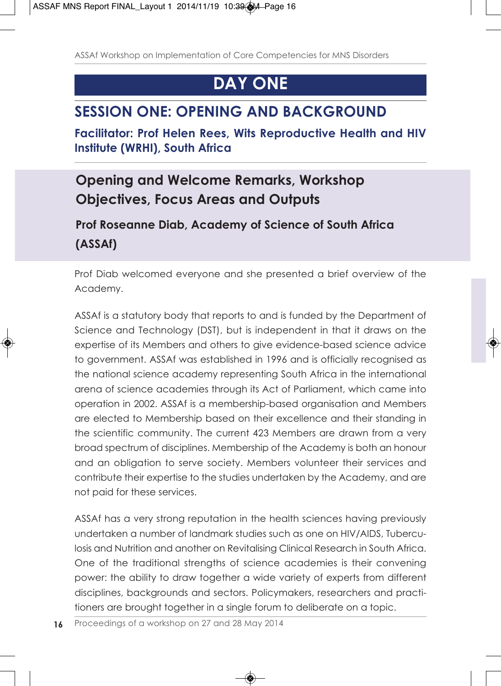## **DAY ONE**

## **SESSION ONE: OPENING AND BACKGROUND**

**Facilitator: Prof Helen Rees, Wits Reproductive Health and HIV Institute (WRHI), South Africa**

## **Opening and Welcome Remarks, Workshop Objectives, Focus Areas and Outputs**

### **Prof Roseanne Diab, Academy of Science of South Africa (ASSAf)**

Prof Diab welcomed everyone and she presented a brief overview of the Academy.

ASSAf is a statutory body that reports to and is funded by the Department of Science and Technology (DST), but is independent in that it draws on the expertise of its Members and others to give evidence-based science advice to government. ASSAf was established in 1996 and is officially recognised as the national science academy representing South Africa in the international arena of science academies through its Act of Parliament, which came into operation in 2002. ASSAf is a membership-based organisation and Members are elected to Membership based on their excellence and their standing in the scientific community. The current 423 Members are drawn from a very broad spectrum of disciplines. Membership of the Academy is both an honour and an obligation to serve society. Members volunteer their services and contribute their expertise to the studies undertaken by the Academy, and are not paid for these services.

ASSAf has a very strong reputation in the health sciences having previously undertaken a number of landmark studies such as one on HIV/AIDS, Tuberculosis and Nutrition and another on Revitalising Clinical Research in South Africa. One of the traditional strengths of science academies is their convening power: the ability to draw together a wide variety of experts from different disciplines, backgrounds and sectors. Policymakers, researchers and practitioners are brought together in a single forum to deliberate on a topic.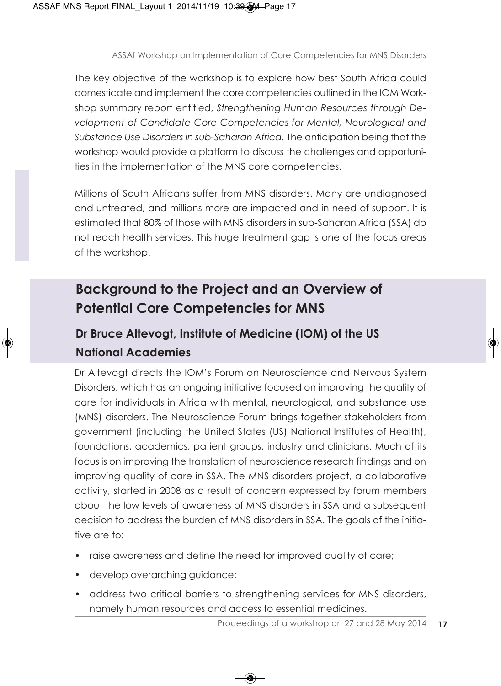The key objective of the workshop is to explore how best South Africa could domesticate and implement the core competencies outlined in the IOM Workshop summary report entitled, *Strengthening Human Resources through Development of Candidate Core Competencies for Mental, Neurological and Substance Use Disorders in sub-Saharan Africa.* The anticipation being that the workshop would provide a platform to discuss the challenges and opportunities in the implementation of the MNS core competencies.

Millions of South Africans suffer from MNS disorders. Many are undiagnosed and untreated, and millions more are impacted and in need of support. It is estimated that 80% of those with MNS disorders in sub-Saharan Africa (SSA) do not reach health services. This huge treatment gap is one of the focus areas of the workshop.

## **Background to the Project and an Overview of Potential Core Competencies for MNS**

## **Dr Bruce Altevogt, Institute of Medicine (IOM) of the US National Academies**

Dr Altevogt directs the IOM's Forum on Neuroscience and Nervous System Disorders, which has an ongoing initiative focused on improving the quality of care for individuals in Africa with mental, neurological, and substance use (MNS) disorders. The Neuroscience Forum brings together stakeholders from government (including the United States (US) National Institutes of Health), foundations, academics, patient groups, industry and clinicians. Much of its focus is on improving the translation of neuroscience research findings and on improving quality of care in SSA. The MNS disorders project, a collaborative activity, started in 2008 as a result of concern expressed by forum members about the low levels of awareness of MNS disorders in SSA and a subsequent decision to address the burden of MNS disorders in SSA. The goals of the initiative are to:

- raise awareness and define the need for improved quality of care;
- develop overarching guidance;
- address two critical barriers to strengthening services for MNS disorders, namely human resources and access to essential medicines.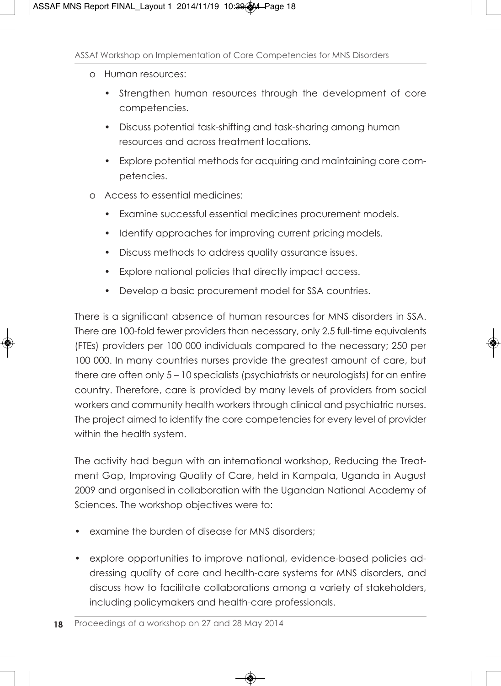- o Human resources:
	- Strengthen human resources through the development of core competencies.
	- Discuss potential task-shifting and task-sharing among human resources and across treatment locations.
	- Explore potential methods for acquiring and maintaining core competencies.
- o Access to essential medicines:
	- Examine successful essential medicines procurement models.
	- Identify approaches for improving current pricing models.
	- Discuss methods to address quality assurance issues.
	- Explore national policies that directly impact access.
	- Develop a basic procurement model for SSA countries.

There is a significant absence of human resources for MNS disorders in SSA. There are 100-fold fewer providers than necessary, only 2.5 full-time equivalents (FTEs) providers per 100 000 individuals compared to the necessary; 250 per 100 000. In many countries nurses provide the greatest amount of care, but there are often only 5 – 10 specialists (psychiatrists or neurologists) for an entire country. Therefore, care is provided by many levels of providers from social workers and community health workers through clinical and psychiatric nurses. The project aimed to identify the core competencies for every level of provider within the health system.

The activity had begun with an international workshop, Reducing the Treatment Gap, Improving Quality of Care, held in Kampala, Uganda in August 2009 and organised in collaboration with the Ugandan National Academy of Sciences. The workshop objectives were to:

- examine the burden of disease for MNS disorders:
- explore opportunities to improve national, evidence-based policies addressing quality of care and health-care systems for MNS disorders, and discuss how to facilitate collaborations among a variety of stakeholders, including policymakers and health-care professionals.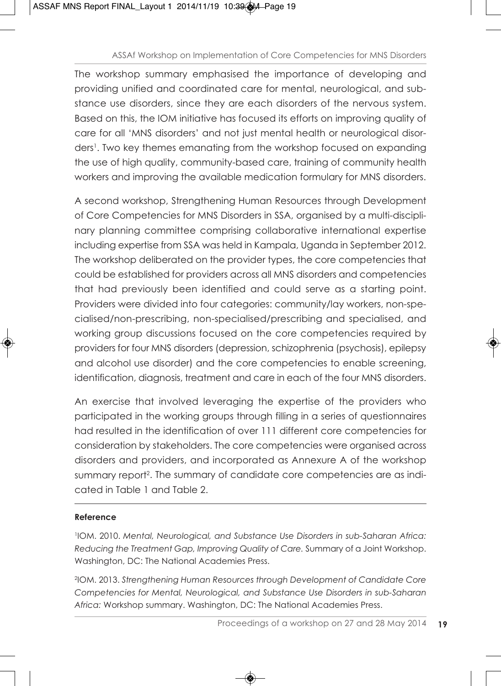The workshop summary emphasised the importance of developing and providing unified and coordinated care for mental, neurological, and substance use disorders, since they are each disorders of the nervous system. Based on this, the IOM initiative has focused its efforts on improving quality of care for all 'MNS disorders' and not just mental health or neurological disorders<sup>1</sup>. Two key themes emanating from the workshop focused on expanding the use of high quality, community-based care, training of community health workers and improving the available medication formulary for MNS disorders.

A second workshop, Strengthening Human Resources through Development of Core Competencies for MNS Disorders in SSA, organised by a multi-disciplinary planning committee comprising collaborative international expertise including expertise from SSA was held in Kampala, Uganda in September 2012. The workshop deliberated on the provider types, the core competencies that could be established for providers across all MNS disorders and competencies that had previously been identified and could serve as a starting point. Providers were divided into four categories: community/lay workers, non-specialised/non-prescribing, non-specialised/prescribing and specialised, and working group discussions focused on the core competencies required by providers for four MNS disorders (depression, schizophrenia (psychosis), epilepsy and alcohol use disorder) and the core competencies to enable screening, identification, diagnosis, treatment and care in each of the four MNS disorders.

An exercise that involved leveraging the expertise of the providers who participated in the working groups through filling in a series of questionnaires had resulted in the identification of over 111 different core competencies for consideration by stakeholders. The core competencies were organised across disorders and providers, and incorporated as Annexure A of the workshop summary report<sup>2</sup>. The summary of candidate core competencies are as indicated in Table 1 and Table 2.

### **Reference**

1IOM. 2010. *Mental, Neurological, and Substance Use Disorders in sub-Saharan Africa: Reducing the Treatment Gap, Improving Quality of Care.* Summary of a Joint Workshop. Washington, DC: The National Academies Press.

2IOM. 2013. *Strengthening Human Resources through Development of Candidate Core Competencies for Mental, Neurological, and Substance Use Disorders in sub-Saharan Africa:* Workshop summary. Washington, DC: The National Academies Press.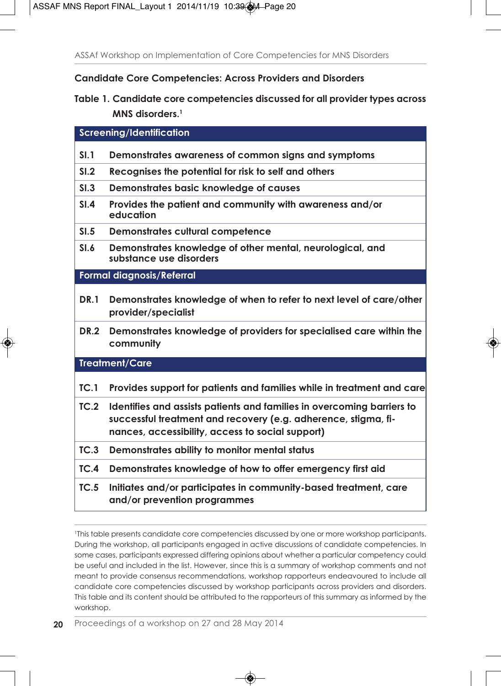**Candidate Core Competencies: Across Providers and Disorders**

**Table 1. Candidate core competencies discussed for all provider types across MNS disorders.1**

**Screening/Identification**

- **SI.1 Demonstrates awareness of common signs and symptoms**
- **SI.2 Recognises the potential for risk to self and others**
- **SI.3 Demonstrates basic knowledge of causes**
- **SI.4 Provides the patient and community with awareness and/or education**
- **SI.5 Demonstrates cultural competence**
- **SI.6 Demonstrates knowledge of other mental, neurological, and substance use disorders**

**Formal diagnosis/Referral**

- **DR.1 Demonstrates knowledge of when to refer to next level of care/other provider/specialist**
- **DR.2 Demonstrates knowledge of providers for specialised care within the community**

**Treatment/Care**

- **TC.1 Provides support for patients and families while in treatment and care**
- **TC.2 Identifies and assists patients and families in overcoming barriers to successful treatment and recovery (e.g. adherence, stigma, finances, accessibility, access to social support)**
- **TC.3 Demonstrates ability to monitor mental status**
- **TC.4 Demonstrates knowledge of how to offer emergency first aid**
- **TC.5 Initiates and/or participates in community-based treatment, care and/or prevention programmes**

1This table presents candidate core competencies discussed by one or more workshop participants. During the workshop, all participants engaged in active discussions of candidate competencies. In some cases, participants expressed differing opinions about whether a particular competency could be useful and included in the list. However, since this is a summary of workshop comments and not meant to provide consensus recommendations, workshop rapporteurs endeavoured to include all candidate core competencies discussed by workshop participants across providers and disorders. This table and its content should be attributed to the rapporteurs of this summary as informed by the workshop.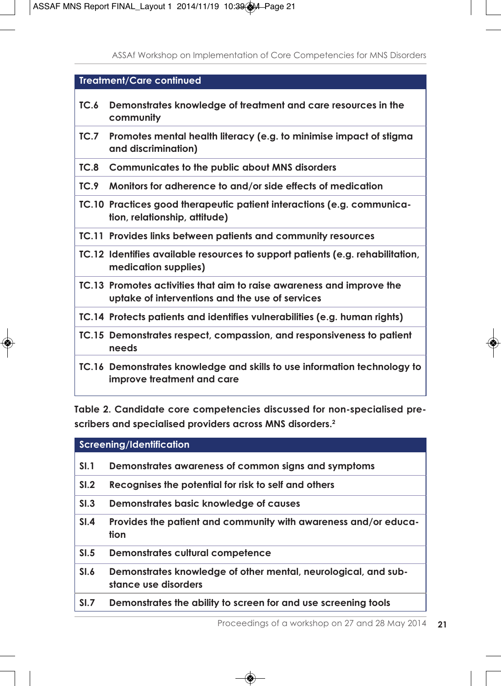### **Treatment/Care continued**

- **TC.6 Demonstrates knowledge of treatment and care resources in the community**
- **TC.7 Promotes mental health literacy (e.g. to minimise impact of stigma and discrimination)**
- **TC.8 Communicates to the public about MNS disorders**
- **TC.9 Monitors for adherence to and/or side effects of medication**
- **TC.10 Practices good therapeutic patient interactions (e.g. communication, relationship, attitude)**
- **TC.11 Provides links between patients and community resources**
- **TC.12 Identifies available resources to support patients (e.g. rehabilitation, medication supplies)**
- **TC.13 Promotes activities that aim to raise awareness and improve the uptake of interventions and the use of services**
- **TC.14 Protects patients and identifies vulnerabilities (e.g. human rights)**
- **TC.15 Demonstrates respect, compassion, and responsiveness to patient needs**
- **TC.16 Demonstrates knowledge and skills to use information technology to improve treatment and care**

**Table 2. Candidate core competencies discussed for non-specialised prescribers and specialised providers across MNS disorders.2**

**Screening/Identification**

- **SI.1 Demonstrates awareness of common signs and symptoms**
- **SI.2 Recognises the potential for risk to self and others**
- **SI.3 Demonstrates basic knowledge of causes**
- **SI.4 Provides the patient and community with awareness and/or education**
- **SI.5 Demonstrates cultural competence**
- **SI.6 Demonstrates knowledge of other mental, neurological, and substance use disorders**
- **SI.7 Demonstrates the ability to screen for and use screening tools**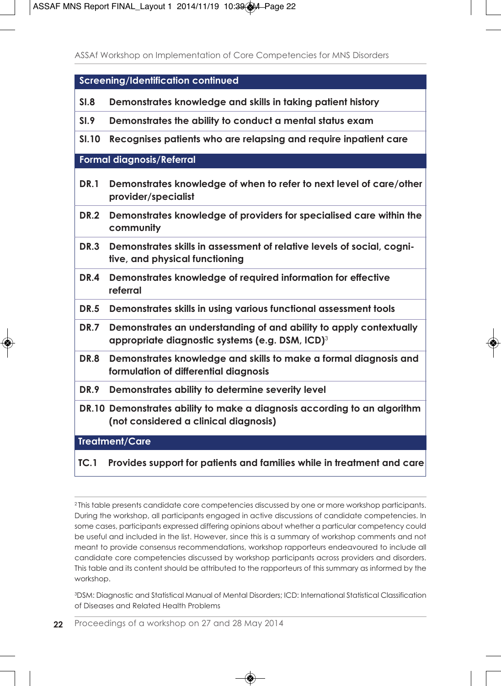|              | Screening/Identification continued                                                                                                |  |
|--------------|-----------------------------------------------------------------------------------------------------------------------------------|--|
| SI.8         | Demonstrates knowledge and skills in taking patient history                                                                       |  |
| SI.9         | Demonstrates the ability to conduct a mental status exam                                                                          |  |
| <b>SI.10</b> | Recognises patients who are relapsing and require inpatient care                                                                  |  |
|              | <b>Formal diagnosis/Referral</b>                                                                                                  |  |
| <b>DR.1</b>  | Demonstrates knowledge of when to refer to next level of care/other<br>provider/specialist                                        |  |
| <b>DR.2</b>  | Demonstrates knowledge of providers for specialised care within the<br>community                                                  |  |
| <b>DR.3</b>  | Demonstrates skills in assessment of relative levels of social, cogni-<br>tive, and physical functioning                          |  |
| DR.4         | Demonstrates knowledge of required information for effective<br>referral                                                          |  |
| <b>DR.5</b>  | Demonstrates skills in using various functional assessment tools                                                                  |  |
| <b>DR.7</b>  | Demonstrates an understanding of and ability to apply contextually<br>appropriate diagnostic systems (e.g. DSM, ICD) <sup>3</sup> |  |
| DR.8         | Demonstrates knowledge and skills to make a formal diagnosis and<br>formulation of differential diagnosis                         |  |
| <b>DR.9</b>  | Demonstrates ability to determine severity level                                                                                  |  |
|              | DR.10 Demonstrates ability to make a diagnosis according to an algorithm<br>(not considered a clinical diagnosis)                 |  |
|              | <b>Treatment/Care</b>                                                                                                             |  |
| TC.1         | Provides support for patients and families while in treatment and care                                                            |  |

3 DSM: Diagnostic and Statistical Manual of Mental Disorders; ICD: International Statistical Classification of Diseases and Related Health Problems

<sup>2</sup> This table presents candidate core competencies discussed by one or more workshop participants. During the workshop, all participants engaged in active discussions of candidate competencies. In some cases, participants expressed differing opinions about whether a particular competency could be useful and included in the list. However, since this is a summary of workshop comments and not meant to provide consensus recommendations, workshop rapporteurs endeavoured to include all candidate core competencies discussed by workshop participants across providers and disorders. This table and its content should be attributed to the rapporteurs of this summary as informed by the workshop.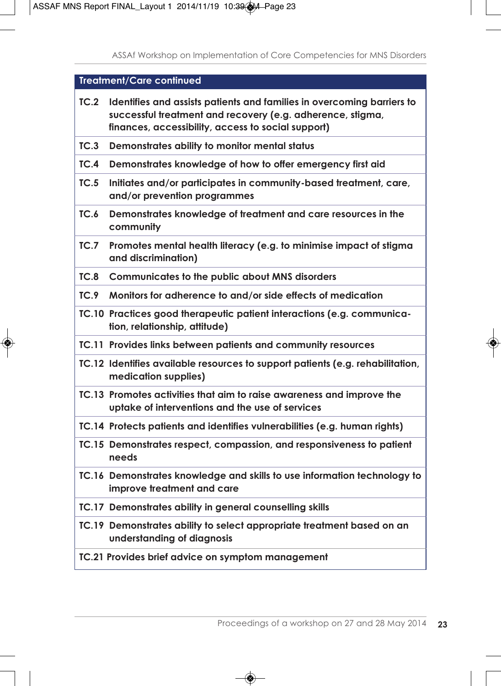|      | <b>Treatment/Care continued</b>                                                                                                                                                            |
|------|--------------------------------------------------------------------------------------------------------------------------------------------------------------------------------------------|
| TC.2 | Identifies and assists patients and families in overcoming barriers to<br>successful treatment and recovery (e.g. adherence, stigma,<br>finances, accessibility, access to social support) |
| TC.3 | Demonstrates ability to monitor mental status                                                                                                                                              |
| TC.4 | Demonstrates knowledge of how to offer emergency first aid                                                                                                                                 |
| TC.5 | Initiates and/or participates in community-based treatment, care,<br>and/or prevention programmes                                                                                          |
| TC.6 | Demonstrates knowledge of treatment and care resources in the<br>community                                                                                                                 |
| TC.7 | Promotes mental health literacy (e.g. to minimise impact of stigma<br>and discrimination)                                                                                                  |
| TC.8 | Communicates to the public about MNS disorders                                                                                                                                             |
| TC.9 | Monitors for adherence to and/or side effects of medication                                                                                                                                |
|      | TC.10 Practices good therapeutic patient interactions (e.g. communica-<br>tion, relationship, attitude)                                                                                    |
|      | TC.11 Provides links between patients and community resources                                                                                                                              |
|      | TC.12 Identifies available resources to support patients (e.g. rehabilitation,<br>medication supplies)                                                                                     |
|      | TC.13 Promotes activities that aim to raise awareness and improve the<br>uptake of interventions and the use of services                                                                   |
|      | TC.14 Protects patients and identifies vulnerabilities (e.g. human rights)                                                                                                                 |
|      | TC.15 Demonstrates respect, compassion, and responsiveness to patient<br>needs                                                                                                             |
|      | TC.16 Demonstrates knowledge and skills to use information technology to<br>improve treatment and care                                                                                     |
|      | TC.17 Demonstrates ability in general counselling skills                                                                                                                                   |
|      | TC.19 Demonstrates ability to select appropriate treatment based on an<br>understanding of diagnosis                                                                                       |
|      | TC.21 Provides brief advice on symptom management                                                                                                                                          |
|      |                                                                                                                                                                                            |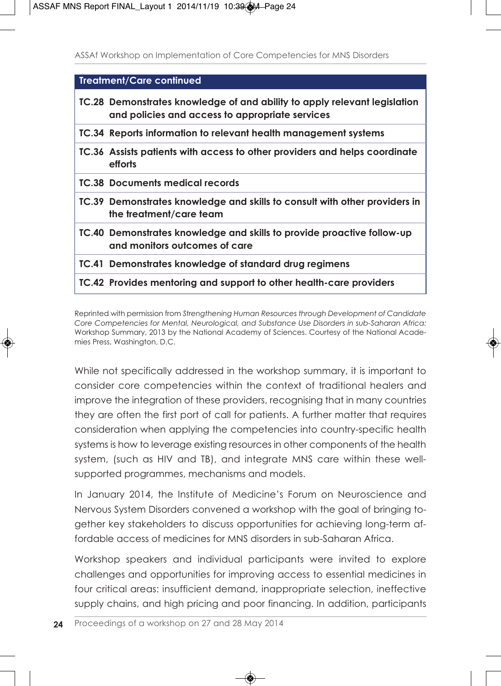| Treatment/Care continued                                                                                                     |
|------------------------------------------------------------------------------------------------------------------------------|
| TC.28 Demonstrates knowledge of and ability to apply relevant legislation<br>and policies and access to appropriate services |
| TC.34 Reports information to relevant health management systems                                                              |
| TC.36 Assists patients with access to other providers and helps coordinate<br>efforts                                        |
| <b>TC.38 Documents medical records</b>                                                                                       |
| TC.39 Demonstrates knowledge and skills to consult with other providers in<br>the treatment/care team                        |
| TC.40 Demonstrates knowledge and skills to provide proactive follow-up<br>and monitors outcomes of care                      |
| TC.41 Demonstrates knowledge of standard drug regimens                                                                       |
| TC.42 Provides mentoring and support to other health-care providers                                                          |

Reprinted with permission from *Strengthening Human Resources through Development of Candidate Core Competencies for Mental, Neurological, and Substance Use Disorders in sub-Saharan Africa:* Workshop Summary, 2013 by the National Academy of Sciences. Courtesy of the National Academies Press, Washington, D.C.

While not specifically addressed in the workshop summary, it is important to consider core competencies within the context of traditional healers and improve the integration of these providers, recognising that in many countries they are often the first port of call for patients. A further matter that requires consideration when applying the competencies into country-specific health systems is how to leverage existing resources in other components of the health system, (such as HIV and TB), and integrate MNS care within these wellsupported programmes, mechanisms and models.

In January 2014, the Institute of Medicine's Forum on Neuroscience and Nervous System Disorders convened a workshop with the goal of bringing together key stakeholders to discuss opportunities for achieving long-term affordable access of medicines for MNS disorders in sub-Saharan Africa.

Workshop speakers and individual participants were invited to explore challenges and opportunities for improving access to essential medicines in four critical areas: insufficient demand, inappropriate selection, ineffective supply chains, and high pricing and poor financing. In addition, participants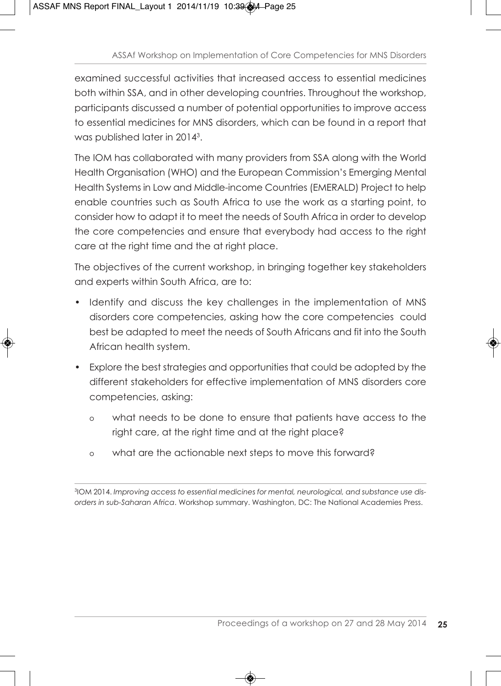examined successful activities that increased access to essential medicines both within SSA, and in other developing countries. Throughout the workshop, participants discussed a number of potential opportunities to improve access to essential medicines for MNS disorders, which can be found in a report that was published later in 20143.

The IOM has collaborated with many providers from SSA along with the World Health Organisation (WHO) and the European Commission's Emerging Mental Health Systems in Low and Middle-income Countries (EMERALD) Project to help enable countries such as South Africa to use the work as a starting point, to consider how to adapt it to meet the needs of South Africa in order to develop the core competencies and ensure that everybody had access to the right care at the right time and the at right place.

The objectives of the current workshop, in bringing together key stakeholders and experts within South Africa, are to:

- Identify and discuss the key challenges in the implementation of MNS disorders core competencies, asking how the core competencies could best be adapted to meet the needs of South Africans and fit into the South African health system.
- Explore the best strategies and opportunities that could be adopted by the different stakeholders for effective implementation of MNS disorders core competencies, asking:
	- o what needs to be done to ensure that patients have access to the right care, at the right time and at the right place?
	- o what are the actionable next steps to move this forward?

3IOM 2014. *Improving access to essential medicines for mental, neurological, and substance use disorders in sub-Saharan Africa*. Workshop summary. Washington, DC: The National Academies Press.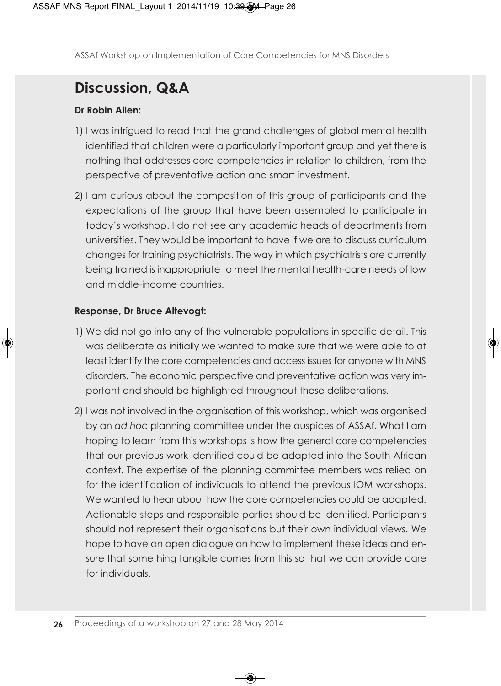## **Discussion, Q&A**

### **Dr Robin Allen:**

- 1) I was intrigued to read that the grand challenges of global mental health identified that children were a particularly important group and yet there is nothing that addresses core competencies in relation to children, from the perspective of preventative action and smart investment.
- 2) I am curious about the composition of this group of participants and the expectations of the group that have been assembled to participate in today's workshop. I do not see any academic heads of departments from universities. They would be important to have if we are to discuss curriculum changes for training psychiatrists. The way in which psychiatrists are currently being trained is inappropriate to meet the mental health-care needs of low and middle-income countries.

### **Response, Dr Bruce Altevogt:**

- 1) We did not go into any of the vulnerable populations in specific detail. This was deliberate as initially we wanted to make sure that we were able to at least identify the core competencies and access issues for anyone with MNS disorders. The economic perspective and preventative action was very important and should be highlighted throughout these deliberations.
- 2) I was not involved in the organisation of this workshop, which was organised by an *ad hoc* planning committee under the auspices of ASSAf. What I am hoping to learn from this workshops is how the general core competencies that our previous work identified could be adapted into the South African context. The expertise of the planning committee members was relied on for the identification of individuals to attend the previous IOM workshops. We wanted to hear about how the core competencies could be adapted. Actionable steps and responsible parties should be identified. Participants should not represent their organisations but their own individual views. We hope to have an open dialogue on how to implement these ideas and ensure that something tangible comes from this so that we can provide care for individuals.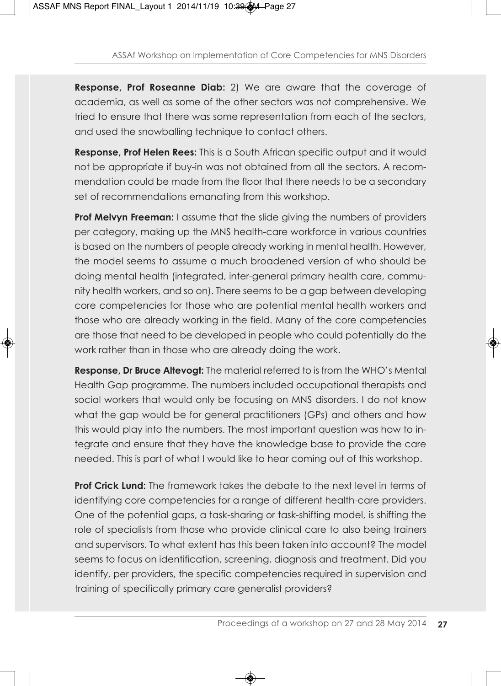**Response, Prof Roseanne Diab:** 2) We are aware that the coverage of academia, as well as some of the other sectors was not comprehensive. We tried to ensure that there was some representation from each of the sectors, and used the snowballing technique to contact others.

**Response, Prof Helen Rees:** This is a South African specific output and it would not be appropriate if buy-in was not obtained from all the sectors. A recommendation could be made from the floor that there needs to be a secondary set of recommendations emanating from this workshop.

**Prof Melvyn Freeman:** I assume that the slide giving the numbers of providers per category, making up the MNS health-care workforce in various countries is based on the numbers of people already working in mental health. However, the model seems to assume a much broadened version of who should be doing mental health (integrated, inter-general primary health care, community health workers, and so on). There seems to be a gap between developing core competencies for those who are potential mental health workers and those who are already working in the field. Many of the core competencies are those that need to be developed in people who could potentially do the work rather than in those who are already doing the work.

**Response, Dr Bruce Altevogt:** The material referred to is from the WHO's Mental Health Gap programme. The numbers included occupational therapists and social workers that would only be focusing on MNS disorders. I do not know what the gap would be for general practitioners (GPs) and others and how this would play into the numbers. The most important question was how to integrate and ensure that they have the knowledge base to provide the care needed. This is part of what I would like to hear coming out of this workshop.

**Prof Crick Lund:** The framework takes the debate to the next level in terms of identifying core competencies for a range of different health-care providers. One of the potential gaps, a task-sharing or task-shifting model, is shifting the role of specialists from those who provide clinical care to also being trainers and supervisors. To what extent has this been taken into account? The model seems to focus on identification, screening, diagnosis and treatment. Did you identify, per providers, the specific competencies required in supervision and training of specifically primary care generalist providers?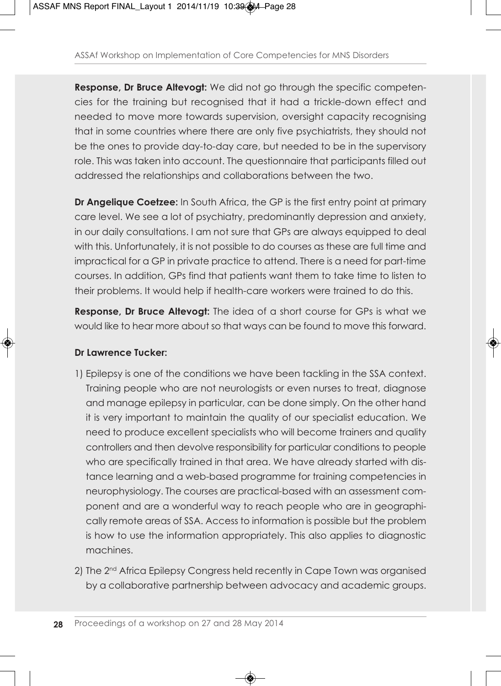**Response, Dr Bruce Altevogt:** We did not go through the specific competencies for the training but recognised that it had a trickle-down effect and needed to move more towards supervision, oversight capacity recognising that in some countries where there are only five psychiatrists, they should not be the ones to provide day-to-day care, but needed to be in the supervisory role. This was taken into account. The questionnaire that participants filled out addressed the relationships and collaborations between the two.

**Dr Angelique Coetzee:** In South Africa, the GP is the first entry point at primary care level. We see a lot of psychiatry, predominantly depression and anxiety, in our daily consultations. I am not sure that GPs are always equipped to deal with this. Unfortunately, it is not possible to do courses as these are full time and impractical for a GP in private practice to attend. There is a need for part-time courses. In addition, GPs find that patients want them to take time to listen to their problems. It would help if health-care workers were trained to do this.

**Response, Dr Bruce Altevogt:** The idea of a short course for GPs is what we would like to hear more about so that ways can be found to move this forward.

### **Dr Lawrence Tucker:**

- 1) Epilepsy is one of the conditions we have been tackling in the SSA context. Training people who are not neurologists or even nurses to treat, diagnose and manage epilepsy in particular, can be done simply. On the other hand it is very important to maintain the quality of our specialist education. We need to produce excellent specialists who will become trainers and quality controllers and then devolve responsibility for particular conditions to people who are specifically trained in that area. We have already started with distance learning and a web-based programme for training competencies in neurophysiology. The courses are practical-based with an assessment component and are a wonderful way to reach people who are in geographically remote areas of SSA. Access to information is possible but the problem is how to use the information appropriately. This also applies to diagnostic machines.
- 2) The 2<sup>nd</sup> Africa Epilepsy Congress held recently in Cape Town was organised by a collaborative partnership between advocacy and academic groups.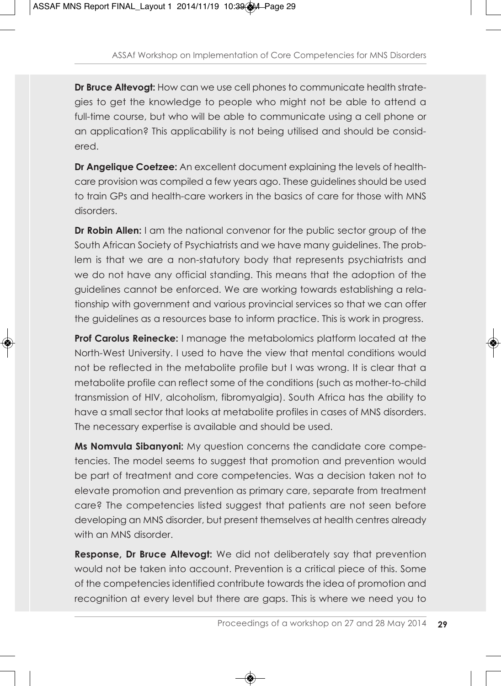**Dr Bruce Altevogt:** How can we use cell phones to communicate health strategies to get the knowledge to people who might not be able to attend a full-time course, but who will be able to communicate using a cell phone or an application? This applicability is not being utilised and should be considered.

**Dr Angelique Coetzee:** An excellent document explaining the levels of healthcare provision was compiled a few years ago. These guidelines should be used to train GPs and health-care workers in the basics of care for those with MNS disorders.

**Dr Robin Allen:** I am the national convenor for the public sector group of the South African Society of Psychiatrists and we have many guidelines. The problem is that we are a non-statutory body that represents psychiatrists and we do not have any official standing. This means that the adoption of the guidelines cannot be enforced. We are working towards establishing a relationship with government and various provincial services so that we can offer the guidelines as a resources base to inform practice. This is work in progress.

**Prof Carolus Reinecke:** I manage the metabolomics platform located at the North-West University. I used to have the view that mental conditions would not be reflected in the metabolite profile but I was wrong. It is clear that a metabolite profile can reflect some of the conditions (such as mother-to-child transmission of HIV, alcoholism, fibromyalgia). South Africa has the ability to have a small sector that looks at metabolite profiles in cases of MNS disorders. The necessary expertise is available and should be used.

**Ms Nomvula Sibanyoni:** My question concerns the candidate core competencies. The model seems to suggest that promotion and prevention would be part of treatment and core competencies. Was a decision taken not to elevate promotion and prevention as primary care, separate from treatment care? The competencies listed suggest that patients are not seen before developing an MNS disorder, but present themselves at health centres already with an MNS disorder.

**Response, Dr Bruce Altevogt:** We did not deliberately say that prevention would not be taken into account. Prevention is a critical piece of this. Some of the competencies identified contribute towards the idea of promotion and recognition at every level but there are gaps. This is where we need you to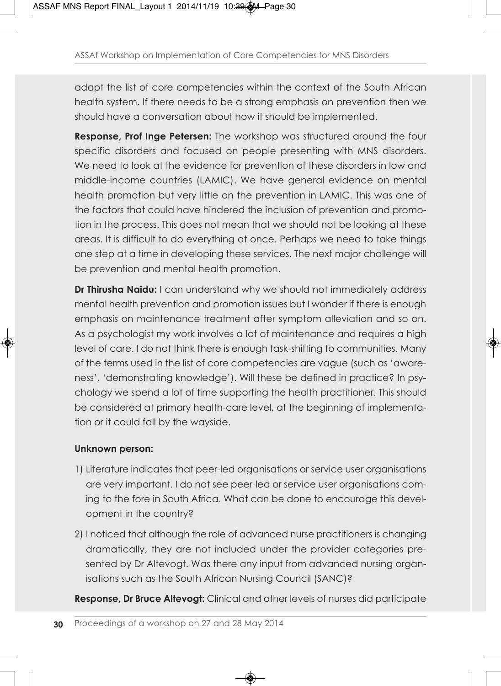adapt the list of core competencies within the context of the South African health system. If there needs to be a strong emphasis on prevention then we should have a conversation about how it should be implemented.

**Response, Prof Inge Petersen:** The workshop was structured around the four specific disorders and focused on people presenting with MNS disorders. We need to look at the evidence for prevention of these disorders in low and middle-income countries (LAMIC). We have general evidence on mental health promotion but very little on the prevention in LAMIC. This was one of the factors that could have hindered the inclusion of prevention and promotion in the process. This does not mean that we should not be looking at these areas. It is difficult to do everything at once. Perhaps we need to take things one step at a time in developing these services. The next major challenge will be prevention and mental health promotion.

**Dr Thirusha Naidu:** I can understand why we should not immediately address mental health prevention and promotion issues but I wonder if there is enough emphasis on maintenance treatment after symptom alleviation and so on. As a psychologist my work involves a lot of maintenance and requires a high level of care. I do not think there is enough task-shifting to communities. Many of the terms used in the list of core competencies are vague (such as 'awareness', 'demonstrating knowledge'). Will these be defined in practice? In psychology we spend a lot of time supporting the health practitioner. This should be considered at primary health-care level, at the beginning of implementation or it could fall by the wayside.

### **Unknown person:**

- 1) Literature indicates that peer-led organisations or service user organisations are very important. I do not see peer-led or service user organisations coming to the fore in South Africa. What can be done to encourage this development in the country?
- 2) I noticed that although the role of advanced nurse practitioners is changing dramatically, they are not included under the provider categories presented by Dr Altevogt. Was there any input from advanced nursing organisations such as the South African Nursing Council (SANC)?

**Response, Dr Bruce Altevogt:** Clinical and other levels of nurses did participate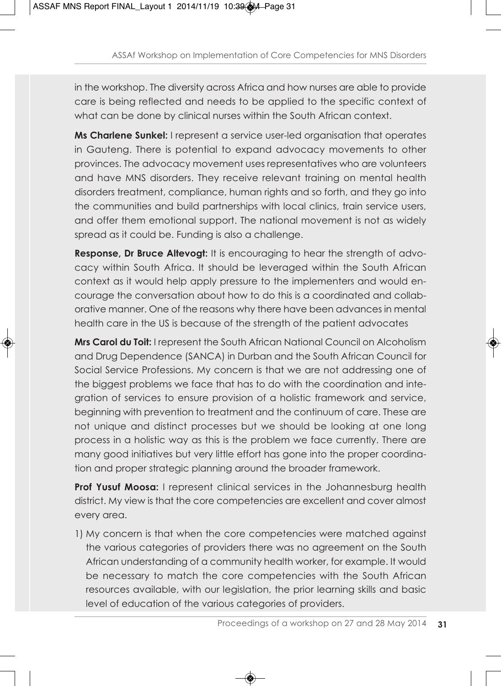in the workshop. The diversity across Africa and how nurses are able to provide care is being reflected and needs to be applied to the specific context of what can be done by clinical nurses within the South African context.

**Ms Charlene Sunkel:** I represent a service user-led organisation that operates in Gauteng. There is potential to expand advocacy movements to other provinces. The advocacy movement uses representatives who are volunteers and have MNS disorders. They receive relevant training on mental health disorders treatment, compliance, human rights and so forth, and they go into the communities and build partnerships with local clinics, train service users, and offer them emotional support. The national movement is not as widely spread as it could be. Funding is also a challenge.

**Response, Dr Bruce Altevogt:** It is encouraging to hear the strength of advocacy within South Africa. It should be leveraged within the South African context as it would help apply pressure to the implementers and would encourage the conversation about how to do this is a coordinated and collaborative manner. One of the reasons why there have been advances in mental health care in the US is because of the strength of the patient advocates

**Mrs Carol du Toit:** I represent the South African National Council on Alcoholism and Drug Dependence (SANCA) in Durban and the South African Council for Social Service Professions. My concern is that we are not addressing one of the biggest problems we face that has to do with the coordination and integration of services to ensure provision of a holistic framework and service, beginning with prevention to treatment and the continuum of care. These are not unique and distinct processes but we should be looking at one long process in a holistic way as this is the problem we face currently. There are many good initiatives but very little effort has gone into the proper coordination and proper strategic planning around the broader framework.

**Prof Yusuf Moosa:** I represent clinical services in the Johannesburg health district. My view is that the core competencies are excellent and cover almost every area.

1) My concern is that when the core competencies were matched against the various categories of providers there was no agreement on the South African understanding of a community health worker, for example. It would be necessary to match the core competencies with the South African resources available, with our legislation, the prior learning skills and basic level of education of the various categories of providers.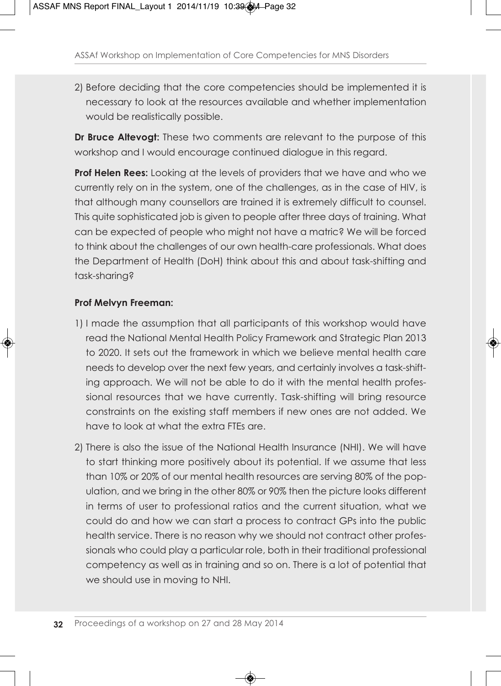2) Before deciding that the core competencies should be implemented it is necessary to look at the resources available and whether implementation would be realistically possible.

**Dr Bruce Altevogt:** These two comments are relevant to the purpose of this workshop and I would encourage continued dialogue in this regard.

**Prof Helen Rees:** Looking at the levels of providers that we have and who we currently rely on in the system, one of the challenges, as in the case of HIV, is that although many counsellors are trained it is extremely difficult to counsel. This quite sophisticated job is given to people after three days of training. What can be expected of people who might not have a matric? We will be forced to think about the challenges of our own health-care professionals. What does the Department of Health (DoH) think about this and about task-shifting and task-sharing?

### **Prof Melvyn Freeman:**

- 1) I made the assumption that all participants of this workshop would have read the National Mental Health Policy Framework and Strategic Plan 2013 to 2020. It sets out the framework in which we believe mental health care needs to develop over the next few years, and certainly involves a task-shifting approach. We will not be able to do it with the mental health professional resources that we have currently. Task-shifting will bring resource constraints on the existing staff members if new ones are not added. We have to look at what the extra FTEs are.
- 2) There is also the issue of the National Health Insurance (NHI). We will have to start thinking more positively about its potential. If we assume that less than 10% or 20% of our mental health resources are serving 80% of the population, and we bring in the other 80% or 90% then the picture looks different in terms of user to professional ratios and the current situation, what we could do and how we can start a process to contract GPs into the public health service. There is no reason why we should not contract other professionals who could play a particular role, both in their traditional professional competency as well as in training and so on. There is a lot of potential that we should use in moving to NHI.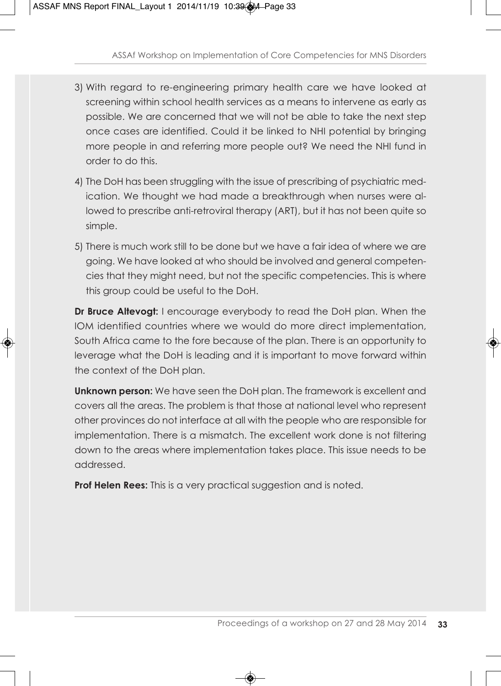- 3) With regard to re-engineering primary health care we have looked at screening within school health services as a means to intervene as early as possible. We are concerned that we will not be able to take the next step once cases are identified. Could it be linked to NHI potential by bringing more people in and referring more people out? We need the NHI fund in order to do this.
- 4) The DoH has been struggling with the issue of prescribing of psychiatric medication. We thought we had made a breakthrough when nurses were allowed to prescribe anti-retroviral therapy (ART), but it has not been quite so simple.
- 5) There is much work still to be done but we have a fair idea of where we are going. We have looked at who should be involved and general competencies that they might need, but not the specific competencies. This is where this group could be useful to the DoH.

**Dr Bruce Altevogt:** I encourage everybody to read the DoH plan. When the IOM identified countries where we would do more direct implementation, South Africa came to the fore because of the plan. There is an opportunity to leverage what the DoH is leading and it is important to move forward within the context of the DoH plan.

**Unknown person:** We have seen the DoH plan. The framework is excellent and covers all the areas. The problem is that those at national level who represent other provinces do not interface at all with the people who are responsible for implementation. There is a mismatch. The excellent work done is not filtering down to the areas where implementation takes place. This issue needs to be addressed.

**Prof Helen Rees:** This is a very practical suggestion and is noted.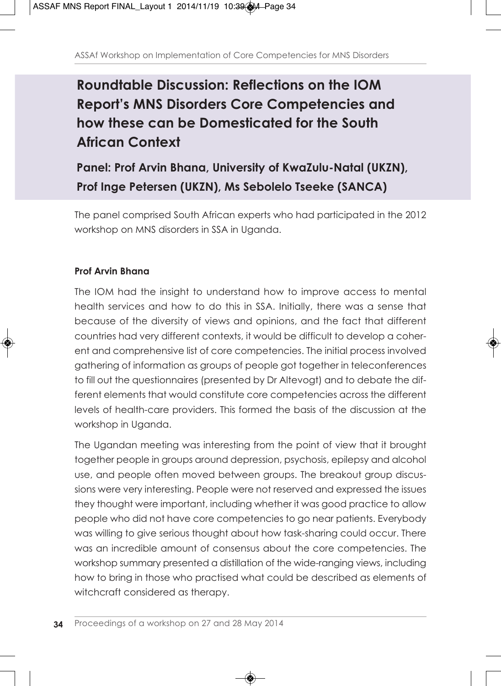## **Roundtable Discussion: Reflections on the IOM Report's MNS Disorders Core Competencies and how these can be Domesticated for the South African Context**

## **Panel: Prof Arvin Bhana, University of KwaZulu-Natal (UKZN), Prof Inge Petersen (UKZN), Ms Sebolelo Tseeke (SANCA)**

The panel comprised South African experts who had participated in the 2012 workshop on MNS disorders in SSA in Uganda.

### **Prof Arvin Bhana**

The IOM had the insight to understand how to improve access to mental health services and how to do this in SSA. Initially, there was a sense that because of the diversity of views and opinions, and the fact that different countries had very different contexts, it would be difficult to develop a coherent and comprehensive list of core competencies. The initial process involved gathering of information as groups of people got together in teleconferences to fill out the questionnaires (presented by Dr Altevogt) and to debate the different elements that would constitute core competencies across the different levels of health-care providers. This formed the basis of the discussion at the workshop in Uganda.

The Ugandan meeting was interesting from the point of view that it brought together people in groups around depression, psychosis, epilepsy and alcohol use, and people often moved between groups. The breakout group discussions were very interesting. People were not reserved and expressed the issues they thought were important, including whether it was good practice to allow people who did not have core competencies to go near patients. Everybody was willing to give serious thought about how task-sharing could occur. There was an incredible amount of consensus about the core competencies. The workshop summary presented a distillation of the wide-ranging views, including how to bring in those who practised what could be described as elements of witchcraft considered as therapy.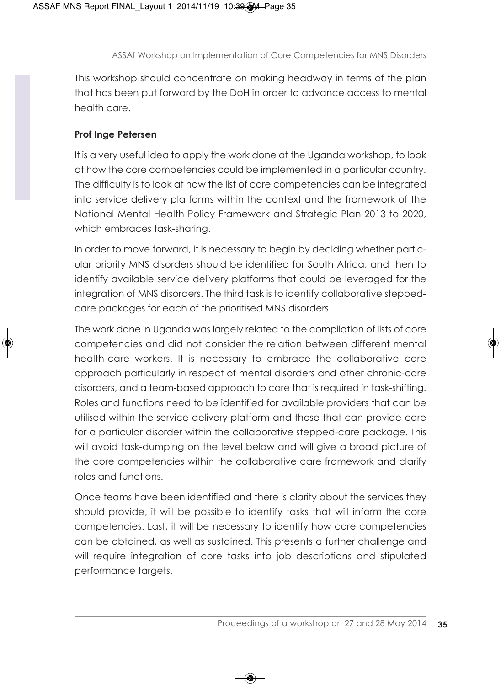This workshop should concentrate on making headway in terms of the plan that has been put forward by the DoH in order to advance access to mental health care.

### **Prof Inge Petersen**

It is a very useful idea to apply the work done at the Uganda workshop, to look at how the core competencies could be implemented in a particular country. The difficulty is to look at how the list of core competencies can be integrated into service delivery platforms within the context and the framework of the National Mental Health Policy Framework and Strategic Plan 2013 to 2020, which embraces task-sharing.

In order to move forward, it is necessary to begin by deciding whether particular priority MNS disorders should be identified for South Africa, and then to identify available service delivery platforms that could be leveraged for the integration of MNS disorders. The third task is to identify collaborative steppedcare packages for each of the prioritised MNS disorders.

The work done in Uganda was largely related to the compilation of lists of core competencies and did not consider the relation between different mental health-care workers. It is necessary to embrace the collaborative care approach particularly in respect of mental disorders and other chronic-care disorders, and a team-based approach to care that is required in task-shifting. Roles and functions need to be identified for available providers that can be utilised within the service delivery platform and those that can provide care for a particular disorder within the collaborative stepped-care package. This will avoid task-dumping on the level below and will give a broad picture of the core competencies within the collaborative care framework and clarify roles and functions.

Once teams have been identified and there is clarity about the services they should provide, it will be possible to identify tasks that will inform the core competencies. Last, it will be necessary to identify how core competencies can be obtained, as well as sustained. This presents a further challenge and will require integration of core tasks into job descriptions and stipulated performance targets.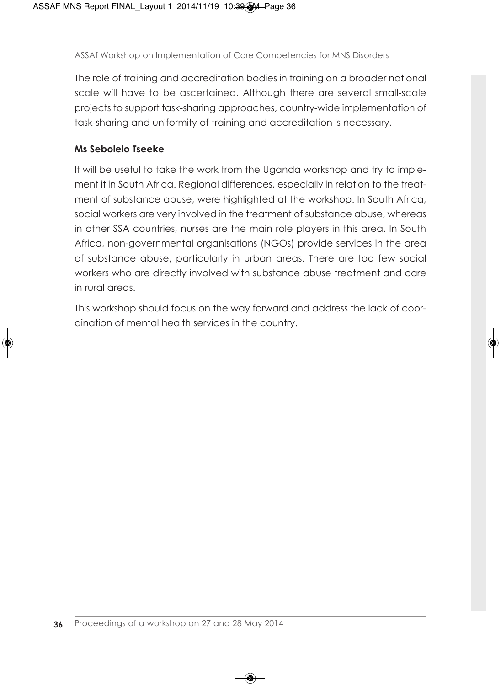The role of training and accreditation bodies in training on a broader national scale will have to be ascertained. Although there are several small-scale projects to support task-sharing approaches, country-wide implementation of task-sharing and uniformity of training and accreditation is necessary.

#### **Ms Sebolelo Tseeke**

It will be useful to take the work from the Uganda workshop and try to implement it in South Africa. Regional differences, especially in relation to the treatment of substance abuse, were highlighted at the workshop. In South Africa, social workers are very involved in the treatment of substance abuse, whereas in other SSA countries, nurses are the main role players in this area. In South Africa, non-governmental organisations (NGOs) provide services in the area of substance abuse, particularly in urban areas. There are too few social workers who are directly involved with substance abuse treatment and care in rural areas.

This workshop should focus on the way forward and address the lack of coordination of mental health services in the country.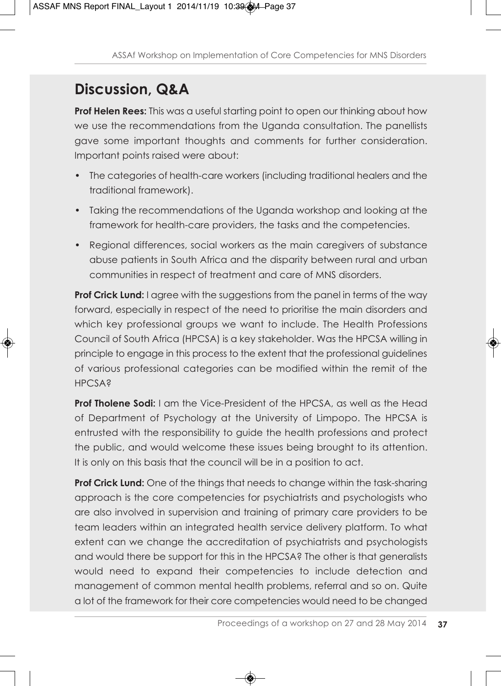# **Discussion, Q&A**

**Prof Helen Rees:** This was a useful starting point to open our thinking about how we use the recommendations from the Uganda consultation. The panellists gave some important thoughts and comments for further consideration. Important points raised were about:

- The categories of health-care workers (including traditional healers and the traditional framework).
- Taking the recommendations of the Uganda workshop and looking at the framework for health-care providers, the tasks and the competencies.
- Regional differences, social workers as the main caregivers of substance abuse patients in South Africa and the disparity between rural and urban communities in respect of treatment and care of MNS disorders.

**Prof Crick Lund:** I agree with the suggestions from the panel in terms of the way forward, especially in respect of the need to prioritise the main disorders and which key professional groups we want to include. The Health Professions Council of South Africa (HPCSA) is a key stakeholder. Was the HPCSA willing in principle to engage in this process to the extent that the professional guidelines of various professional categories can be modified within the remit of the **HPCSA?** 

**Prof Tholene Sodi:** I am the Vice-President of the HPCSA, as well as the Head of Department of Psychology at the University of Limpopo. The HPCSA is entrusted with the responsibility to guide the health professions and protect the public, and would welcome these issues being brought to its attention. It is only on this basis that the council will be in a position to act.

**Prof Crick Lund:** One of the things that needs to change within the task-sharing approach is the core competencies for psychiatrists and psychologists who are also involved in supervision and training of primary care providers to be team leaders within an integrated health service delivery platform. To what extent can we change the accreditation of psychiatrists and psychologists and would there be support for this in the HPCSA? The other is that generalists would need to expand their competencies to include detection and management of common mental health problems, referral and so on. Quite a lot of the framework for their core competencies would need to be changed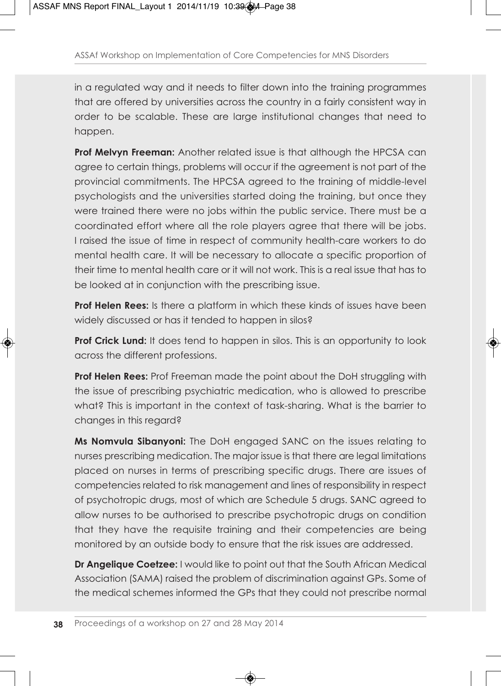in a regulated way and it needs to filter down into the training programmes that are offered by universities across the country in a fairly consistent way in order to be scalable. These are large institutional changes that need to happen.

**Prof Melvyn Freeman:** Another related issue is that although the HPCSA can agree to certain things, problems will occur if the agreement is not part of the provincial commitments. The HPCSA agreed to the training of middle-level psychologists and the universities started doing the training, but once they were trained there were no jobs within the public service. There must be a coordinated effort where all the role players agree that there will be jobs. I raised the issue of time in respect of community health-care workers to do mental health care. It will be necessary to allocate a specific proportion of their time to mental health care or it will not work. This is a real issue that has to be looked at in conjunction with the prescribing issue.

**Prof Helen Rees:** Is there a platform in which these kinds of issues have been widely discussed or has it tended to happen in silos?

**Prof Crick Lund:** It does tend to happen in silos. This is an opportunity to look across the different professions.

**Prof Helen Rees:** Prof Freeman made the point about the DoH struggling with the issue of prescribing psychiatric medication, who is allowed to prescribe what? This is important in the context of task-sharing. What is the barrier to changes in this regard?

**Ms Nomvula Sibanyoni:** The DoH engaged SANC on the issues relating to nurses prescribing medication. The major issue is that there are legal limitations placed on nurses in terms of prescribing specific drugs. There are issues of competencies related to risk management and lines of responsibility in respect of psychotropic drugs, most of which are Schedule 5 drugs. SANC agreed to allow nurses to be authorised to prescribe psychotropic drugs on condition that they have the requisite training and their competencies are being monitored by an outside body to ensure that the risk issues are addressed.

**Dr Angelique Coetzee:** I would like to point out that the South African Medical Association (SAMA) raised the problem of discrimination against GPs. Some of the medical schemes informed the GPs that they could not prescribe normal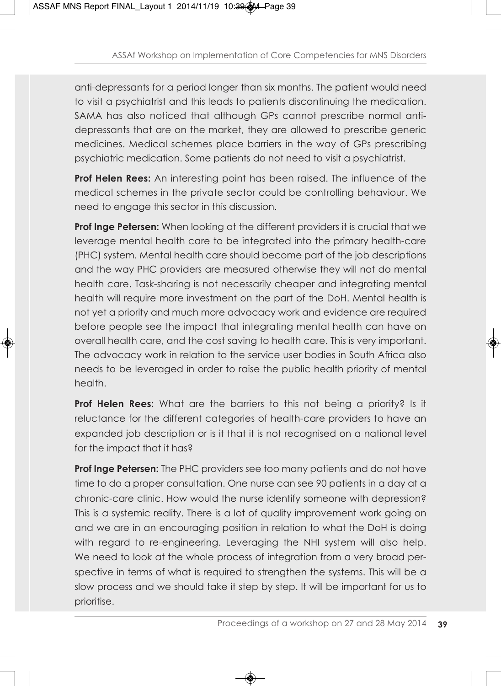anti-depressants for a period longer than six months. The patient would need to visit a psychiatrist and this leads to patients discontinuing the medication. SAMA has also noticed that although GPs cannot prescribe normal antidepressants that are on the market, they are allowed to prescribe generic medicines. Medical schemes place barriers in the way of GPs prescribing psychiatric medication. Some patients do not need to visit a psychiatrist.

**Prof Helen Rees:** An interesting point has been raised. The influence of the medical schemes in the private sector could be controlling behaviour. We need to engage this sector in this discussion.

**Prof Inge Petersen:** When looking at the different providers it is crucial that we leverage mental health care to be integrated into the primary health-care (PHC) system. Mental health care should become part of the job descriptions and the way PHC providers are measured otherwise they will not do mental health care. Task-sharing is not necessarily cheaper and integrating mental health will require more investment on the part of the DoH. Mental health is not yet a priority and much more advocacy work and evidence are required before people see the impact that integrating mental health can have on overall health care, and the cost saving to health care. This is very important. The advocacy work in relation to the service user bodies in South Africa also needs to be leveraged in order to raise the public health priority of mental health.

**Prof Helen Rees:** What are the barriers to this not being a priority? Is it reluctance for the different categories of health-care providers to have an expanded job description or is it that it is not recognised on a national level for the impact that it has?

**Prof Inge Petersen:** The PHC providers see too many patients and do not have time to do a proper consultation. One nurse can see 90 patients in a day at a chronic-care clinic. How would the nurse identify someone with depression? This is a systemic reality. There is a lot of quality improvement work going on and we are in an encouraging position in relation to what the DoH is doing with regard to re-engineering. Leveraging the NHI system will also help. We need to look at the whole process of integration from a very broad perspective in terms of what is required to strengthen the systems. This will be a slow process and we should take it step by step. It will be important for us to prioritise.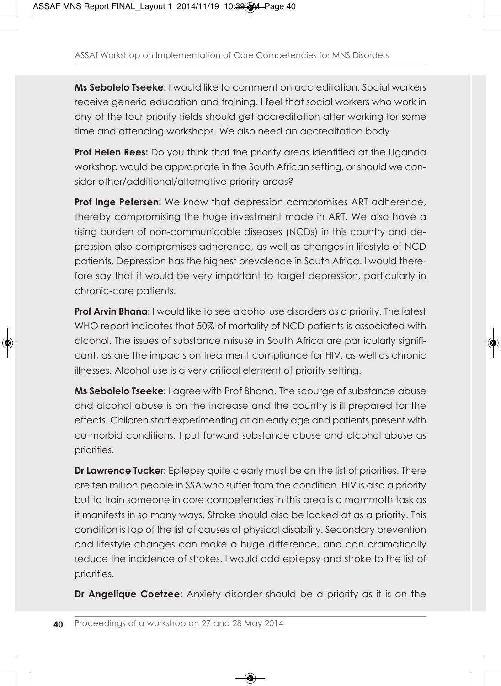**Ms Sebolelo Tseeke:** I would like to comment on accreditation. Social workers receive generic education and training. I feel that social workers who work in any of the four priority fields should get accreditation after working for some time and attending workshops. We also need an accreditation body.

**Prof Helen Rees:** Do you think that the priority areas identified at the Uganda workshop would be appropriate in the South African setting, or should we consider other/additional/alternative priority areas?

**Prof Inge Petersen:** We know that depression compromises ART adherence, thereby compromising the huge investment made in ART. We also have a rising burden of non-communicable diseases (NCDs) in this country and depression also compromises adherence, as well as changes in lifestyle of NCD patients. Depression has the highest prevalence in South Africa. I would therefore say that it would be very important to target depression, particularly in chronic-care patients.

**Prof Arvin Bhana:** I would like to see alcohol use disorders as a priority. The latest WHO report indicates that 50% of mortality of NCD patients is associated with alcohol. The issues of substance misuse in South Africa are particularly significant, as are the impacts on treatment compliance for HIV, as well as chronic illnesses. Alcohol use is a very critical element of priority setting.

**Ms Sebolelo Tseeke:** I agree with Prof Bhana. The scourge of substance abuse and alcohol abuse is on the increase and the country is ill prepared for the effects. Children start experimenting at an early age and patients present with co-morbid conditions. I put forward substance abuse and alcohol abuse as priorities.

**Dr Lawrence Tucker:** Epilepsy quite clearly must be on the list of priorities. There are ten million people in SSA who suffer from the condition. HIV is also a priority but to train someone in core competencies in this area is a mammoth task as it manifests in so many ways. Stroke should also be looked at as a priority. This condition is top of the list of causes of physical disability. Secondary prevention and lifestyle changes can make a huge difference, and can dramatically reduce the incidence of strokes. I would add epilepsy and stroke to the list of priorities.

**Dr Angelique Coetzee:** Anxiety disorder should be a priority as it is on the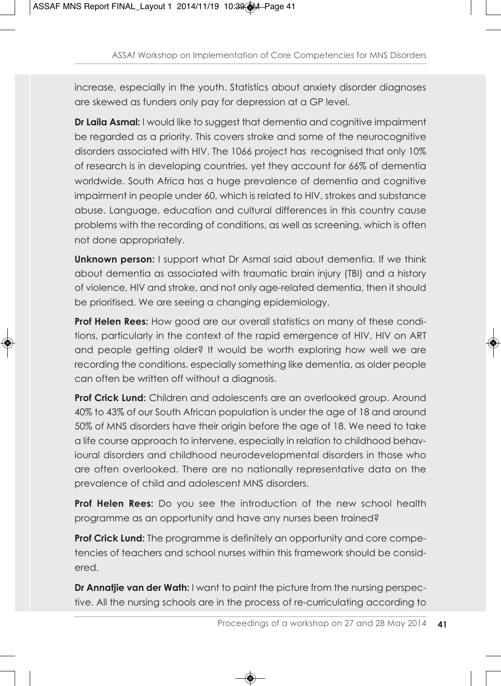increase, especially in the youth. Statistics about anxiety disorder diagnoses are skewed as funders only pay for depression at a GP level.

**Dr Laila Asmal:** I would like to suggest that dementia and cognitive impairment be regarded as a priority. This covers stroke and some of the neurocognitive disorders associated with HIV. The 1066 project has recognised that only 10% of research is in developing countries, yet they account for 66% of dementia worldwide. South Africa has a huge prevalence of dementia and cognitive impairment in people under 60, which is related to HIV, strokes and substance abuse. Language, education and cultural differences in this country cause problems with the recording of conditions, as well as screening, which is often not done appropriately.

**Unknown person:** I support what Dr Asmal said about dementia. If we think about dementia as associated with traumatic brain injury (TBI) and a history of violence, HIV and stroke, and not only age-related dementia, then it should be prioritised. We are seeing a changing epidemiology.

**Prof Helen Rees:** How good are our overall statistics on many of these conditions, particularly in the context of the rapid emergence of HIV, HIV on ART and people getting older? It would be worth exploring how well we are recording the conditions, especially something like dementia, as older people can often be written off without a diagnosis.

**Prof Crick Lund:** Children and adolescents are an overlooked group. Around 40% to 43% of our South African population is under the age of 18 and around 50% of MNS disorders have their origin before the age of 18. We need to take a life course approach to intervene, especially in relation to childhood behavioural disorders and childhood neurodevelopmental disorders in those who are often overlooked. There are no nationally representative data on the prevalence of child and adolescent MNS disorders.

**Prof Helen Rees:** Do you see the introduction of the new school health programme as an opportunity and have any nurses been trained?

**Prof Crick Lund:** The programme is definitely an opportunity and core competencies of teachers and school nurses within this framework should be considered.

**Dr Annatjie van der Wath:** I want to paint the picture from the nursing perspective. All the nursing schools are in the process of re-curriculating according to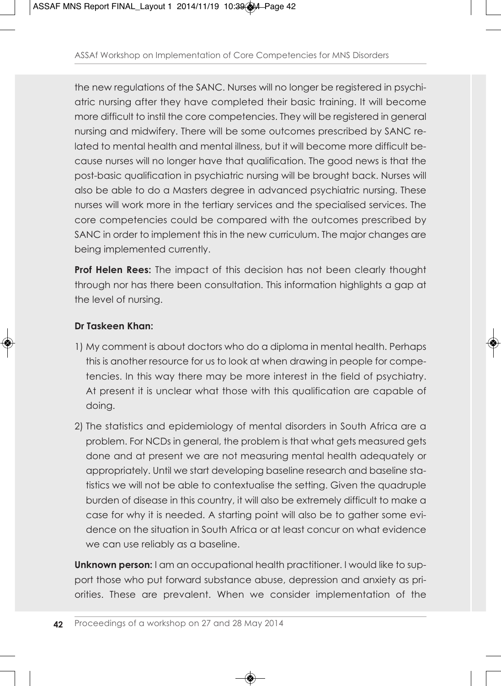the new regulations of the SANC. Nurses will no longer be registered in psychiatric nursing after they have completed their basic training. It will become more difficult to instil the core competencies. They will be registered in general nursing and midwifery. There will be some outcomes prescribed by SANC related to mental health and mental illness, but it will become more difficult because nurses will no longer have that qualification. The good news is that the post-basic qualification in psychiatric nursing will be brought back. Nurses will also be able to do a Masters degree in advanced psychiatric nursing. These nurses will work more in the tertiary services and the specialised services. The core competencies could be compared with the outcomes prescribed by SANC in order to implement this in the new curriculum. The major changes are being implemented currently.

**Prof Helen Rees:** The impact of this decision has not been clearly thought through nor has there been consultation. This information highlights a gap at the level of nursing.

#### **Dr Taskeen Khan:**

- 1) My comment is about doctors who do a diploma in mental health. Perhaps this is another resource for us to look at when drawing in people for competencies. In this way there may be more interest in the field of psychiatry. At present it is unclear what those with this qualification are capable of doing.
- 2) The statistics and epidemiology of mental disorders in South Africa are a problem. For NCDs in general, the problem is that what gets measured gets done and at present we are not measuring mental health adequately or appropriately. Until we start developing baseline research and baseline statistics we will not be able to contextualise the setting. Given the quadruple burden of disease in this country, it will also be extremely difficult to make a case for why it is needed. A starting point will also be to gather some evidence on the situation in South Africa or at least concur on what evidence we can use reliably as a baseline.

**Unknown person:** I am an occupational health practitioner. I would like to support those who put forward substance abuse, depression and anxiety as priorities. These are prevalent. When we consider implementation of the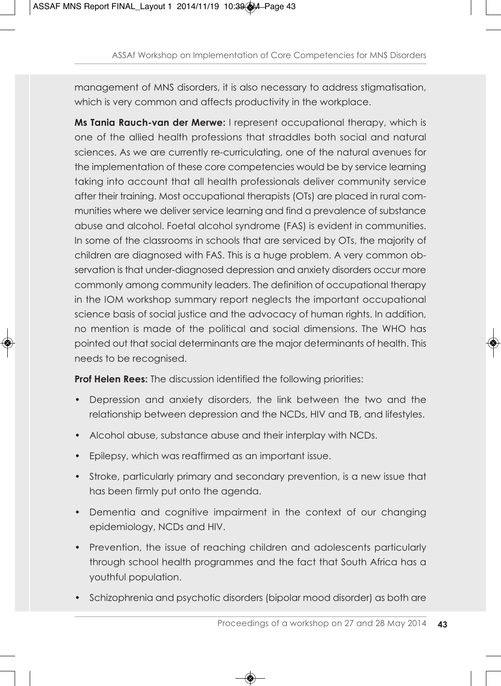management of MNS disorders, it is also necessary to address stigmatisation, which is very common and affects productivity in the workplace.

**Ms Tania Rauch-van der Merwe:** I represent occupational therapy, which is one of the allied health professions that straddles both social and natural sciences. As we are currently re-curriculating, one of the natural avenues for the implementation of these core competencies would be by service learning taking into account that all health professionals deliver community service after their training. Most occupational therapists (OTs) are placed in rural communities where we deliver service learning and find a prevalence of substance abuse and alcohol. Foetal alcohol syndrome (FAS) is evident in communities. In some of the classrooms in schools that are serviced by OTs, the majority of children are diagnosed with FAS. This is a huge problem. A very common observation is that under-diagnosed depression and anxiety disorders occur more commonly among community leaders. The definition of occupational therapy in the IOM workshop summary report neglects the important occupational science basis of social justice and the advocacy of human rights. In addition, no mention is made of the political and social dimensions. The WHO has pointed out that social determinants are the major determinants of health. This needs to be recognised.

**Prof Helen Rees:** The discussion identified the following priorities:

- Depression and anxiety disorders, the link between the two and the relationship between depression and the NCDs, HIV and TB, and lifestyles.
- Alcohol abuse, substance abuse and their interplay with NCDs.
- Epilepsy, which was reaffirmed as an important issue.
- Stroke, particularly primary and secondary prevention, is a new issue that has been firmly put onto the agenda.
- Dementia and cognitive impairment in the context of our changing epidemiology, NCDs and HIV.
- Prevention, the issue of reaching children and adolescents particularly through school health programmes and the fact that South Africa has a youthful population.
- Schizophrenia and psychotic disorders (bipolar mood disorder) as both are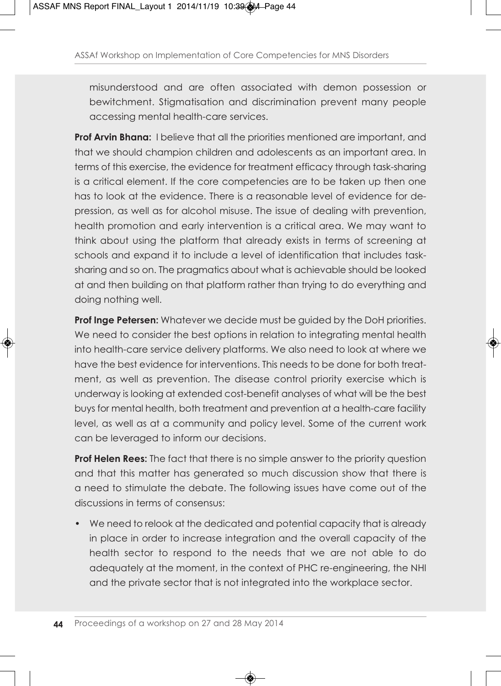misunderstood and are often associated with demon possession or bewitchment. Stigmatisation and discrimination prevent many people accessing mental health-care services.

**Prof Arvin Bhana:** I believe that all the priorities mentioned are important, and that we should champion children and adolescents as an important area. In terms of this exercise, the evidence for treatment efficacy through task-sharing is a critical element. If the core competencies are to be taken up then one has to look at the evidence. There is a reasonable level of evidence for depression, as well as for alcohol misuse. The issue of dealing with prevention, health promotion and early intervention is a critical area. We may want to think about using the platform that already exists in terms of screening at schools and expand it to include a level of identification that includes tasksharing and so on. The pragmatics about what is achievable should be looked at and then building on that platform rather than trying to do everything and doing nothing well.

**Prof Inge Petersen:** Whatever we decide must be guided by the DoH priorities. We need to consider the best options in relation to integrating mental health into health-care service delivery platforms. We also need to look at where we have the best evidence for interventions. This needs to be done for both treatment, as well as prevention. The disease control priority exercise which is underway is looking at extended cost-benefit analyses of what will be the best buys for mental health, both treatment and prevention at a health-care facility level, as well as at a community and policy level. Some of the current work can be leveraged to inform our decisions.

**Prof Helen Rees:** The fact that there is no simple answer to the priority question and that this matter has generated so much discussion show that there is a need to stimulate the debate. The following issues have come out of the discussions in terms of consensus:

• We need to relook at the dedicated and potential capacity that is already in place in order to increase integration and the overall capacity of the health sector to respond to the needs that we are not able to do adequately at the moment, in the context of PHC re-engineering, the NHI and the private sector that is not integrated into the workplace sector.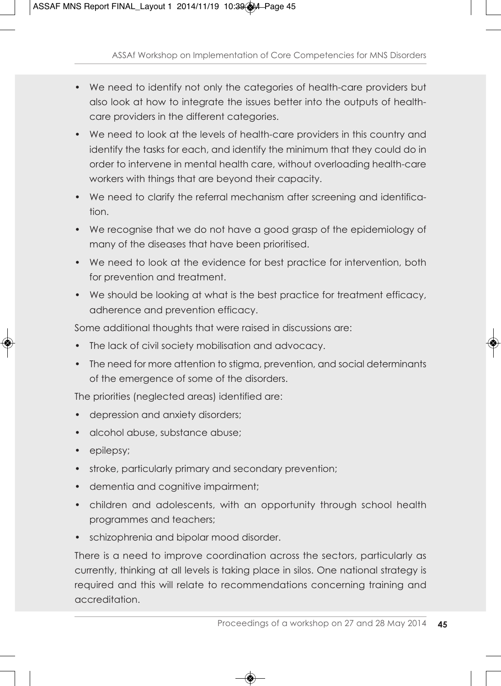- We need to identify not only the categories of health-care providers but also look at how to integrate the issues better into the outputs of healthcare providers in the different categories.
- We need to look at the levels of health-care providers in this country and identify the tasks for each, and identify the minimum that they could do in order to intervene in mental health care, without overloading health-care workers with things that are beyond their capacity.
- We need to clarify the referral mechanism after screening and identification.
- We recognise that we do not have a good grasp of the epidemiology of many of the diseases that have been prioritised.
- We need to look at the evidence for best practice for intervention, both for prevention and treatment.
- We should be looking at what is the best practice for treatment efficacy, adherence and prevention efficacy.

Some additional thoughts that were raised in discussions are:

- The lack of civil society mobilisation and advocacy.
- The need for more attention to stigma, prevention, and social determinants of the emergence of some of the disorders.

The priorities (neglected areas) identified are:

- depression and anxiety disorders;
- alcohol abuse, substance abuse;
- epilepsy;
- stroke, particularly primary and secondary prevention;
- dementia and cognitive impairment;
- children and adolescents, with an opportunity through school health programmes and teachers;
- schizophrenia and bipolar mood disorder.

There is a need to improve coordination across the sectors, particularly as currently, thinking at all levels is taking place in silos. One national strategy is required and this will relate to recommendations concerning training and accreditation.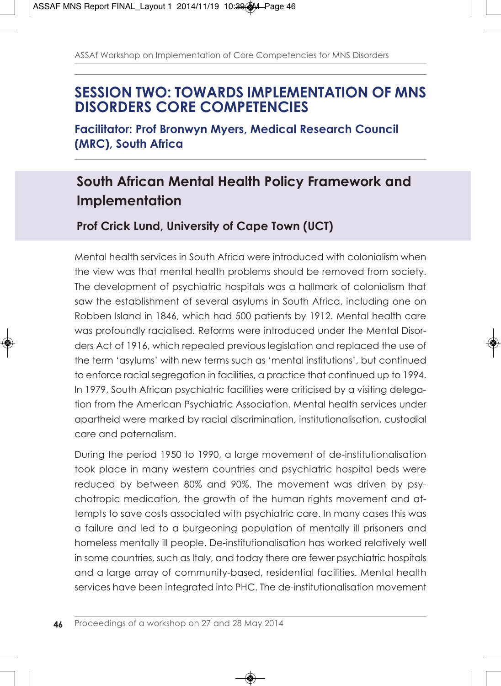## **SESSION TWO: TOWARDS IMPLEMENTATION OF MNS DISORDERS CORE COMPETENCIES**

**Facilitator: Prof Bronwyn Myers, Medical Research Council (MRC), South Africa**

## **South African Mental Health Policy Framework and Implementation**

### **Prof Crick Lund, University of Cape Town (UCT)**

Mental health services in South Africa were introduced with colonialism when the view was that mental health problems should be removed from society. The development of psychiatric hospitals was a hallmark of colonialism that saw the establishment of several asylums in South Africa, including one on Robben Island in 1846, which had 500 patients by 1912. Mental health care was profoundly racialised. Reforms were introduced under the Mental Disorders Act of 1916, which repealed previous legislation and replaced the use of the term 'asylums' with new terms such as 'mental institutions', but continued to enforce racial segregation in facilities, a practice that continued up to 1994. In 1979, South African psychiatric facilities were criticised by a visiting delegation from the American Psychiatric Association. Mental health services under apartheid were marked by racial discrimination, institutionalisation, custodial care and paternalism.

During the period 1950 to 1990, a large movement of de-institutionalisation took place in many western countries and psychiatric hospital beds were reduced by between 80% and 90%. The movement was driven by psychotropic medication, the growth of the human rights movement and attempts to save costs associated with psychiatric care. In many cases this was a failure and led to a burgeoning population of mentally ill prisoners and homeless mentally ill people. De-institutionalisation has worked relatively well in some countries, such as Italy, and today there are fewer psychiatric hospitals and a large array of community-based, residential facilities. Mental health services have been integrated into PHC. The de-institutionalisation movement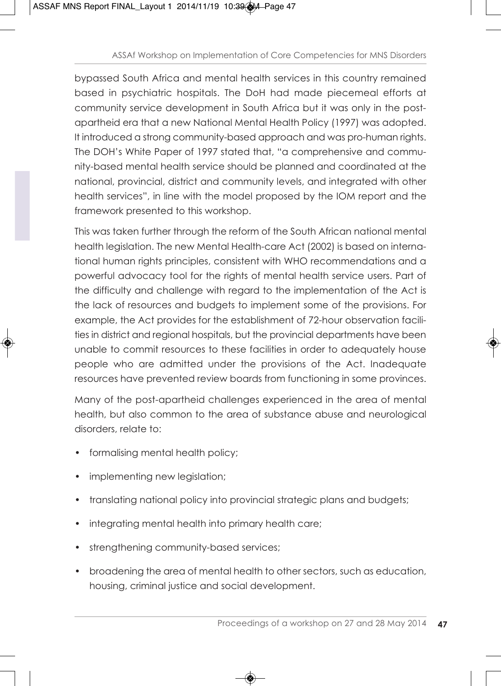bypassed South Africa and mental health services in this country remained based in psychiatric hospitals. The DoH had made piecemeal efforts at community service development in South Africa but it was only in the postapartheid era that a new National Mental Health Policy (1997) was adopted. It introduced a strong community-based approach and was pro-human rights. The DOH's White Paper of 1997 stated that, "a comprehensive and community-based mental health service should be planned and coordinated at the national, provincial, district and community levels, and integrated with other health services", in line with the model proposed by the IOM report and the framework presented to this workshop.

This was taken further through the reform of the South African national mental health legislation. The new Mental Health-care Act (2002) is based on international human rights principles, consistent with WHO recommendations and a powerful advocacy tool for the rights of mental health service users. Part of the difficulty and challenge with regard to the implementation of the Act is the lack of resources and budgets to implement some of the provisions. For example, the Act provides for the establishment of 72-hour observation facilities in district and regional hospitals, but the provincial departments have been unable to commit resources to these facilities in order to adequately house people who are admitted under the provisions of the Act. Inadequate resources have prevented review boards from functioning in some provinces.

Many of the post-apartheid challenges experienced in the area of mental health, but also common to the area of substance abuse and neurological disorders, relate to:

- formalising mental health policy;
- implementing new legislation;
- translating national policy into provincial strategic plans and budgets;
- integrating mental health into primary health care;
- strengthening community-based services;
- broadening the area of mental health to other sectors, such as education, housing, criminal justice and social development.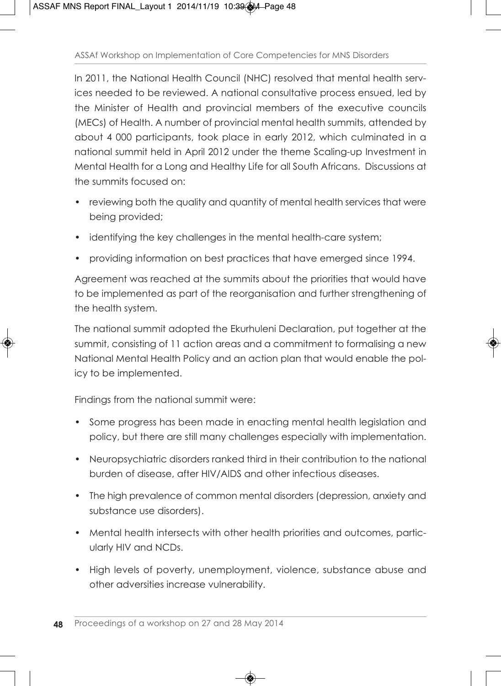In 2011, the National Health Council (NHC) resolved that mental health services needed to be reviewed. A national consultative process ensued, led by the Minister of Health and provincial members of the executive councils (MECs) of Health. A number of provincial mental health summits, attended by about 4 000 participants, took place in early 2012, which culminated in a national summit held in April 2012 under the theme Scaling-up Investment in Mental Health for a Long and Healthy Life for all South Africans. Discussions at the summits focused on:

- reviewing both the quality and quantity of mental health services that were being provided;
- identifying the key challenges in the mental health-care system;
- providing information on best practices that have emerged since 1994.

Agreement was reached at the summits about the priorities that would have to be implemented as part of the reorganisation and further strengthening of the health system.

The national summit adopted the Ekurhuleni Declaration, put together at the summit, consisting of 11 action areas and a commitment to formalising a new National Mental Health Policy and an action plan that would enable the policy to be implemented.

Findings from the national summit were:

- Some progress has been made in enacting mental health legislation and policy, but there are still many challenges especially with implementation.
- Neuropsychiatric disorders ranked third in their contribution to the national burden of disease, after HIV/AIDS and other infectious diseases.
- The high prevalence of common mental disorders (depression, anxiety and substance use disorders).
- Mental health intersects with other health priorities and outcomes, particularly HIV and NCDs.
- High levels of poverty, unemployment, violence, substance abuse and other adversities increase vulnerability.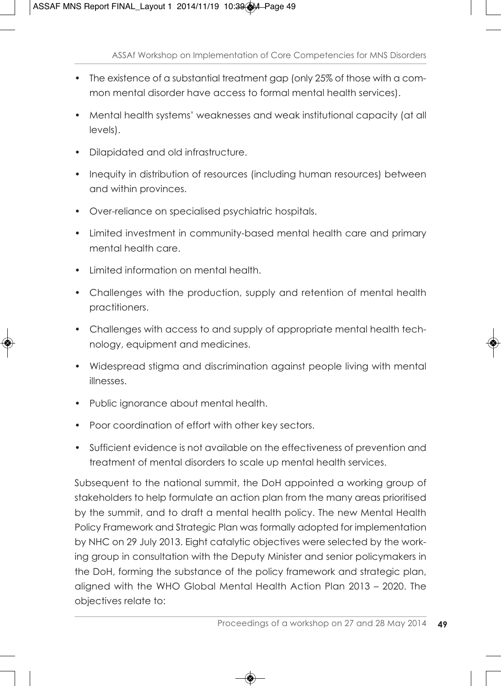- The existence of a substantial treatment gap (only 25% of those with a common mental disorder have access to formal mental health services).
- Mental health systems' weaknesses and weak institutional capacity (at all levels).
- Dilapidated and old infrastructure.
- Inequity in distribution of resources (including human resources) between and within provinces.
- Over-reliance on specialised psychiatric hospitals.
- Limited investment in community-based mental health care and primary mental health care.
- Limited information on mental health.
- Challenges with the production, supply and retention of mental health practitioners.
- Challenges with access to and supply of appropriate mental health technology, equipment and medicines.
- Widespread stigma and discrimination against people living with mental illnesses.
- Public ignorance about mental health.
- Poor coordination of effort with other key sectors.
- Sufficient evidence is not available on the effectiveness of prevention and treatment of mental disorders to scale up mental health services.

Subsequent to the national summit, the DoH appointed a working group of stakeholders to help formulate an action plan from the many areas prioritised by the summit, and to draft a mental health policy. The new Mental Health Policy Framework and Strategic Plan was formally adopted for implementation by NHC on 29 July 2013. Eight catalytic objectives were selected by the working group in consultation with the Deputy Minister and senior policymakers in the DoH, forming the substance of the policy framework and strategic plan, aligned with the WHO Global Mental Health Action Plan 2013 – 2020. The objectives relate to: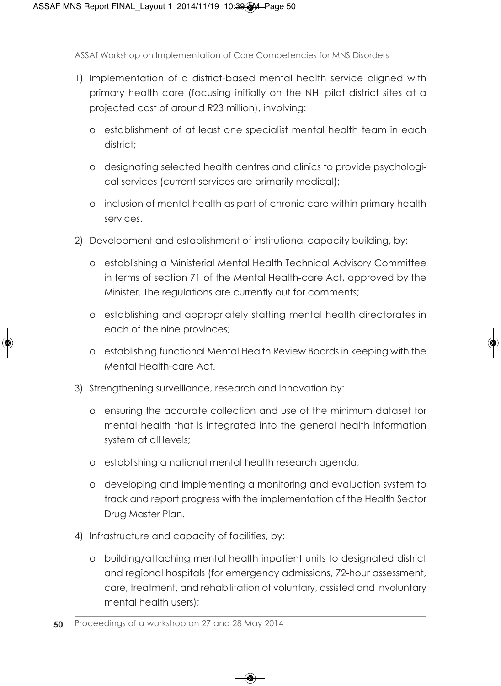- 1) Implementation of a district-based mental health service aligned with primary health care (focusing initially on the NHI pilot district sites at a projected cost of around R23 million), involving:
	- o establishment of at least one specialist mental health team in each district<sup>+</sup>
	- o designating selected health centres and clinics to provide psychological services (current services are primarily medical);
	- o inclusion of mental health as part of chronic care within primary health services.
- 2) Development and establishment of institutional capacity building, by:
	- o establishing a Ministerial Mental Health Technical Advisory Committee in terms of section 71 of the Mental Health-care Act, approved by the Minister. The regulations are currently out for comments;
	- o establishing and appropriately staffing mental health directorates in each of the nine provinces;
	- o establishing functional Mental Health Review Boards in keeping with the Mental Health-care Act.
- 3) Strengthening surveillance, research and innovation by:
	- o ensuring the accurate collection and use of the minimum dataset for mental health that is integrated into the general health information system at all levels;
	- o establishing a national mental health research agenda;
	- o developing and implementing a monitoring and evaluation system to track and report progress with the implementation of the Health Sector Drug Master Plan.
- 4) Infrastructure and capacity of facilities, by:
	- o building/attaching mental health inpatient units to designated district and regional hospitals (for emergency admissions, 72-hour assessment, care, treatment, and rehabilitation of voluntary, assisted and involuntary mental health users);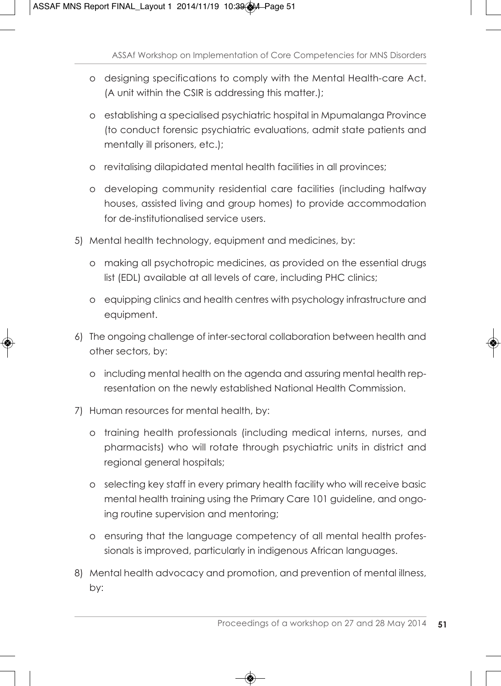- o designing specifications to comply with the Mental Health-care Act. (A unit within the CSIR is addressing this matter.);
- o establishing a specialised psychiatric hospital in Mpumalanga Province (to conduct forensic psychiatric evaluations, admit state patients and mentally ill prisoners, etc.);
- o revitalising dilapidated mental health facilities in all provinces;
- o developing community residential care facilities (including halfway houses, assisted living and group homes) to provide accommodation for de-institutionalised service users.
- 5) Mental health technology, equipment and medicines, by:
	- o making all psychotropic medicines, as provided on the essential drugs list (EDL) available at all levels of care, including PHC clinics;
	- o equipping clinics and health centres with psychology infrastructure and equipment.
- 6) The ongoing challenge of inter-sectoral collaboration between health and other sectors, by:
	- o including mental health on the agenda and assuring mental health representation on the newly established National Health Commission.
- 7) Human resources for mental health, by:
	- o training health professionals (including medical interns, nurses, and pharmacists) who will rotate through psychiatric units in district and regional general hospitals;
	- o selecting key staff in every primary health facility who will receive basic mental health training using the Primary Care 101 guideline, and ongoing routine supervision and mentoring;
	- o ensuring that the language competency of all mental health professionals is improved, particularly in indigenous African languages.
- 8) Mental health advocacy and promotion, and prevention of mental illness, by: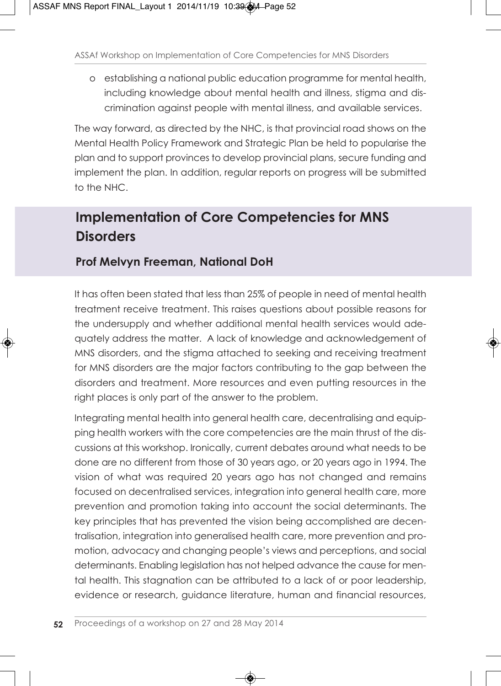o establishing a national public education programme for mental health, including knowledge about mental health and illness, stigma and discrimination against people with mental illness, and available services.

The way forward, as directed by the NHC, is that provincial road shows on the Mental Health Policy Framework and Strategic Plan be held to popularise the plan and to support provinces to develop provincial plans, secure funding and implement the plan. In addition, regular reports on progress will be submitted to the NHC.

## **Implementation of Core Competencies for MNS Disorders**

### **Prof Melvyn Freeman, National DoH**

It has often been stated that less than 25% of people in need of mental health treatment receive treatment. This raises questions about possible reasons for the undersupply and whether additional mental health services would adequately address the matter. A lack of knowledge and acknowledgement of MNS disorders, and the stigma attached to seeking and receiving treatment for MNS disorders are the major factors contributing to the gap between the disorders and treatment. More resources and even putting resources in the right places is only part of the answer to the problem.

Integrating mental health into general health care, decentralising and equipping health workers with the core competencies are the main thrust of the discussions at this workshop. Ironically, current debates around what needs to be done are no different from those of 30 years ago, or 20 years ago in 1994. The vision of what was required 20 years ago has not changed and remains focused on decentralised services, integration into general health care, more prevention and promotion taking into account the social determinants. The key principles that has prevented the vision being accomplished are decentralisation, integration into generalised health care, more prevention and promotion, advocacy and changing people's views and perceptions, and social determinants. Enabling legislation has not helped advance the cause for mental health. This stagnation can be attributed to a lack of or poor leadership, evidence or research, guidance literature, human and financial resources,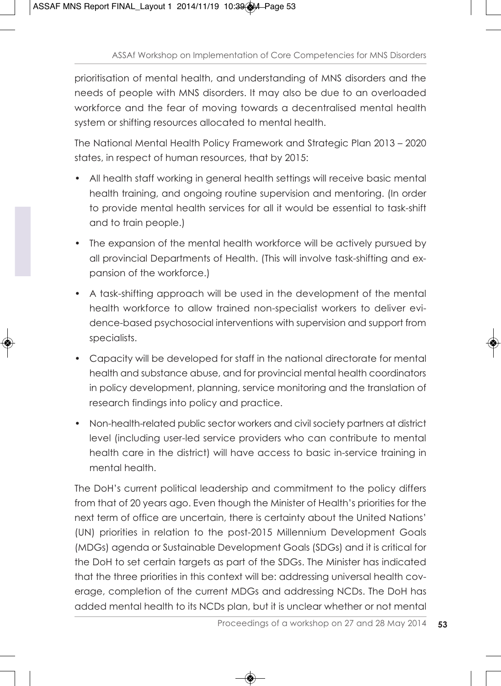prioritisation of mental health, and understanding of MNS disorders and the needs of people with MNS disorders. It may also be due to an overloaded workforce and the fear of moving towards a decentralised mental health system or shifting resources allocated to mental health.

The National Mental Health Policy Framework and Strategic Plan 2013 – 2020 states, in respect of human resources, that by 2015:

- All health staff working in general health settings will receive basic mental health training, and ongoing routine supervision and mentoring. (In order to provide mental health services for all it would be essential to task-shift and to train people.)
- The expansion of the mental health workforce will be actively pursued by all provincial Departments of Health. (This will involve task-shifting and expansion of the workforce.)
- A task-shifting approach will be used in the development of the mental health workforce to allow trained non-specialist workers to deliver evidence-based psychosocial interventions with supervision and support from specialists.
- Capacity will be developed for staff in the national directorate for mental health and substance abuse, and for provincial mental health coordinators in policy development, planning, service monitoring and the translation of research findings into policy and practice.
- Non-health-related public sector workers and civil society partners at district level (including user-led service providers who can contribute to mental health care in the district) will have access to basic in-service training in mental health.

The DoH's current political leadership and commitment to the policy differs from that of 20 years ago. Even though the Minister of Health's priorities for the next term of office are uncertain, there is certainty about the United Nations' (UN) priorities in relation to the post-2015 Millennium Development Goals (MDGs) agenda or Sustainable Development Goals (SDGs) and it is critical for the DoH to set certain targets as part of the SDGs. The Minister has indicated that the three priorities in this context will be: addressing universal health coverage, completion of the current MDGs and addressing NCDs. The DoH has added mental health to its NCDs plan, but it is unclear whether or not mental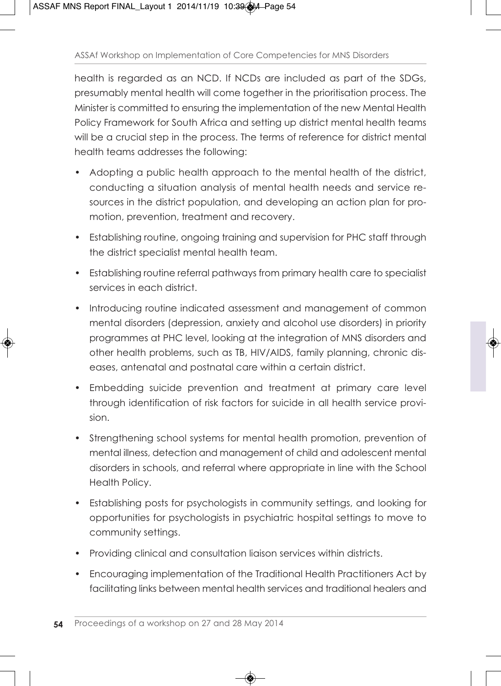health is regarded as an NCD. If NCDs are included as part of the SDGs, presumably mental health will come together in the prioritisation process. The Minister is committed to ensuring the implementation of the new Mental Health Policy Framework for South Africa and setting up district mental health teams will be a crucial step in the process. The terms of reference for district mental health teams addresses the following:

- Adopting a public health approach to the mental health of the district, conducting a situation analysis of mental health needs and service resources in the district population, and developing an action plan for promotion, prevention, treatment and recovery.
- Establishing routine, ongoing training and supervision for PHC staff through the district specialist mental health team.
- Establishing routine referral pathways from primary health care to specialist services in each district.
- Introducing routine indicated assessment and management of common mental disorders (depression, anxiety and alcohol use disorders) in priority programmes at PHC level, looking at the integration of MNS disorders and other health problems, such as TB, HIV/AIDS, family planning, chronic diseases, antenatal and postnatal care within a certain district.
- Embedding suicide prevention and treatment at primary care level through identification of risk factors for suicide in all health service provision.
- Strengthening school systems for mental health promotion, prevention of mental illness, detection and management of child and adolescent mental disorders in schools, and referral where appropriate in line with the School Health Policy.
- Establishing posts for psychologists in community settings, and looking for opportunities for psychologists in psychiatric hospital settings to move to community settings.
- Providing clinical and consultation liaison services within districts.
- Encouraging implementation of the Traditional Health Practitioners Act by facilitating links between mental health services and traditional healers and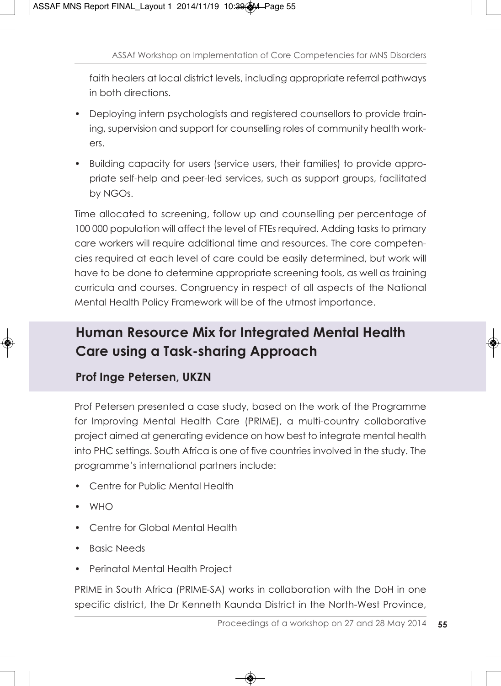faith healers at local district levels, including appropriate referral pathways in both directions.

- Deploying intern psychologists and registered counsellors to provide training, supervision and support for counselling roles of community health workers.
- Building capacity for users (service users, their families) to provide appropriate self-help and peer-led services, such as support groups, facilitated by NGOs.

Time allocated to screening, follow up and counselling per percentage of 100 000 population will affect the level of FTEs required. Adding tasks to primary care workers will require additional time and resources. The core competencies required at each level of care could be easily determined, but work will have to be done to determine appropriate screening tools, as well as training curricula and courses. Congruency in respect of all aspects of the National Mental Health Policy Framework will be of the utmost importance.

## **Human Resource Mix for Integrated Mental Health Care using a Task-sharing Approach**

### **Prof Inge Petersen, UKZN**

Prof Petersen presented a case study, based on the work of the Programme for Improving Mental Health Care (PRIME), a multi-country collaborative project aimed at generating evidence on how best to integrate mental health into PHC settings. South Africa is one of five countries involved in the study. The programme's international partners include:

- Centre for Public Mental Health
- WHO
- Centre for Global Mental Health
- Basic Needs
- Perinatal Mental Health Project

PRIME in South Africa (PRIME-SA) works in collaboration with the DoH in one specific district, the Dr Kenneth Kaunda District in the North-West Province,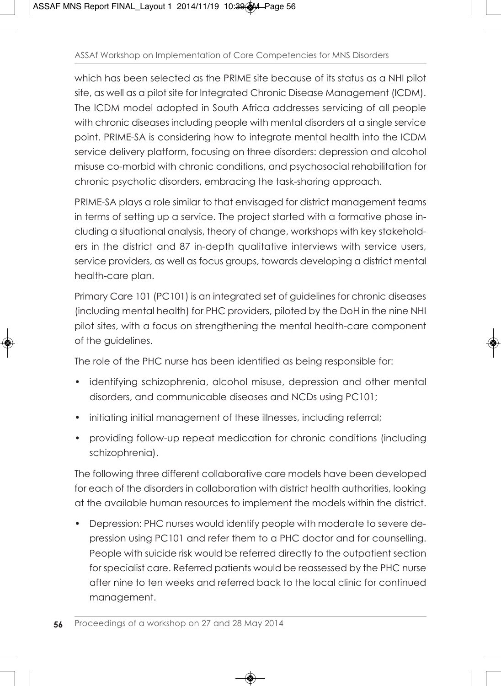which has been selected as the PRIME site because of its status as a NHI pilot site, as well as a pilot site for Integrated Chronic Disease Management (ICDM). The ICDM model adopted in South Africa addresses servicing of all people with chronic diseases including people with mental disorders at a single service point. PRIME-SA is considering how to integrate mental health into the ICDM service delivery platform, focusing on three disorders: depression and alcohol misuse co-morbid with chronic conditions, and psychosocial rehabilitation for chronic psychotic disorders, embracing the task-sharing approach.

PRIME-SA plays a role similar to that envisaged for district management teams in terms of setting up a service. The project started with a formative phase including a situational analysis, theory of change, workshops with key stakeholders in the district and 87 in-depth qualitative interviews with service users, service providers, as well as focus groups, towards developing a district mental health-care plan.

Primary Care 101 (PC101) is an integrated set of guidelines for chronic diseases (including mental health) for PHC providers, piloted by the DoH in the nine NHI pilot sites, with a focus on strengthening the mental health-care component of the guidelines.

The role of the PHC nurse has been identified as being responsible for:

- identifying schizophrenia, alcohol misuse, depression and other mental disorders, and communicable diseases and NCDs using PC101;
- initiating initial management of these illnesses, including referral;
- providing follow-up repeat medication for chronic conditions (including schizophrenia).

The following three different collaborative care models have been developed for each of the disorders in collaboration with district health authorities, looking at the available human resources to implement the models within the district.

• Depression: PHC nurses would identify people with moderate to severe depression using PC101 and refer them to a PHC doctor and for counselling. People with suicide risk would be referred directly to the outpatient section for specialist care. Referred patients would be reassessed by the PHC nurse after nine to ten weeks and referred back to the local clinic for continued management.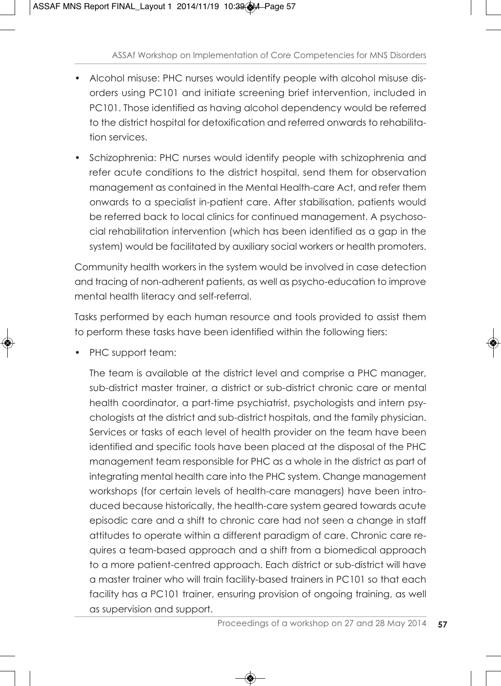- Alcohol misuse: PHC nurses would identify people with alcohol misuse disorders using PC101 and initiate screening brief intervention, included in PC101. Those identified as having alcohol dependency would be referred to the district hospital for detoxification and referred onwards to rehabilitation services.
- Schizophrenia: PHC nurses would identify people with schizophrenia and refer acute conditions to the district hospital, send them for observation management as contained in the Mental Health-care Act, and refer them onwards to a specialist in-patient care. After stabilisation, patients would be referred back to local clinics for continued management. A psychosocial rehabilitation intervention (which has been identified as a gap in the system) would be facilitated by auxiliary social workers or health promoters.

Community health workers in the system would be involved in case detection and tracing of non-adherent patients, as well as psycho-education to improve mental health literacy and self-referral.

Tasks performed by each human resource and tools provided to assist them to perform these tasks have been identified within the following tiers:

• PHC support team:

The team is available at the district level and comprise a PHC manager, sub-district master trainer, a district or sub-district chronic care or mental health coordinator, a part-time psychiatrist, psychologists and intern psychologists at the district and sub-district hospitals, and the family physician. Services or tasks of each level of health provider on the team have been identified and specific tools have been placed at the disposal of the PHC management team responsible for PHC as a whole in the district as part of integrating mental health care into the PHC system. Change management workshops (for certain levels of health-care managers) have been introduced because historically, the health-care system geared towards acute episodic care and a shift to chronic care had not seen a change in staff attitudes to operate within a different paradigm of care. Chronic care requires a team-based approach and a shift from a biomedical approach to a more patient-centred approach. Each district or sub-district will have a master trainer who will train facility-based trainers in PC101 so that each facility has a PC101 trainer, ensuring provision of ongoing training, as well as supervision and support.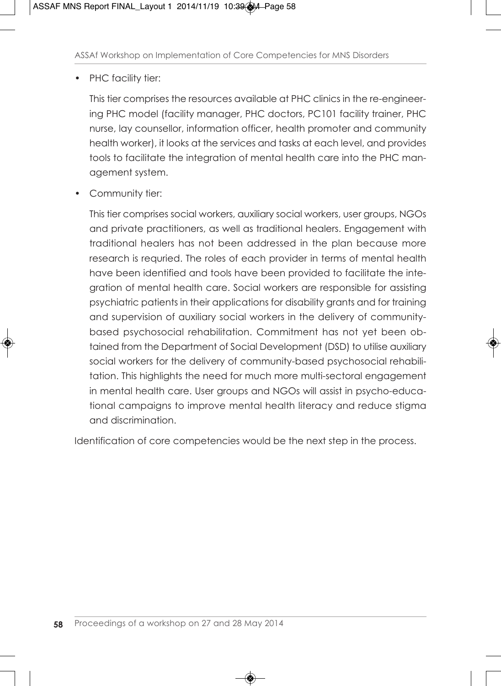#### • PHC facility tier:

This tier comprises the resources available at PHC clinics in the re-engineering PHC model (facility manager, PHC doctors, PC101 facility trainer, PHC nurse, lay counsellor, information officer, health promoter and community health worker), it looks at the services and tasks at each level, and provides tools to facilitate the integration of mental health care into the PHC management system.

• Community tier:

This tier comprises social workers, auxiliary social workers, user groups, NGOs and private practitioners, as well as traditional healers. Engagement with traditional healers has not been addressed in the plan because more research is requried. The roles of each provider in terms of mental health have been identified and tools have been provided to facilitate the integration of mental health care. Social workers are responsible for assisting psychiatric patients in their applications for disability grants and for training and supervision of auxiliary social workers in the delivery of communitybased psychosocial rehabilitation. Commitment has not yet been obtained from the Department of Social Development (DSD) to utilise auxiliary social workers for the delivery of community-based psychosocial rehabilitation. This highlights the need for much more multi-sectoral engagement in mental health care. User groups and NGOs will assist in psycho-educational campaigns to improve mental health literacy and reduce stigma and discrimination.

Identification of core competencies would be the next step in the process.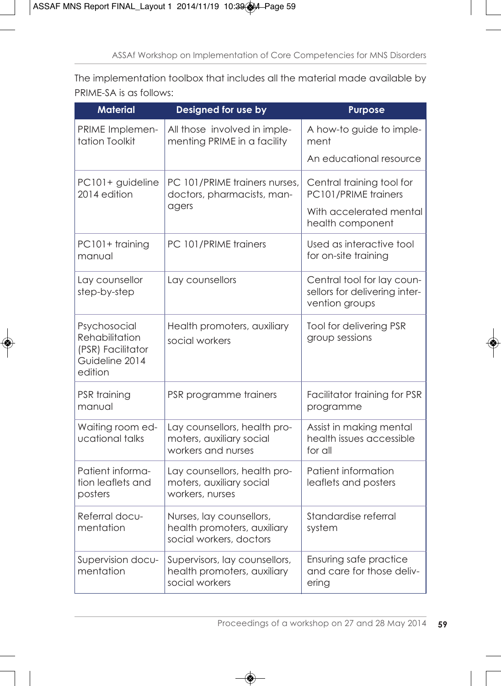The implementation toolbox that includes all the material made available by PRIME-SA is as follows:

| <b>Material</b>                                                                  | Designed for use by                                                                        | <b>Purpose</b>                                                                |  |
|----------------------------------------------------------------------------------|--------------------------------------------------------------------------------------------|-------------------------------------------------------------------------------|--|
| PRIME Implemen-<br>tation Toolkit                                                | All those involved in imple-<br>menting PRIME in a facility                                | A how-to guide to imple-<br>ment                                              |  |
|                                                                                  |                                                                                            | An educational resource                                                       |  |
| PC101+ guideline<br>2014 edition                                                 | PC 101/PRIME trainers nurses,<br>doctors, pharmacists, man-                                | Central training tool for<br>PC101/PRIME trainers                             |  |
|                                                                                  | agers                                                                                      | With accelerated mental<br>health component                                   |  |
| PC101+ training<br>manual                                                        | PC 101/PRIME trainers                                                                      | Used as interactive tool<br>for on-site training                              |  |
| Lay counsellor<br>step-by-step                                                   | Lay counsellors                                                                            | Central tool for lay coun-<br>sellors for delivering inter-<br>vention groups |  |
| Psychosocial<br>Rehabilitation<br>(PSR) Facilitator<br>Guideline 2014<br>edition | Health promoters, auxiliary<br>Tool for delivering PSR<br>group sessions<br>social workers |                                                                               |  |
| PSR training<br>manual                                                           | PSR programme trainers<br>Facilitator training for PSR<br>programme                        |                                                                               |  |
| Waiting room ed-<br>ucational talks                                              | Lay counsellors, health pro-<br>moters, auxiliary social<br>workers and nurses             | Assist in making mental<br>health issues accessible<br>for all                |  |
| Patient informa-<br>tion leaflets and<br>posters                                 | Lay counsellors, health pro-<br>moters, auxiliary social<br>workers, nurses                | Patient information<br>leaflets and posters                                   |  |
| Referral docu-<br>mentation                                                      | Nurses, lay counsellors,<br>health promoters, auxiliary<br>social workers, doctors         | Standardise referral<br>system                                                |  |
| Supervision docu-<br>mentation                                                   | Supervisors, lay counsellors,<br>health promoters, auxiliary<br>social workers             | Ensuring safe practice<br>and care for those deliv-<br>ering                  |  |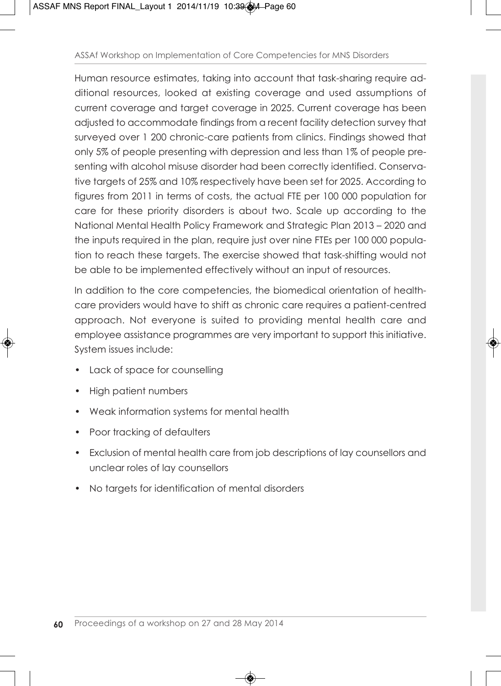Human resource estimates, taking into account that task-sharing require additional resources, looked at existing coverage and used assumptions of current coverage and target coverage in 2025. Current coverage has been adjusted to accommodate findings from a recent facility detection survey that surveyed over 1 200 chronic-care patients from clinics. Findings showed that only 5% of people presenting with depression and less than 1% of people presenting with alcohol misuse disorder had been correctly identified. Conservative targets of 25% and 10% respectively have been set for 2025. According to figures from 2011 in terms of costs, the actual FTE per 100 000 population for care for these priority disorders is about two. Scale up according to the National Mental Health Policy Framework and Strategic Plan 2013 – 2020 and the inputs required in the plan, require just over nine FTEs per 100 000 population to reach these targets. The exercise showed that task-shifting would not be able to be implemented effectively without an input of resources.

In addition to the core competencies, the biomedical orientation of healthcare providers would have to shift as chronic care requires a patient-centred approach. Not everyone is suited to providing mental health care and employee assistance programmes are very important to support this initiative. System issues include:

- Lack of space for counselling
- High patient numbers
- Weak information systems for mental health
- Poor tracking of defaulters
- Exclusion of mental health care from job descriptions of lay counsellors and unclear roles of lay counsellors
- No targets for identification of mental disorders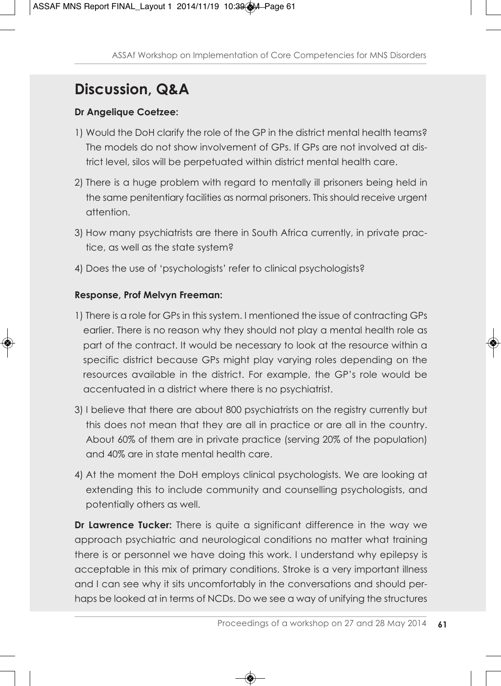# **Discussion, Q&A**

#### **Dr Angelique Coetzee:**

- 1) Would the DoH clarify the role of the GP in the district mental health teams? The models do not show involvement of GPs. If GPs are not involved at district level, silos will be perpetuated within district mental health care.
- 2) There is a huge problem with regard to mentally ill prisoners being held in the same penitentiary facilities as normal prisoners. This should receive urgent attention.
- 3) How many psychiatrists are there in South Africa currently, in private practice, as well as the state system?
- 4) Does the use of 'psychologists' refer to clinical psychologists?

#### **Response, Prof Melvyn Freeman:**

- 1) There is a role for GPs in this system. I mentioned the issue of contracting GPs earlier. There is no reason why they should not play a mental health role as part of the contract. It would be necessary to look at the resource within a specific district because GPs might play varying roles depending on the resources available in the district. For example, the GP's role would be accentuated in a district where there is no psychiatrist.
- 3) I believe that there are about 800 psychiatrists on the registry currently but this does not mean that they are all in practice or are all in the country. About 60% of them are in private practice (serving 20% of the population) and 40% are in state mental health care.
- 4) At the moment the DoH employs clinical psychologists. We are looking at extending this to include community and counselling psychologists, and potentially others as well.

**Dr Lawrence Tucker:** There is quite a significant difference in the way we approach psychiatric and neurological conditions no matter what training there is or personnel we have doing this work. I understand why epilepsy is acceptable in this mix of primary conditions. Stroke is a very important illness and I can see why it sits uncomfortably in the conversations and should perhaps be looked at in terms of NCDs. Do we see a way of unifying the structures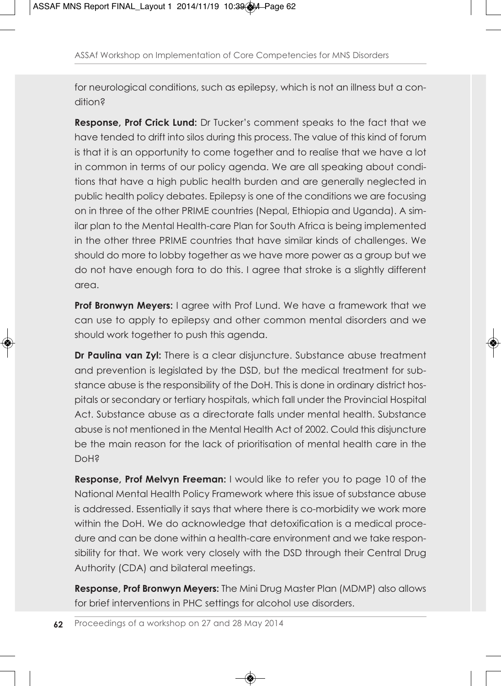for neurological conditions, such as epilepsy, which is not an illness but a condition?

**Response, Prof Crick Lund:** Dr Tucker's comment speaks to the fact that we have tended to drift into silos during this process. The value of this kind of forum is that it is an opportunity to come together and to realise that we have a lot in common in terms of our policy agenda. We are all speaking about conditions that have a high public health burden and are generally neglected in public health policy debates. Epilepsy is one of the conditions we are focusing on in three of the other PRIME countries (Nepal, Ethiopia and Uganda). A similar plan to the Mental Health-care Plan for South Africa is being implemented in the other three PRIME countries that have similar kinds of challenges. We should do more to lobby together as we have more power as a group but we do not have enough fora to do this. I agree that stroke is a slightly different area.

**Prof Bronwyn Meyers:** I agree with Prof Lund. We have a framework that we can use to apply to epilepsy and other common mental disorders and we should work together to push this agenda.

**Dr Paulina van Zyl:** There is a clear disjuncture. Substance abuse treatment and prevention is legislated by the DSD, but the medical treatment for substance abuse is the responsibility of the DoH. This is done in ordinary district hospitals or secondary or tertiary hospitals, which fall under the Provincial Hospital Act. Substance abuse as a directorate falls under mental health. Substance abuse is not mentioned in the Mental Health Act of 2002. Could this disjuncture be the main reason for the lack of prioritisation of mental health care in the DoH?

**Response, Prof Melvyn Freeman:** I would like to refer you to page 10 of the National Mental Health Policy Framework where this issue of substance abuse is addressed. Essentially it says that where there is co-morbidity we work more within the DoH. We do acknowledge that detoxification is a medical procedure and can be done within a health-care environment and we take responsibility for that. We work very closely with the DSD through their Central Drug Authority (CDA) and bilateral meetings.

**Response, Prof Bronwyn Meyers:** The Mini Drug Master Plan (MDMP) also allows for brief interventions in PHC settings for alcohol use disorders.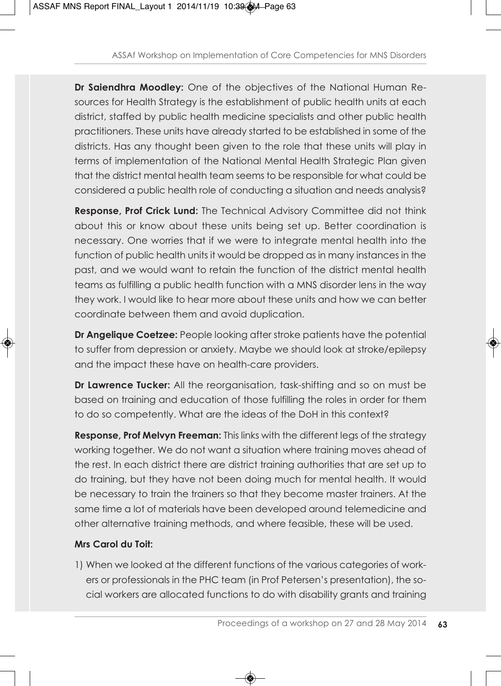**Dr Saiendhra Moodley:** One of the objectives of the National Human Resources for Health Strategy is the establishment of public health units at each district, staffed by public health medicine specialists and other public health practitioners. These units have already started to be established in some of the districts. Has any thought been given to the role that these units will play in terms of implementation of the National Mental Health Strategic Plan given that the district mental health team seems to be responsible for what could be considered a public health role of conducting a situation and needs analysis?

**Response, Prof Crick Lund:** The Technical Advisory Committee did not think about this or know about these units being set up. Better coordination is necessary. One worries that if we were to integrate mental health into the function of public health units it would be dropped as in many instances in the past, and we would want to retain the function of the district mental health teams as fulfilling a public health function with a MNS disorder lens in the way they work. I would like to hear more about these units and how we can better coordinate between them and avoid duplication.

**Dr Angelique Coetzee:** People looking after stroke patients have the potential to suffer from depression or anxiety. Maybe we should look at stroke/epilepsy and the impact these have on health-care providers.

**Dr Lawrence Tucker:** All the reorganisation, task-shifting and so on must be based on training and education of those fulfilling the roles in order for them to do so competently. What are the ideas of the DoH in this context?

**Response, Prof Melvyn Freeman:** This links with the different legs of the strategy working together. We do not want a situation where training moves ahead of the rest. In each district there are district training authorities that are set up to do training, but they have not been doing much for mental health. It would be necessary to train the trainers so that they become master trainers. At the same time a lot of materials have been developed around telemedicine and other alternative training methods, and where feasible, these will be used.

#### **Mrs Carol du Toit:**

1) When we looked at the different functions of the various categories of workers or professionals in the PHC team (in Prof Petersen's presentation), the social workers are allocated functions to do with disability grants and training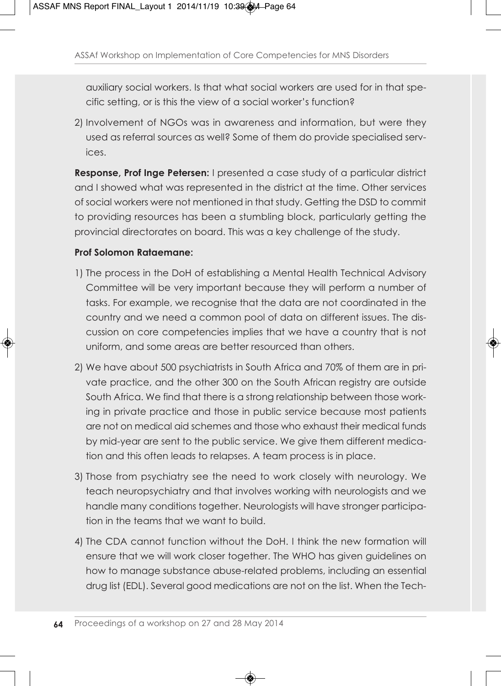auxiliary social workers. Is that what social workers are used for in that specific setting, or is this the view of a social worker's function?

2) Involvement of NGOs was in awareness and information, but were they used as referral sources as well? Some of them do provide specialised services.

**Response, Prof Inge Petersen:** I presented a case study of a particular district and I showed what was represented in the district at the time. Other services of social workers were not mentioned in that study. Getting the DSD to commit to providing resources has been a stumbling block, particularly getting the provincial directorates on board. This was a key challenge of the study.

#### **Prof Solomon Rataemane:**

- 1) The process in the DoH of establishing a Mental Health Technical Advisory Committee will be very important because they will perform a number of tasks. For example, we recognise that the data are not coordinated in the country and we need a common pool of data on different issues. The discussion on core competencies implies that we have a country that is not uniform, and some areas are better resourced than others.
- 2) We have about 500 psychiatrists in South Africa and 70% of them are in private practice, and the other 300 on the South African registry are outside South Africa. We find that there is a strong relationship between those working in private practice and those in public service because most patients are not on medical aid schemes and those who exhaust their medical funds by mid-year are sent to the public service. We give them different medication and this often leads to relapses. A team process is in place.
- 3) Those from psychiatry see the need to work closely with neurology. We teach neuropsychiatry and that involves working with neurologists and we handle many conditions together. Neurologists will have stronger participation in the teams that we want to build.
- 4) The CDA cannot function without the DoH. I think the new formation will ensure that we will work closer together. The WHO has given guidelines on how to manage substance abuse-related problems, including an essential drug list (EDL). Several good medications are not on the list. When the Tech-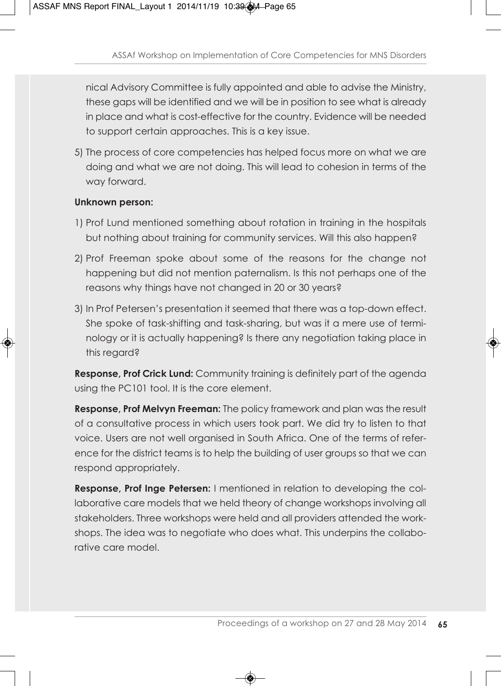nical Advisory Committee is fully appointed and able to advise the Ministry, these gaps will be identified and we will be in position to see what is already in place and what is cost-effective for the country. Evidence will be needed to support certain approaches. This is a key issue.

5) The process of core competencies has helped focus more on what we are doing and what we are not doing. This will lead to cohesion in terms of the way forward.

#### **Unknown person:**

- 1) Prof Lund mentioned something about rotation in training in the hospitals but nothing about training for community services. Will this also happen?
- 2) Prof Freeman spoke about some of the reasons for the change not happening but did not mention paternalism. Is this not perhaps one of the reasons why things have not changed in 20 or 30 years?
- 3) In Prof Petersen's presentation it seemed that there was a top-down effect. She spoke of task-shifting and task-sharing, but was it a mere use of terminology or it is actually happening? Is there any negotiation taking place in this regard?

**Response, Prof Crick Lund:** Community training is definitely part of the agenda using the PC101 tool. It is the core element.

**Response, Prof Melvyn Freeman:** The policy framework and plan was the result of a consultative process in which users took part. We did try to listen to that voice. Users are not well organised in South Africa. One of the terms of reference for the district teams is to help the building of user groups so that we can respond appropriately.

**Response, Prof Inge Petersen:** I mentioned in relation to developing the collaborative care models that we held theory of change workshops involving all stakeholders. Three workshops were held and all providers attended the workshops. The idea was to negotiate who does what. This underpins the collaborative care model.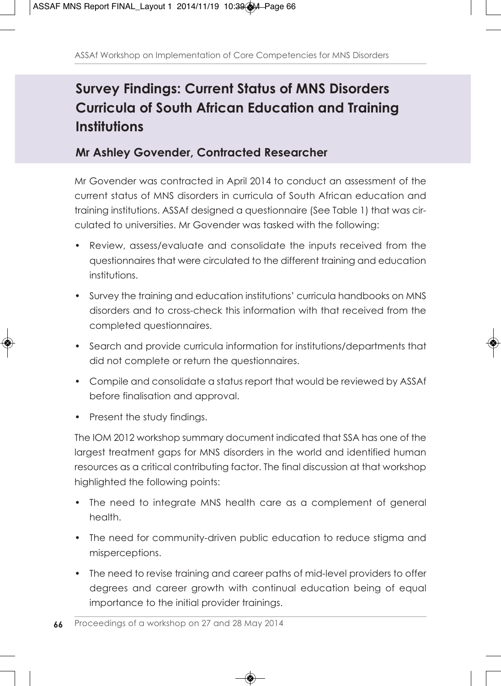# **Survey Findings: Current Status of MNS Disorders Curricula of South African Education and Training Institutions**

#### **Mr Ashley Govender, Contracted Researcher**

Mr Govender was contracted in April 2014 to conduct an assessment of the current status of MNS disorders in curricula of South African education and training institutions. ASSAf designed a questionnaire (See Table 1) that was circulated to universities. Mr Govender was tasked with the following:

- Review, assess/evaluate and consolidate the inputs received from the questionnaires that were circulated to the different training and education institutions.
- Survey the training and education institutions' curricula handbooks on MNS disorders and to cross-check this information with that received from the completed questionnaires.
- Search and provide curricula information for institutions/departments that did not complete or return the questionnaires.
- Compile and consolidate a status report that would be reviewed by ASSAf before finalisation and approval.
- Present the study findings.

The IOM 2012 workshop summary document indicated that SSA has one of the largest treatment gaps for MNS disorders in the world and identified human resources as a critical contributing factor. The final discussion at that workshop highlighted the following points:

- The need to integrate MNS health care as a complement of general health.
- The need for community-driven public education to reduce stigma and misperceptions.
- The need to revise training and career paths of mid-level providers to offer degrees and career growth with continual education being of equal importance to the initial provider trainings.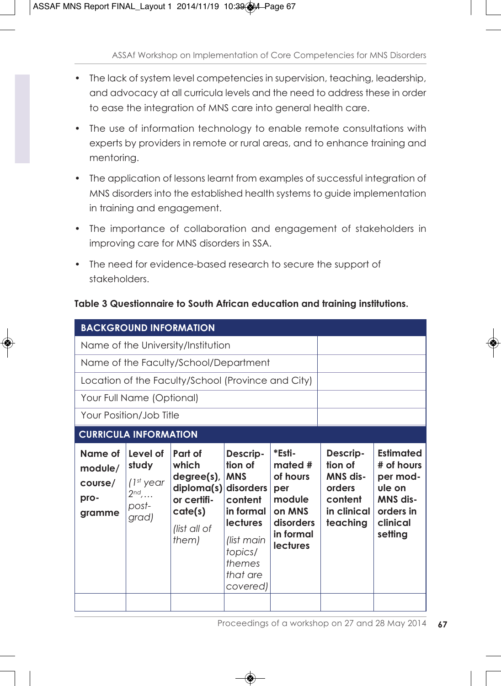- The lack of system level competencies in supervision, teaching, leadership, and advocacy at all curricula levels and the need to address these in order to ease the integration of MNS care into general health care.
- The use of information technology to enable remote consultations with experts by providers in remote or rural areas, and to enhance training and mentoring.
- The application of lessons learnt from examples of successful integration of MNS disorders into the established health systems to guide implementation in training and engagement.
- The importance of collaboration and engagement of stakeholders in improving care for MNS disorders in SSA.
- The need for evidence-based research to secure the support of stakeholders.

| <b>BACKGROUND INFORMATION</b>                      |                                                                           |                                                                                                                |                                                                                                                                        |                                                                                                       |                                                                                 |                                                                                                      |  |
|----------------------------------------------------|---------------------------------------------------------------------------|----------------------------------------------------------------------------------------------------------------|----------------------------------------------------------------------------------------------------------------------------------------|-------------------------------------------------------------------------------------------------------|---------------------------------------------------------------------------------|------------------------------------------------------------------------------------------------------|--|
|                                                    | Name of the University/Institution                                        |                                                                                                                |                                                                                                                                        |                                                                                                       |                                                                                 |                                                                                                      |  |
|                                                    | Name of the Faculty/School/Department                                     |                                                                                                                |                                                                                                                                        |                                                                                                       |                                                                                 |                                                                                                      |  |
| Location of the Faculty/School (Province and City) |                                                                           |                                                                                                                |                                                                                                                                        |                                                                                                       |                                                                                 |                                                                                                      |  |
| Your Full Name (Optional)                          |                                                                           |                                                                                                                |                                                                                                                                        |                                                                                                       |                                                                                 |                                                                                                      |  |
| Your Position/Job Title                            |                                                                           |                                                                                                                |                                                                                                                                        |                                                                                                       |                                                                                 |                                                                                                      |  |
| <b>CURRICULA INFORMATION</b>                       |                                                                           |                                                                                                                |                                                                                                                                        |                                                                                                       |                                                                                 |                                                                                                      |  |
| Name of<br>module/<br>course/<br>pro-<br>gramme    | Level of<br>study<br>$(1^{st}$ year<br>$2^{nd}, \ldots$<br>post-<br>grad) | Part of<br>which<br>$degree(s)$ ,<br>$diploma(s)$ disorders<br>or certifi-<br>cate(s)<br>(list all of<br>them) | Descrip-<br>tion of<br><b>MNS</b><br>content<br>in formal<br><b>lectures</b><br>list main<br>topics/<br>themes<br>that are<br>covered) | *Esti-<br>mated #<br>of hours<br>per<br>module<br>on MNS<br>disorders<br>in formal<br><b>lectures</b> | Descrip-<br>tion of<br>MNS dis-<br>orders<br>content<br>in clinical<br>teaching | <b>Estimated</b><br># of hours<br>per mod-<br>ule on<br>MNS dis-<br>orders in<br>clinical<br>setting |  |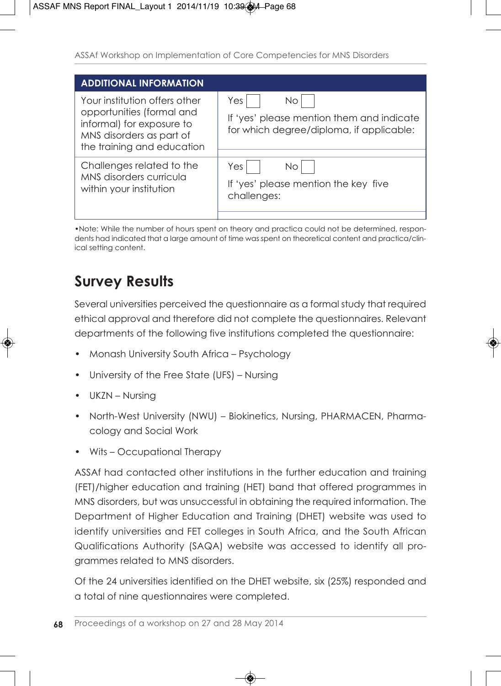| <b>ADDITIONAL INFORMATION</b>                                                                                                                     |                                                                                                     |  |  |  |
|---------------------------------------------------------------------------------------------------------------------------------------------------|-----------------------------------------------------------------------------------------------------|--|--|--|
| Your institution offers other<br>opportunities (formal and<br>informal) for exposure to<br>MNS disorders as part of<br>the training and education | Yes<br>No.<br>If 'yes' please mention them and indicate<br>for which degree/diploma, if applicable: |  |  |  |
| Challenges related to the<br>MNS disorders curricula<br>within your institution                                                                   | Yes<br>No<br>If 'yes' please mention the key five<br>challenges:                                    |  |  |  |

•Note: While the number of hours spent on theory and practica could not be determined, respondents had indicated that a large amount of time was spent on theoretical content and practica/clinical setting content.

# **Survey Results**

Several universities perceived the questionnaire as a formal study that required ethical approval and therefore did not complete the questionnaires. Relevant departments of the following five institutions completed the questionnaire:

- Monash University South Africa Psychology
- University of the Free State (UFS) Nursing
- UKZN Nursing
- North-West University (NWU) Biokinetics, Nursing, PHARMACEN, Pharmacology and Social Work
- Wits Occupational Therapy

ASSAf had contacted other institutions in the further education and training (FET)/higher education and training (HET) band that offered programmes in MNS disorders, but was unsuccessful in obtaining the required information. The Department of Higher Education and Training (DHET) website was used to identify universities and FET colleges in South Africa, and the South African Qualifications Authority (SAQA) website was accessed to identify all programmes related to MNS disorders.

Of the 24 universities identified on the DHET website, six (25%) responded and a total of nine questionnaires were completed.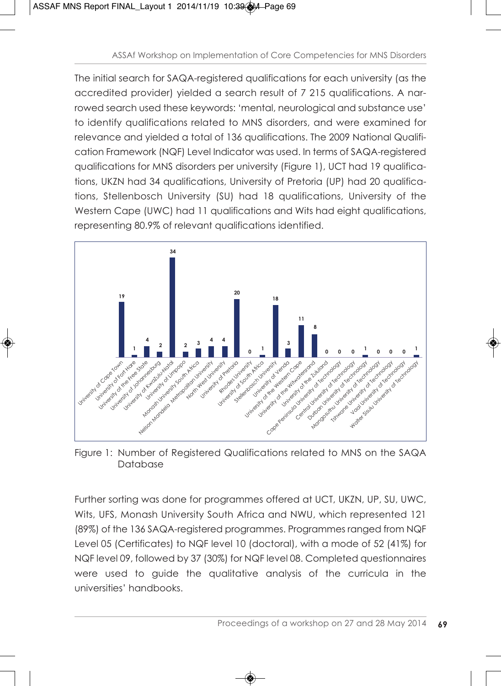The initial search for SAQA-registered qualifications for each university (as the accredited provider) yielded a search result of 7 215 qualifications. A narrowed search used these keywords: 'mental, neurological and substance use' to identify qualifications related to MNS disorders, and were examined for relevance and yielded a total of 136 qualifications. The 2009 National Qualification Framework (NQF) Level Indicator was used. In terms of SAQA-registered qualifications for MNS disorders per university (Figure 1), UCT had 19 qualifications, UKZN had 34 qualifications, University of Pretoria (UP) had 20 qualifications, Stellenbosch University (SU) had 18 qualifications, University of the Western Cape (UWC) had 11 qualifications and Wits had eight qualifications, representing 80.9% of relevant qualifications identified.



Figure 1: Number of Registered Qualifications related to MNS on the SAQA Database

Further sorting was done for programmes offered at UCT, UKZN, UP, SU, UWC, Wits, UFS, Monash University South Africa and NWU, which represented 121 (89%) of the 136 SAQA-registered programmes. Programmes ranged from NQF Level 05 (Certificates) to NQF level 10 (doctoral), with a mode of 52 (41%) for NQF level 09, followed by 37 (30%) for NQF level 08. Completed questionnaires were used to guide the qualitative analysis of the curricula in the universities' handbooks.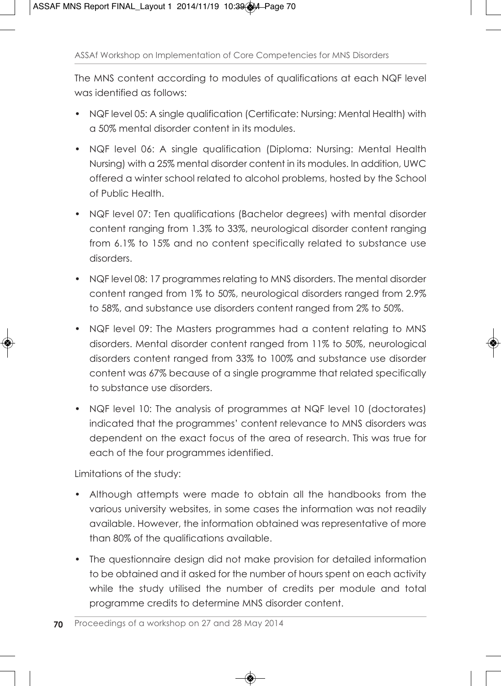The MNS content according to modules of qualifications at each NQF level was identified as follows:

- NQF level 05: A single qualification (Certificate: Nursing: Mental Health) with a 50% mental disorder content in its modules.
- NQF level 06: A single qualification (Diploma: Nursing: Mental Health Nursing) with a 25% mental disorder content in its modules. In addition, UWC offered a winter school related to alcohol problems, hosted by the School of Public Health.
- NQF level 07: Ten qualifications (Bachelor degrees) with mental disorder content ranging from 1.3% to 33%, neurological disorder content ranging from 6.1% to 15% and no content specifically related to substance use disorders.
- NQF level 08: 17 programmes relating to MNS disorders. The mental disorder content ranged from 1% to 50%, neurological disorders ranged from 2.9% to 58%, and substance use disorders content ranged from 2% to 50%.
- NQF level 09: The Masters programmes had a content relating to MNS disorders. Mental disorder content ranged from 11% to 50%, neurological disorders content ranged from 33% to 100% and substance use disorder content was 67% because of a single programme that related specifically to substance use disorders.
- NQF level 10: The analysis of programmes at NQF level 10 (doctorates) indicated that the programmes' content relevance to MNS disorders was dependent on the exact focus of the area of research. This was true for each of the four programmes identified.

Limitations of the study:

- Although attempts were made to obtain all the handbooks from the various university websites, in some cases the information was not readily available. However, the information obtained was representative of more than 80% of the qualifications available.
- The questionnaire design did not make provision for detailed information to be obtained and it asked for the number of hours spent on each activity while the study utilised the number of credits per module and total programme credits to determine MNS disorder content.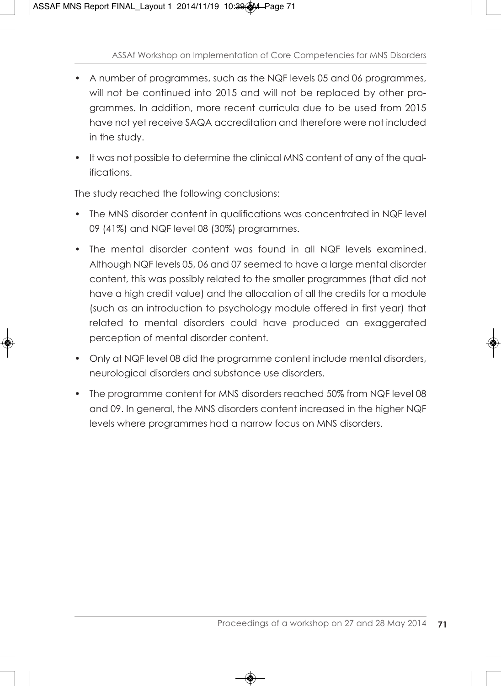- A number of programmes, such as the NQF levels 05 and 06 programmes, will not be continued into 2015 and will not be replaced by other programmes. In addition, more recent curricula due to be used from 2015 have not yet receive SAQA accreditation and therefore were not included in the study.
- It was not possible to determine the clinical MNS content of any of the qualifications.

The study reached the following conclusions:

- The MNS disorder content in qualifications was concentrated in NQF level 09 (41%) and NQF level 08 (30%) programmes.
- The mental disorder content was found in all NQF levels examined. Although NQF levels 05, 06 and 07 seemed to have a large mental disorder content, this was possibly related to the smaller programmes (that did not have a high credit value) and the allocation of all the credits for a module (such as an introduction to psychology module offered in first year) that related to mental disorders could have produced an exaggerated perception of mental disorder content.
- Only at NQF level 08 did the programme content include mental disorders, neurological disorders and substance use disorders.
- The programme content for MNS disorders reached 50% from NQF level 08 and 09. In general, the MNS disorders content increased in the higher NQF levels where programmes had a narrow focus on MNS disorders.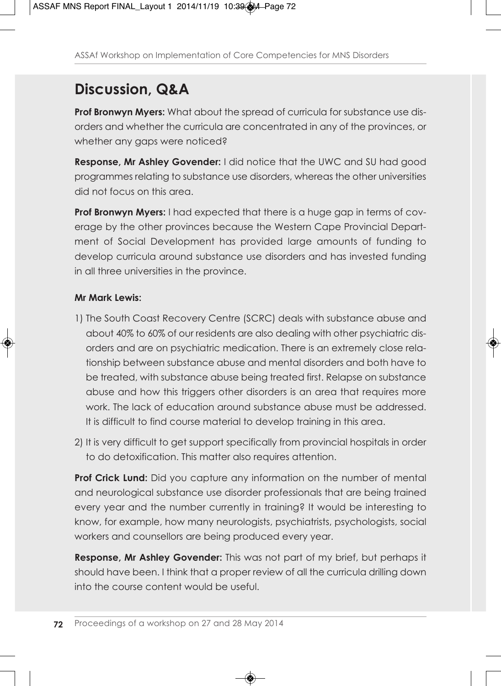# **Discussion, Q&A**

**Prof Bronwyn Myers:** What about the spread of curricula for substance use disorders and whether the curricula are concentrated in any of the provinces, or whether any gaps were noticed?

**Response, Mr Ashley Govender:** I did notice that the UWC and SU had good programmes relating to substance use disorders, whereas the other universities did not focus on this area.

**Prof Bronwyn Myers:** I had expected that there is a huge gap in terms of coverage by the other provinces because the Western Cape Provincial Department of Social Development has provided large amounts of funding to develop curricula around substance use disorders and has invested funding in all three universities in the province.

#### **Mr Mark Lewis:**

- 1) The South Coast Recovery Centre (SCRC) deals with substance abuse and about 40% to 60% of our residents are also dealing with other psychiatric disorders and are on psychiatric medication. There is an extremely close relationship between substance abuse and mental disorders and both have to be treated, with substance abuse being treated first. Relapse on substance abuse and how this triggers other disorders is an area that requires more work. The lack of education around substance abuse must be addressed. It is difficult to find course material to develop training in this area.
- 2) It is very difficult to get support specifically from provincial hospitals in order to do detoxification. This matter also requires attention.

**Prof Crick Lund:** Did you capture any information on the number of mental and neurological substance use disorder professionals that are being trained every year and the number currently in training? It would be interesting to know, for example, how many neurologists, psychiatrists, psychologists, social workers and counsellors are being produced every year.

**Response, Mr Ashley Govender:** This was not part of my brief, but perhaps it should have been. I think that a proper review of all the curricula drilling down into the course content would be useful.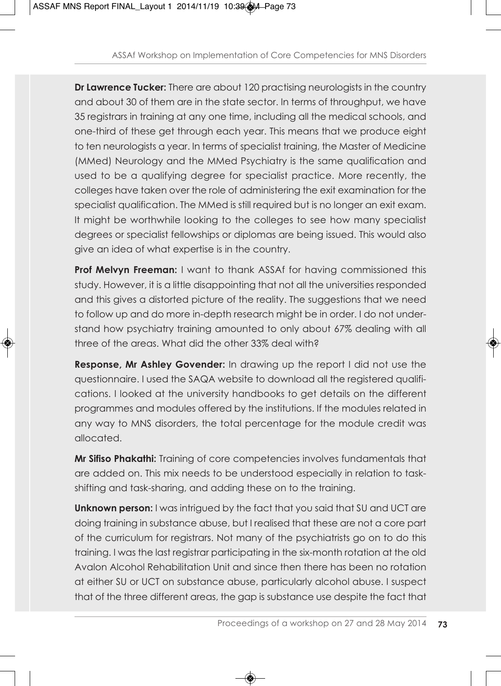**Dr Lawrence Tucker:** There are about 120 practising neurologists in the country and about 30 of them are in the state sector. In terms of throughput, we have 35 registrars in training at any one time, including all the medical schools, and one-third of these get through each year. This means that we produce eight to ten neurologists a year. In terms of specialist training, the Master of Medicine (MMed) Neurology and the MMed Psychiatry is the same qualification and used to be a qualifying degree for specialist practice. More recently, the colleges have taken over the role of administering the exit examination for the specialist qualification. The MMed is still required but is no longer an exit exam. It might be worthwhile looking to the colleges to see how many specialist degrees or specialist fellowships or diplomas are being issued. This would also give an idea of what expertise is in the country.

**Prof Melvyn Freeman:** I want to thank ASSAf for having commissioned this study. However, it is a little disappointing that not all the universities responded and this gives a distorted picture of the reality. The suggestions that we need to follow up and do more in-depth research might be in order. I do not understand how psychiatry training amounted to only about 67% dealing with all three of the areas. What did the other 33% deal with?

**Response, Mr Ashley Govender:** In drawing up the report I did not use the questionnaire. I used the SAQA website to download all the registered qualifications. I looked at the university handbooks to get details on the different programmes and modules offered by the institutions. If the modules related in any way to MNS disorders, the total percentage for the module credit was allocated.

**Mr Sifiso Phakathi:** Training of core competencies involves fundamentals that are added on. This mix needs to be understood especially in relation to taskshifting and task-sharing, and adding these on to the training.

**Unknown person:** I was intrigued by the fact that you said that SU and UCT are doing training in substance abuse, but I realised that these are not a core part of the curriculum for registrars. Not many of the psychiatrists go on to do this training. I was the last registrar participating in the six-month rotation at the old Avalon Alcohol Rehabilitation Unit and since then there has been no rotation at either SU or UCT on substance abuse, particularly alcohol abuse. I suspect that of the three different areas, the gap is substance use despite the fact that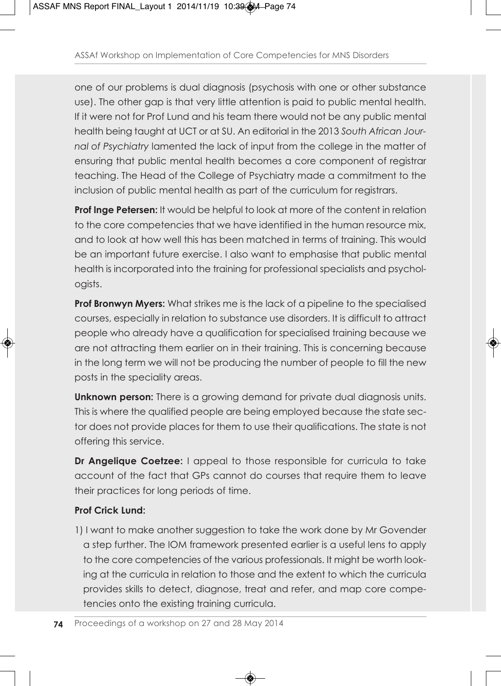one of our problems is dual diagnosis (psychosis with one or other substance use). The other gap is that very little attention is paid to public mental health. If it were not for Prof Lund and his team there would not be any public mental health being taught at UCT or at SU. An editorial in the 2013 *South African Journal of Psychiatry* lamented the lack of input from the college in the matter of ensuring that public mental health becomes a core component of registrar teaching. The Head of the College of Psychiatry made a commitment to the inclusion of public mental health as part of the curriculum for registrars.

**Prof Inge Petersen:** It would be helpful to look at more of the content in relation to the core competencies that we have identified in the human resource mix, and to look at how well this has been matched in terms of training. This would be an important future exercise. I also want to emphasise that public mental health is incorporated into the training for professional specialists and psychologists.

**Prof Bronwyn Myers:** What strikes me is the lack of a pipeline to the specialised courses, especially in relation to substance use disorders. It is difficult to attract people who already have a qualification for specialised training because we are not attracting them earlier on in their training. This is concerning because in the long term we will not be producing the number of people to fill the new posts in the speciality areas.

**Unknown person:** There is a growing demand for private dual diagnosis units. This is where the qualified people are being employed because the state sector does not provide places for them to use their qualifications. The state is not offering this service.

**Dr Angelique Coetzee:** I appeal to those responsible for curricula to take account of the fact that GPs cannot do courses that require them to leave their practices for long periods of time.

### **Prof Crick Lund:**

1) I want to make another suggestion to take the work done by Mr Govender a step further. The IOM framework presented earlier is a useful lens to apply to the core competencies of the various professionals. It might be worth looking at the curricula in relation to those and the extent to which the curricula provides skills to detect, diagnose, treat and refer, and map core competencies onto the existing training curricula.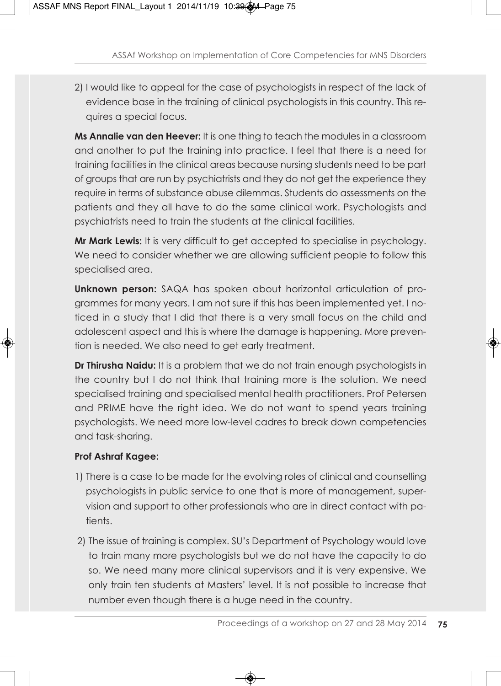2) I would like to appeal for the case of psychologists in respect of the lack of evidence base in the training of clinical psychologists in this country. This requires a special focus.

**Ms Annalie van den Heever:** It is one thing to teach the modules in a classroom and another to put the training into practice. I feel that there is a need for training facilities in the clinical areas because nursing students need to be part of groups that are run by psychiatrists and they do not get the experience they require in terms of substance abuse dilemmas. Students do assessments on the patients and they all have to do the same clinical work. Psychologists and psychiatrists need to train the students at the clinical facilities.

**Mr Mark Lewis:** It is very difficult to get accepted to specialise in psychology. We need to consider whether we are allowing sufficient people to follow this specialised area.

**Unknown person:** SAQA has spoken about horizontal articulation of programmes for many years. I am not sure if this has been implemented yet. I noticed in a study that I did that there is a very small focus on the child and adolescent aspect and this is where the damage is happening. More prevention is needed. We also need to get early treatment.

**Dr Thirusha Naidu:** It is a problem that we do not train enough psychologists in the country but I do not think that training more is the solution. We need specialised training and specialised mental health practitioners. Prof Petersen and PRIME have the right idea. We do not want to spend years training psychologists. We need more low-level cadres to break down competencies and task-sharing.

### **Prof Ashraf Kagee:**

- 1) There is a case to be made for the evolving roles of clinical and counselling psychologists in public service to one that is more of management, supervision and support to other professionals who are in direct contact with patients.
- 2) The issue of training is complex. SU's Department of Psychology would love to train many more psychologists but we do not have the capacity to do so. We need many more clinical supervisors and it is very expensive. We only train ten students at Masters' level. It is not possible to increase that number even though there is a huge need in the country.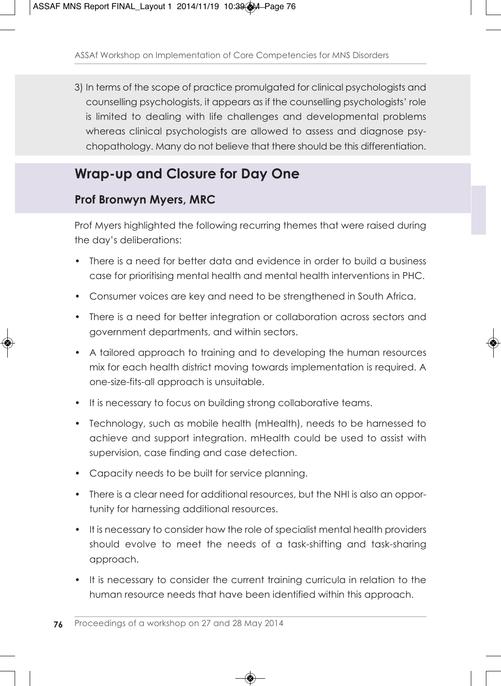3) In terms of the scope of practice promulgated for clinical psychologists and counselling psychologists, it appears as if the counselling psychologists' role is limited to dealing with life challenges and developmental problems whereas clinical psychologists are allowed to assess and diagnose psychopathology. Many do not believe that there should be this differentiation.

### **Wrap-up and Closure for Day One**

### **Prof Bronwyn Myers, MRC**

Prof Myers highlighted the following recurring themes that were raised during the day's deliberations:

- There is a need for better data and evidence in order to build a business case for prioritising mental health and mental health interventions in PHC.
- Consumer voices are key and need to be strengthened in South Africa.
- There is a need for better integration or collaboration across sectors and government departments, and within sectors.
- A tailored approach to training and to developing the human resources mix for each health district moving towards implementation is required. A one-size-fits-all approach is unsuitable.
- It is necessary to focus on building strong collaborative teams.
- Technology, such as mobile health (mHealth), needs to be harnessed to achieve and support integration. mHealth could be used to assist with supervision, case finding and case detection.
- Capacity needs to be built for service planning.
- There is a clear need for additional resources, but the NHI is also an opportunity for harnessing additional resources.
- It is necessary to consider how the role of specialist mental health providers should evolve to meet the needs of a task-shifting and task-sharing approach.
- It is necessary to consider the current training curricula in relation to the human resource needs that have been identified within this approach.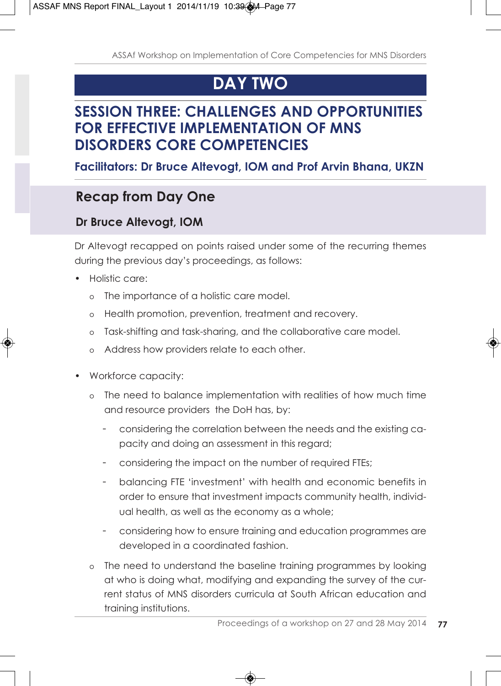# **DAY TWO**

### **SESSION THREE: CHALLENGES AND OPPORTUNITIES FOR EFFECTIVE IMPLEMENTATION OF MNS DISORDERS CORE COMPETENCIES**

### **Facilitators: Dr Bruce Altevogt, IOM and Prof Arvin Bhana, UKZN**

## **Recap from Day One**

### **Dr Bruce Altevogt, IOM**

Dr Altevogt recapped on points raised under some of the recurring themes during the previous day's proceedings, as follows:

- Holistic care:
	- o The importance of a holistic care model.
	- o Health promotion, prevention, treatment and recovery.
	- o Task-shifting and task-sharing, and the collaborative care model.
	- o Address how providers relate to each other.
- Workforce capacity:
	- o The need to balance implementation with realities of how much time and resource providers the DoH has, by:
		- considering the correlation between the needs and the existing capacity and doing an assessment in this regard;
		- considering the impact on the number of required FTEs;
		- balancing FTE 'investment' with health and economic benefits in order to ensure that investment impacts community health, individual health, as well as the economy as a whole;
		- considering how to ensure training and education programmes are developed in a coordinated fashion.
	- o The need to understand the baseline training programmes by looking at who is doing what, modifying and expanding the survey of the current status of MNS disorders curricula at South African education and training institutions.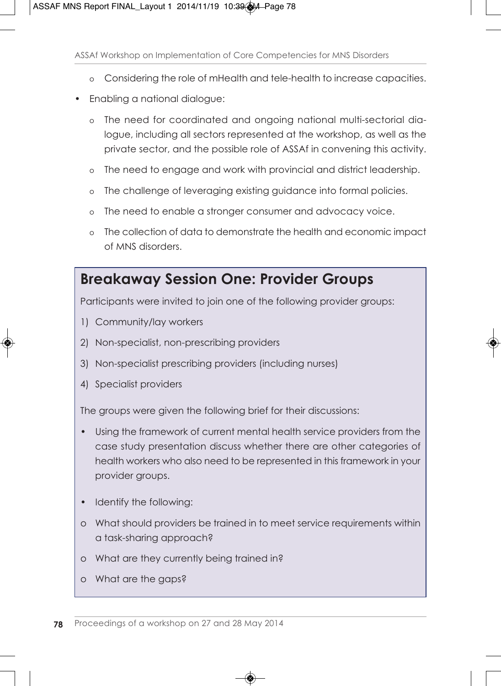- o Considering the role of mHealth and tele-health to increase capacities.
- Enabling a national dialogue:
	- o The need for coordinated and ongoing national multi-sectorial dialogue, including all sectors represented at the workshop, as well as the private sector, and the possible role of ASSAf in convening this activity.
	- o The need to engage and work with provincial and district leadership.
	- o The challenge of leveraging existing guidance into formal policies.
	- o The need to enable a stronger consumer and advocacy voice.
	- o The collection of data to demonstrate the health and economic impact of MNS disorders.

### **Breakaway Session One: Provider Groups**

Participants were invited to join one of the following provider groups:

- 1) Community/lay workers
- 2) Non-specialist, non-prescribing providers
- 3) Non-specialist prescribing providers (including nurses)
- 4) Specialist providers

The groups were given the following brief for their discussions:

- Using the framework of current mental health service providers from the case study presentation discuss whether there are other categories of health workers who also need to be represented in this framework in your provider groups.
- Identify the following:
- o What should providers be trained in to meet service requirements within a task-sharing approach?
- o What are they currently being trained in?
- o What are the gaps?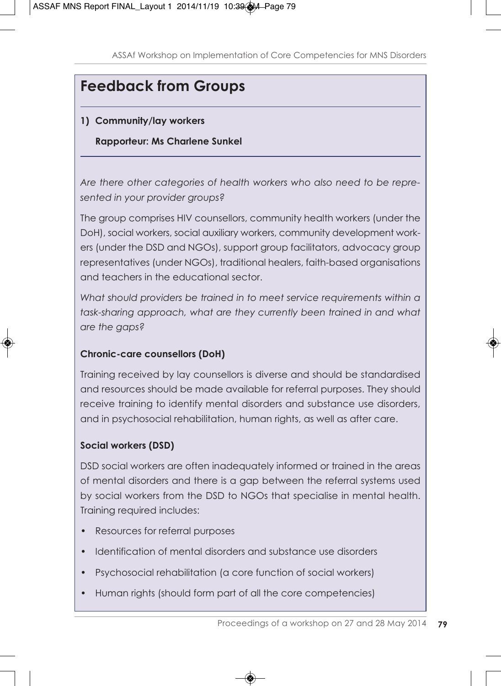# **Feedback from Groups**

### **1) Community/lay workers**

#### **Rapporteur: Ms Charlene Sunkel**

*Are there other categories of health workers who also need to be represented in your provider groups?*

The group comprises HIV counsellors, community health workers (under the DoH), social workers, social auxiliary workers, community development workers (under the DSD and NGOs), support group facilitators, advocacy group representatives (under NGOs), traditional healers, faith-based organisations and teachers in the educational sector.

*What should providers be trained in to meet service requirements within a task-sharing approach, what are they currently been trained in and what are the gaps?*

#### **Chronic-care counsellors (DoH)**

Training received by lay counsellors is diverse and should be standardised and resources should be made available for referral purposes. They should receive training to identify mental disorders and substance use disorders, and in psychosocial rehabilitation, human rights, as well as after care.

### **Social workers (DSD)**

DSD social workers are often inadequately informed or trained in the areas of mental disorders and there is a gap between the referral systems used by social workers from the DSD to NGOs that specialise in mental health. Training required includes:

- Resources for referral purposes
- Identification of mental disorders and substance use disorders
- Psychosocial rehabilitation (a core function of social workers)
- Human rights (should form part of all the core competencies)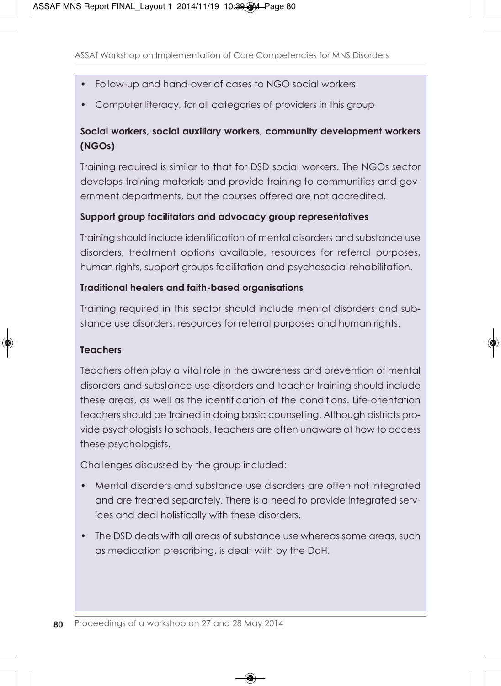- Follow-up and hand-over of cases to NGO social workers
- Computer literacy, for all categories of providers in this group

### **Social workers, social auxiliary workers, community development workers (NGOs)**

Training required is similar to that for DSD social workers. The NGOs sector develops training materials and provide training to communities and government departments, but the courses offered are not accredited.

### **Support group facilitators and advocacy group representatives**

Training should include identification of mental disorders and substance use disorders, treatment options available, resources for referral purposes, human rights, support groups facilitation and psychosocial rehabilitation.

### **Traditional healers and faith-based organisations**

Training required in this sector should include mental disorders and substance use disorders, resources for referral purposes and human rights.

#### **Teachers**

Teachers often play a vital role in the awareness and prevention of mental disorders and substance use disorders and teacher training should include these areas, as well as the identification of the conditions. Life-orientation teachers should be trained in doing basic counselling. Although districts provide psychologists to schools, teachers are often unaware of how to access these psychologists.

Challenges discussed by the group included:

- Mental disorders and substance use disorders are often not integrated and are treated separately. There is a need to provide integrated services and deal holistically with these disorders.
- The DSD deals with all areas of substance use whereas some areas, such as medication prescribing, is dealt with by the DoH.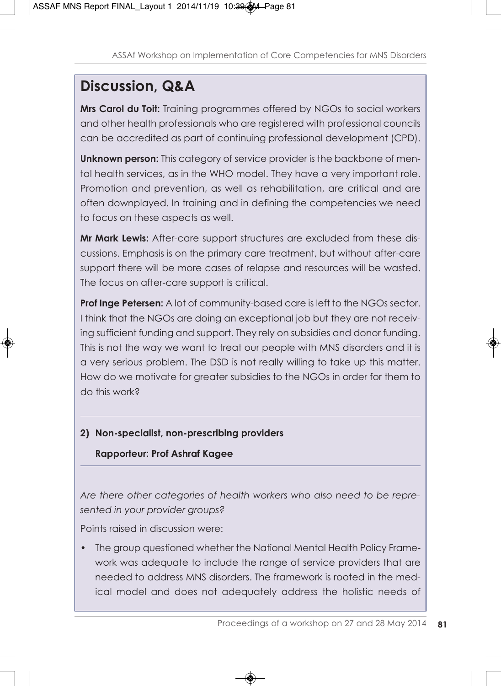# **Discussion, Q&A**

**Mrs Carol du Toit:** Training programmes offered by NGOs to social workers and other health professionals who are registered with professional councils can be accredited as part of continuing professional development (CPD).

**Unknown person:** This category of service provider is the backbone of mental health services, as in the WHO model. They have a very important role. Promotion and prevention, as well as rehabilitation, are critical and are often downplayed. In training and in defining the competencies we need to focus on these aspects as well.

**Mr Mark Lewis:** After-care support structures are excluded from these discussions. Emphasis is on the primary care treatment, but without after-care support there will be more cases of relapse and resources will be wasted. The focus on after-care support is critical.

**Prof Inge Petersen:** A lot of community-based care is left to the NGOs sector. I think that the NGOs are doing an exceptional job but they are not receiving sufficient funding and support. They rely on subsidies and donor funding. This is not the way we want to treat our people with MNS disorders and it is a very serious problem. The DSD is not really willing to take up this matter. How do we motivate for greater subsidies to the NGOs in order for them to do this work?

### **2) Non-specialist, non-prescribing providers**

### **Rapporteur: Prof Ashraf Kagee**

*Are there other categories of health workers who also need to be represented in your provider groups?*

Points raised in discussion were:

• The group questioned whether the National Mental Health Policy Framework was adequate to include the range of service providers that are needed to address MNS disorders. The framework is rooted in the medical model and does not adequately address the holistic needs of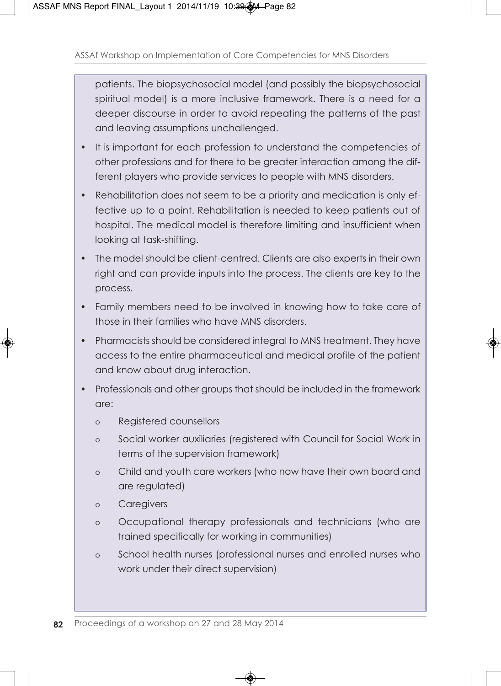patients. The biopsychosocial model (and possibly the biopsychosocial spiritual model) is a more inclusive framework. There is a need for a deeper discourse in order to avoid repeating the patterns of the past and leaving assumptions unchallenged.

- It is important for each profession to understand the competencies of other professions and for there to be greater interaction among the different players who provide services to people with MNS disorders.
- Rehabilitation does not seem to be a priority and medication is only effective up to a point. Rehabilitation is needed to keep patients out of hospital. The medical model is therefore limiting and insufficient when looking at task-shifting.
- The model should be client-centred. Clients are also experts in their own right and can provide inputs into the process. The clients are key to the process.
- Family members need to be involved in knowing how to take care of those in their families who have MNS disorders.
- Pharmacists should be considered integral to MNS treatment. They have access to the entire pharmaceutical and medical profile of the patient and know about drug interaction.
- Professionals and other groups that should be included in the framework are:
	- o Registered counsellors
	- o Social worker auxiliaries (registered with Council for Social Work in terms of the supervision framework)
	- o Child and youth care workers (who now have their own board and are regulated)
	- o Caregivers
	- o Occupational therapy professionals and technicians (who are trained specifically for working in communities)
	- o School health nurses (professional nurses and enrolled nurses who work under their direct supervision)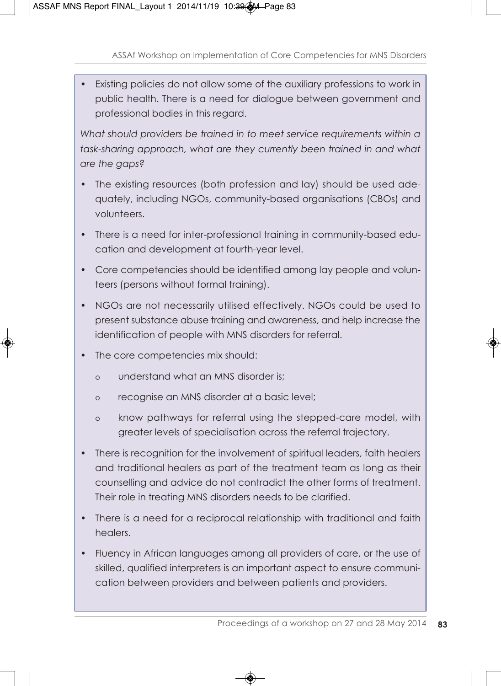• Existing policies do not allow some of the auxiliary professions to work in public health. There is a need for dialogue between government and professional bodies in this regard.

*What should providers be trained in to meet service requirements within a task-sharing approach, what are they currently been trained in and what are the gaps?*

- The existing resources (both profession and lay) should be used adequately, including NGOs, community-based organisations (CBOs) and volunteers.
- There is a need for inter-professional training in community-based education and development at fourth-year level.
- Core competencies should be identified among lay people and volunteers (persons without formal training).
- NGOs are not necessarily utilised effectively. NGOs could be used to present substance abuse training and awareness, and help increase the identification of people with MNS disorders for referral.
- The core competencies mix should:
	- o understand what an MNS disorder is;
	- o recognise an MNS disorder at a basic level;
	- o know pathways for referral using the stepped-care model, with greater levels of specialisation across the referral trajectory.
- There is recognition for the involvement of spiritual leaders, faith healers and traditional healers as part of the treatment team as long as their counselling and advice do not contradict the other forms of treatment. Their role in treating MNS disorders needs to be clarified.
- There is a need for a reciprocal relationship with traditional and faith healers.
- Fluency in African languages among all providers of care, or the use of skilled, qualified interpreters is an important aspect to ensure communication between providers and between patients and providers.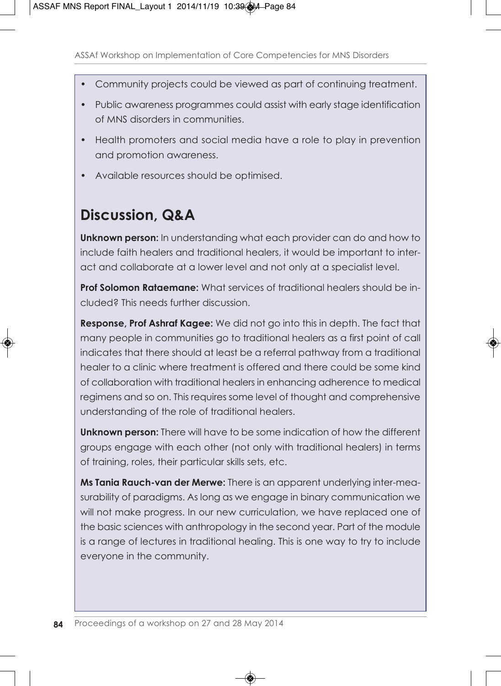- Community projects could be viewed as part of continuing treatment.
- Public awareness programmes could assist with early stage identification of MNS disorders in communities.
- Health promoters and social media have a role to play in prevention and promotion awareness.
- Available resources should be optimised.

## **Discussion, Q&A**

**Unknown person:** In understanding what each provider can do and how to include faith healers and traditional healers, it would be important to interact and collaborate at a lower level and not only at a specialist level.

**Prof Solomon Rataemane:** What services of traditional healers should be included? This needs further discussion.

**Response, Prof Ashraf Kagee:** We did not go into this in depth. The fact that many people in communities go to traditional healers as a first point of call indicates that there should at least be a referral pathway from a traditional healer to a clinic where treatment is offered and there could be some kind of collaboration with traditional healers in enhancing adherence to medical regimens and so on. This requires some level of thought and comprehensive understanding of the role of traditional healers.

**Unknown person:** There will have to be some indication of how the different groups engage with each other (not only with traditional healers) in terms of training, roles, their particular skills sets, etc.

**Ms Tania Rauch-van der Merwe:** There is an apparent underlying inter-measurability of paradigms. As long as we engage in binary communication we will not make progress. In our new curriculation, we have replaced one of the basic sciences with anthropology in the second year. Part of the module is a range of lectures in traditional healing. This is one way to try to include everyone in the community.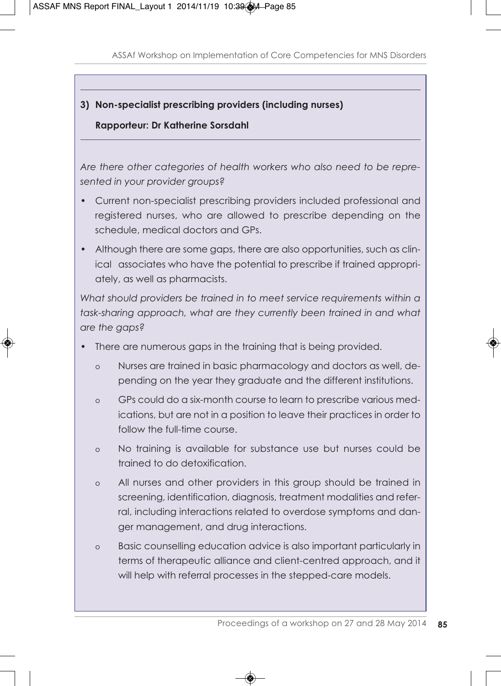#### **3) Non-specialist prescribing providers (including nurses)**

#### **Rapporteur: Dr Katherine Sorsdahl**

*Are there other categories of health workers who also need to be represented in your provider groups?*

- Current non-specialist prescribing providers included professional and registered nurses, who are allowed to prescribe depending on the schedule, medical doctors and GPs.
- Although there are some gaps, there are also opportunities, such as clinical associates who have the potential to prescribe if trained appropriately, as well as pharmacists.

*What should providers be trained in to meet service requirements within a task-sharing approach, what are they currently been trained in and what are the gaps?*

- There are numerous gaps in the training that is being provided.
	- o Nurses are trained in basic pharmacology and doctors as well, depending on the year they graduate and the different institutions.
	- o GPs could do a six-month course to learn to prescribe various medications, but are not in a position to leave their practices in order to follow the full-time course.
	- o No training is available for substance use but nurses could be trained to do detoxification.
	- o All nurses and other providers in this group should be trained in screening, identification, diagnosis, treatment modalities and referral, including interactions related to overdose symptoms and danger management, and drug interactions.
	- o Basic counselling education advice is also important particularly in terms of therapeutic alliance and client-centred approach, and it will help with referral processes in the stepped-care models.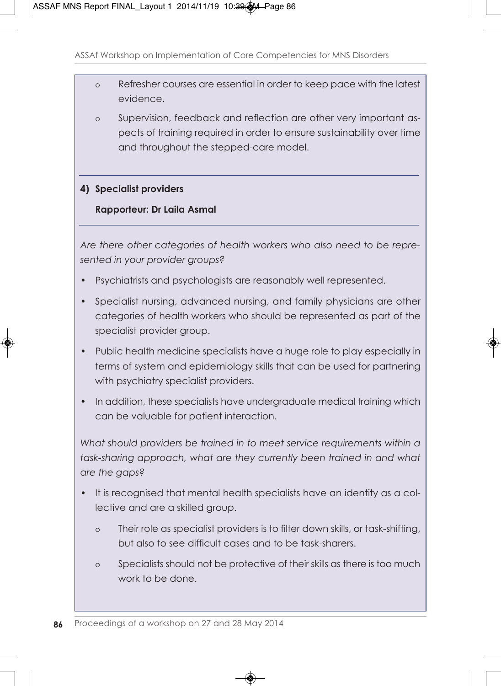- o Refresher courses are essential in order to keep pace with the latest evidence.
- o Supervision, feedback and reflection are other very important aspects of training required in order to ensure sustainability over time and throughout the stepped-care model.

#### **4) Specialist providers**

#### **Rapporteur: Dr Laila Asmal**

*Are there other categories of health workers who also need to be represented in your provider groups?*

- Psychiatrists and psychologists are reasonably well represented.
- Specialist nursing, advanced nursing, and family physicians are other categories of health workers who should be represented as part of the specialist provider group.
- Public health medicine specialists have a huge role to play especially in terms of system and epidemiology skills that can be used for partnering with psychiatry specialist providers.
- In addition, these specialists have undergraduate medical training which can be valuable for patient interaction.

*What should providers be trained in to meet service requirements within a task-sharing approach, what are they currently been trained in and what are the gaps?*

- It is recognised that mental health specialists have an identity as a collective and are a skilled group.
	- o Their role as specialist providers is to filter down skills, or task-shifting, but also to see difficult cases and to be task-sharers.
	- o Specialists should not be protective of their skills as there is too much work to be done.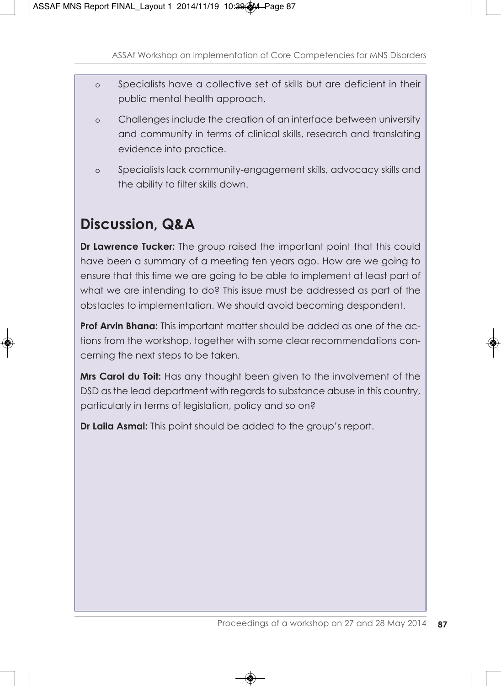- o Specialists have a collective set of skills but are deficient in their public mental health approach.
- o Challenges include the creation of an interface between university and community in terms of clinical skills, research and translating evidence into practice.
- o Specialists lack community-engagement skills, advocacy skills and the ability to filter skills down.

# **Discussion, Q&A**

**Dr Lawrence Tucker:** The group raised the important point that this could have been a summary of a meeting ten years ago. How are we going to ensure that this time we are going to be able to implement at least part of what we are intending to do? This issue must be addressed as part of the obstacles to implementation. We should avoid becoming despondent.

**Prof Arvin Bhana:** This important matter should be added as one of the actions from the workshop, together with some clear recommendations concerning the next steps to be taken.

**Mrs Carol du Toit:** Has any thought been given to the involvement of the DSD as the lead department with regards to substance abuse in this country, particularly in terms of legislation, policy and so on?

**Dr Laila Asmal:** This point should be added to the group's report.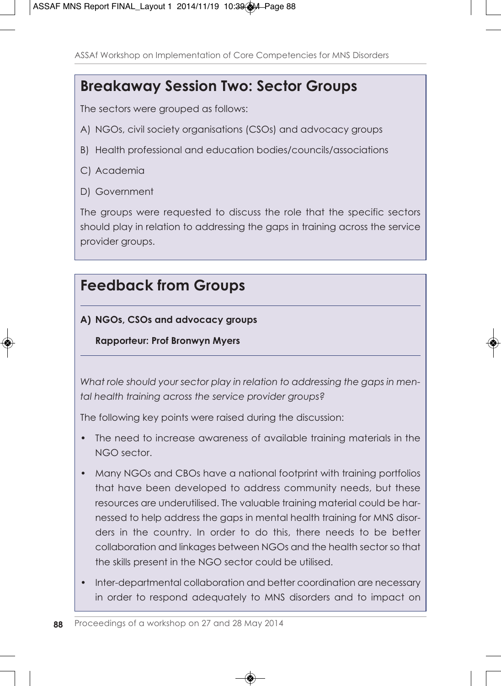### **Breakaway Session Two: Sector Groups**

The sectors were grouped as follows:

- A) NGOs, civil society organisations (CSOs) and advocacy groups
- B) Health professional and education bodies/councils/associations
- C) Academia
- D) Government

The groups were requested to discuss the role that the specific sectors should play in relation to addressing the gaps in training across the service provider groups.

### **Feedback from Groups**

### **A) NGOs, CSOs and advocacy groups**

**Rapporteur: Prof Bronwyn Myers**

*What role should your sector play in relation to addressing the gaps in mental health training across the service provider groups?*

The following key points were raised during the discussion:

- The need to increase awareness of available training materials in the NGO sector.
- Many NGOs and CBOs have a national footprint with training portfolios that have been developed to address community needs, but these resources are underutilised. The valuable training material could be harnessed to help address the gaps in mental health training for MNS disorders in the country. In order to do this, there needs to be better collaboration and linkages between NGOs and the health sector so that the skills present in the NGO sector could be utilised.
- Inter-departmental collaboration and better coordination are necessary in order to respond adequately to MNS disorders and to impact on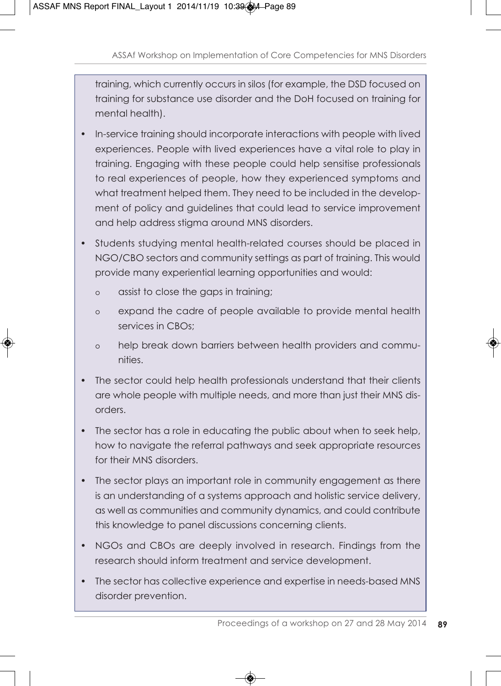training, which currently occurs in silos (for example, the DSD focused on training for substance use disorder and the DoH focused on training for mental health).

- In-service training should incorporate interactions with people with lived experiences. People with lived experiences have a vital role to play in training. Engaging with these people could help sensitise professionals to real experiences of people, how they experienced symptoms and what treatment helped them. They need to be included in the development of policy and guidelines that could lead to service improvement and help address stigma around MNS disorders.
- Students studying mental health-related courses should be placed in NGO/CBO sectors and community settings as part of training. This would provide many experiential learning opportunities and would:
	- o assist to close the gaps in training;
	- o expand the cadre of people available to provide mental health services in CBOs;
	- o help break down barriers between health providers and communities.
- The sector could help health professionals understand that their clients are whole people with multiple needs, and more than just their MNS disorders.
- The sector has a role in educating the public about when to seek help, how to navigate the referral pathways and seek appropriate resources for their MNS disorders.
- The sector plays an important role in community engagement as there is an understanding of a systems approach and holistic service delivery, as well as communities and community dynamics, and could contribute this knowledge to panel discussions concerning clients.
- NGOs and CBOs are deeply involved in research. Findings from the research should inform treatment and service development.
- The sector has collective experience and expertise in needs-based MNS disorder prevention.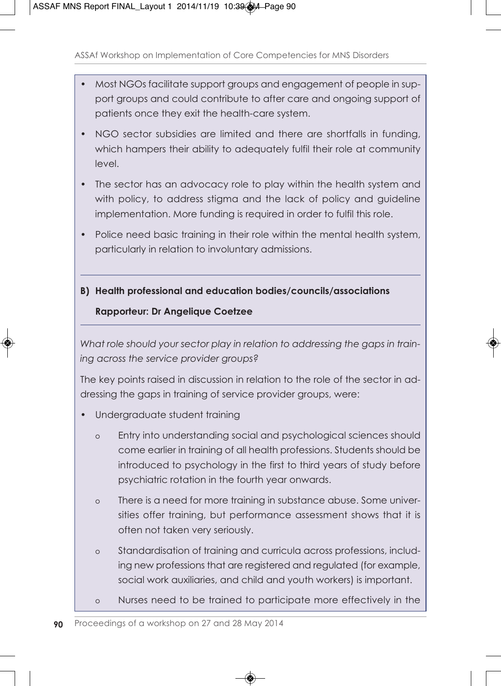- Most NGOs facilitate support groups and engagement of people in support groups and could contribute to after care and ongoing support of patients once they exit the health-care system.
- NGO sector subsidies are limited and there are shortfalls in funding, which hampers their ability to adequately fulfil their role at community level.
- The sector has an advocacy role to play within the health system and with policy, to address stigma and the lack of policy and guideline implementation. More funding is required in order to fulfil this role.
- Police need basic training in their role within the mental health system, particularly in relation to involuntary admissions.
- **B) Health professional and education bodies/councils/associations Rapporteur: Dr Angelique Coetzee**

*What role should your sector play in relation to addressing the gaps in training across the service provider groups?*

The key points raised in discussion in relation to the role of the sector in addressing the gaps in training of service provider groups, were:

- Undergraduate student training
	- o Entry into understanding social and psychological sciences should come earlier in training of all health professions. Students should be introduced to psychology in the first to third years of study before psychiatric rotation in the fourth year onwards.
	- o There is a need for more training in substance abuse. Some universities offer training, but performance assessment shows that it is often not taken very seriously.
	- o Standardisation of training and curricula across professions, including new professions that are registered and regulated (for example, social work auxiliaries, and child and youth workers) is important.
	- o Nurses need to be trained to participate more effectively in the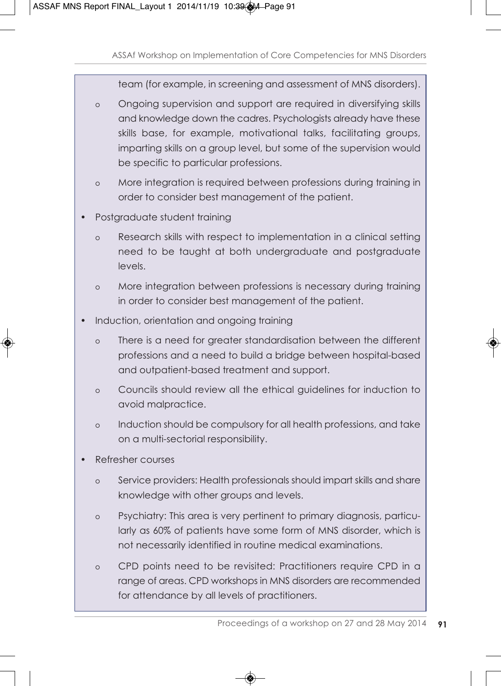team (for example, in screening and assessment of MNS disorders).

- o Ongoing supervision and support are required in diversifying skills and knowledge down the cadres. Psychologists already have these skills base, for example, motivational talks, facilitating groups, imparting skills on a group level, but some of the supervision would be specific to particular professions.
- o More integration is required between professions during training in order to consider best management of the patient.
- Postgraduate student training
	- o Research skills with respect to implementation in a clinical setting need to be taught at both undergraduate and postgraduate levels.
	- o More integration between professions is necessary during training in order to consider best management of the patient.
- Induction, orientation and ongoing training
	- o There is a need for greater standardisation between the different professions and a need to build a bridge between hospital-based and outpatient-based treatment and support.
	- o Councils should review all the ethical guidelines for induction to avoid malpractice.
	- o Induction should be compulsory for all health professions, and take on a multi-sectorial responsibility.
- Refresher courses
	- o Service providers: Health professionals should impart skills and share knowledge with other groups and levels.
	- o Psychiatry: This area is very pertinent to primary diagnosis, particularly as 60% of patients have some form of MNS disorder, which is not necessarily identified in routine medical examinations.
	- o CPD points need to be revisited: Practitioners require CPD in a range of areas. CPD workshops in MNS disorders are recommended for attendance by all levels of practitioners.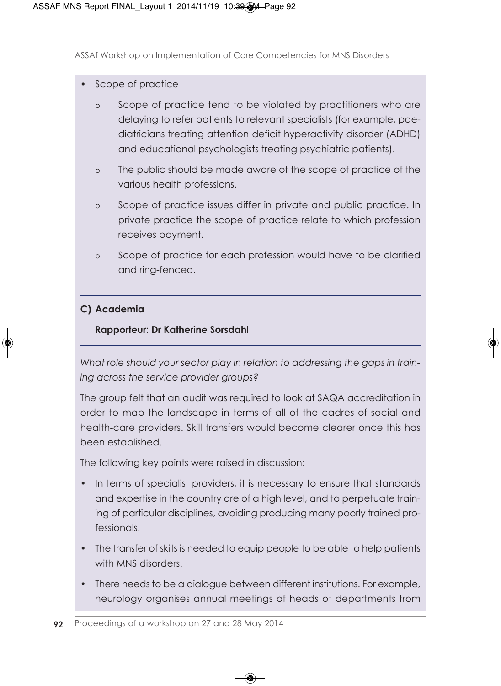#### Scope of practice

- o Scope of practice tend to be violated by practitioners who are delaying to refer patients to relevant specialists (for example, paediatricians treating attention deficit hyperactivity disorder (ADHD) and educational psychologists treating psychiatric patients).
- o The public should be made aware of the scope of practice of the various health professions.
- o Scope of practice issues differ in private and public practice. In private practice the scope of practice relate to which profession receives payment.
- o Scope of practice for each profession would have to be clarified and ring-fenced.

#### **C) Academia**

#### **Rapporteur: Dr Katherine Sorsdahl**

*What role should your sector play in relation to addressing the gaps in training across the service provider groups?*

The group felt that an audit was required to look at SAQA accreditation in order to map the landscape in terms of all of the cadres of social and health-care providers. Skill transfers would become clearer once this has been established.

The following key points were raised in discussion:

- In terms of specialist providers, it is necessary to ensure that standards and expertise in the country are of a high level, and to perpetuate training of particular disciplines, avoiding producing many poorly trained professionals.
- The transfer of skills is needed to equip people to be able to help patients with MNS disorders
- There needs to be a dialogue between different institutions. For example, neurology organises annual meetings of heads of departments from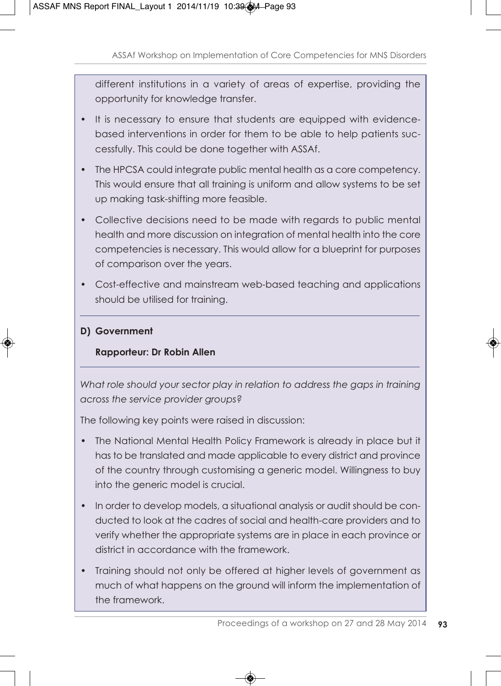different institutions in a variety of areas of expertise, providing the opportunity for knowledge transfer.

- It is necessary to ensure that students are equipped with evidencebased interventions in order for them to be able to help patients successfully. This could be done together with ASSAf.
- The HPCSA could integrate public mental health as a core competency. This would ensure that all training is uniform and allow systems to be set up making task-shifting more feasible.
- Collective decisions need to be made with regards to public mental health and more discussion on integration of mental health into the core competencies is necessary. This would allow for a blueprint for purposes of comparison over the years.
- Cost-effective and mainstream web-based teaching and applications should be utilised for training.

### **D) Government**

### **Rapporteur: Dr Robin Allen**

*What role should your sector play in relation to address the gaps in training across the service provider groups?*

The following key points were raised in discussion:

- The National Mental Health Policy Framework is already in place but it has to be translated and made applicable to every district and province of the country through customising a generic model. Willingness to buy into the generic model is crucial.
- In order to develop models, a situational analysis or audit should be conducted to look at the cadres of social and health-care providers and to verify whether the appropriate systems are in place in each province or district in accordance with the framework.
- Training should not only be offered at higher levels of government as much of what happens on the ground will inform the implementation of the framework.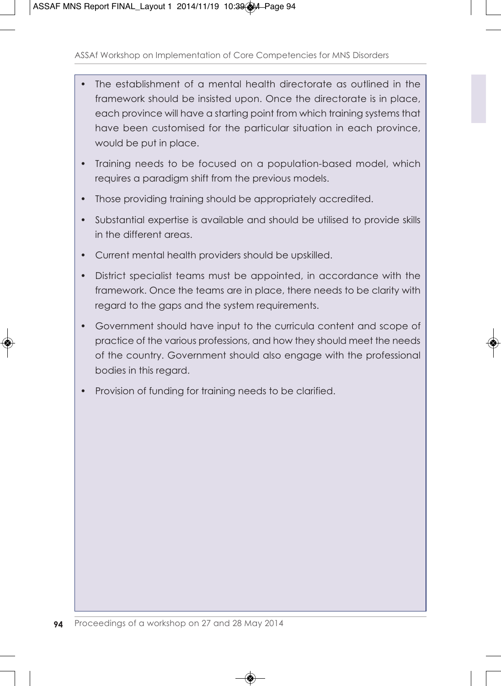- The establishment of a mental health directorate as outlined in the framework should be insisted upon. Once the directorate is in place, each province will have a starting point from which training systems that have been customised for the particular situation in each province, would be put in place.
- Training needs to be focused on a population-based model, which requires a paradigm shift from the previous models.
- Those providing training should be appropriately accredited.
- Substantial expertise is available and should be utilised to provide skills in the different areas.
- Current mental health providers should be upskilled.
- District specialist teams must be appointed, in accordance with the framework. Once the teams are in place, there needs to be clarity with regard to the gaps and the system requirements.
- Government should have input to the curricula content and scope of practice of the various professions, and how they should meet the needs of the country. Government should also engage with the professional bodies in this regard.
- Provision of funding for training needs to be clarified.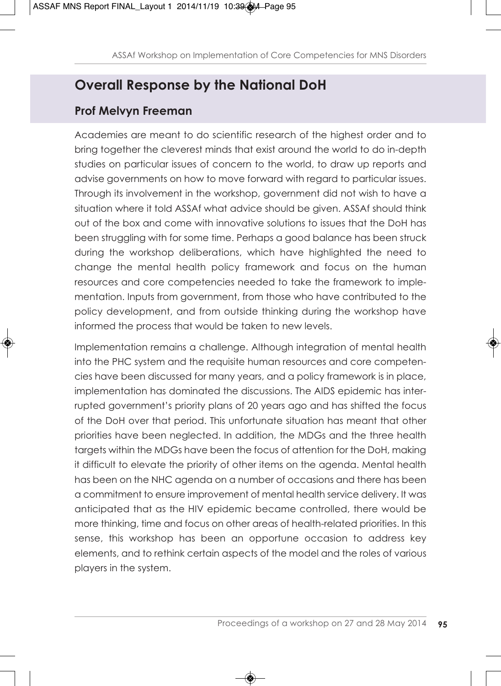### **Overall Response by the National DoH**

### **Prof Melvyn Freeman**

Academies are meant to do scientific research of the highest order and to bring together the cleverest minds that exist around the world to do in-depth studies on particular issues of concern to the world, to draw up reports and advise governments on how to move forward with regard to particular issues. Through its involvement in the workshop, government did not wish to have a situation where it told ASSAf what advice should be given. ASSAf should think out of the box and come with innovative solutions to issues that the DoH has been struggling with for some time. Perhaps a good balance has been struck during the workshop deliberations, which have highlighted the need to change the mental health policy framework and focus on the human resources and core competencies needed to take the framework to implementation. Inputs from government, from those who have contributed to the policy development, and from outside thinking during the workshop have informed the process that would be taken to new levels.

Implementation remains a challenge. Although integration of mental health into the PHC system and the requisite human resources and core competencies have been discussed for many years, and a policy framework is in place, implementation has dominated the discussions. The AIDS epidemic has interrupted government's priority plans of 20 years ago and has shifted the focus of the DoH over that period. This unfortunate situation has meant that other priorities have been neglected. In addition, the MDGs and the three health targets within the MDGs have been the focus of attention for the DoH, making it difficult to elevate the priority of other items on the agenda. Mental health has been on the NHC agenda on a number of occasions and there has been a commitment to ensure improvement of mental health service delivery. It was anticipated that as the HIV epidemic became controlled, there would be more thinking, time and focus on other areas of health-related priorities. In this sense, this workshop has been an opportune occasion to address key elements, and to rethink certain aspects of the model and the roles of various players in the system.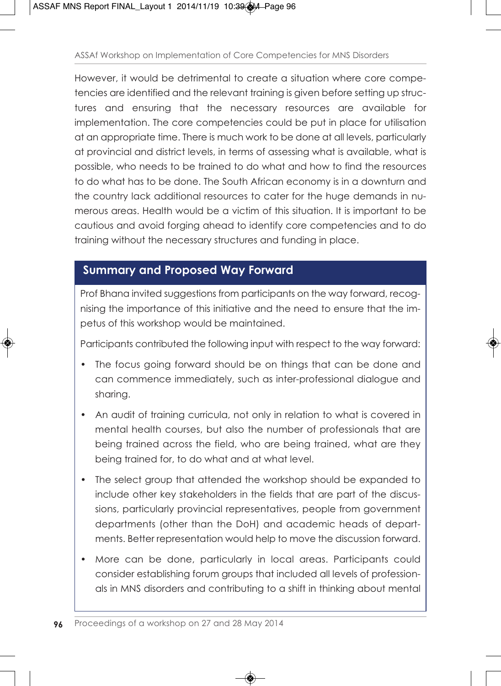However, it would be detrimental to create a situation where core competencies are identified and the relevant training is given before setting up structures and ensuring that the necessary resources are available for implementation. The core competencies could be put in place for utilisation at an appropriate time. There is much work to be done at all levels, particularly at provincial and district levels, in terms of assessing what is available, what is possible, who needs to be trained to do what and how to find the resources to do what has to be done. The South African economy is in a downturn and the country lack additional resources to cater for the huge demands in numerous areas. Health would be a victim of this situation. It is important to be cautious and avoid forging ahead to identify core competencies and to do training without the necessary structures and funding in place.

### **Summary and Proposed Way Forward**

Prof Bhana invited suggestions from participants on the way forward, recognising the importance of this initiative and the need to ensure that the impetus of this workshop would be maintained.

Participants contributed the following input with respect to the way forward:

- The focus going forward should be on things that can be done and can commence immediately, such as inter-professional dialogue and sharing.
- An audit of training curricula, not only in relation to what is covered in mental health courses, but also the number of professionals that are being trained across the field, who are being trained, what are they being trained for, to do what and at what level.
- The select group that attended the workshop should be expanded to include other key stakeholders in the fields that are part of the discussions, particularly provincial representatives, people from government departments (other than the DoH) and academic heads of departments. Better representation would help to move the discussion forward.
- More can be done, particularly in local areas. Participants could consider establishing forum groups that included all levels of professionals in MNS disorders and contributing to a shift in thinking about mental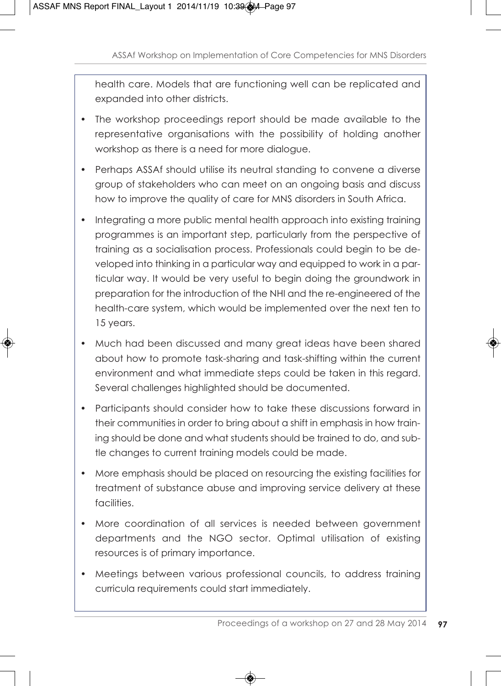health care. Models that are functioning well can be replicated and expanded into other districts.

- The workshop proceedings report should be made available to the representative organisations with the possibility of holding another workshop as there is a need for more dialogue.
- Perhaps ASSAf should utilise its neutral standing to convene a diverse group of stakeholders who can meet on an ongoing basis and discuss how to improve the quality of care for MNS disorders in South Africa.
- Integrating a more public mental health approach into existing training programmes is an important step, particularly from the perspective of training as a socialisation process. Professionals could begin to be developed into thinking in a particular way and equipped to work in a particular way. It would be very useful to begin doing the groundwork in preparation for the introduction of the NHI and the re-engineered of the health-care system, which would be implemented over the next ten to 15 years.
- Much had been discussed and many great ideas have been shared about how to promote task-sharing and task-shifting within the current environment and what immediate steps could be taken in this regard. Several challenges highlighted should be documented.
- Participants should consider how to take these discussions forward in their communities in order to bring about a shift in emphasis in how training should be done and what students should be trained to do, and subtle changes to current training models could be made.
- More emphasis should be placed on resourcing the existing facilities for treatment of substance abuse and improving service delivery at these facilities.
- More coordination of all services is needed between government departments and the NGO sector. Optimal utilisation of existing resources is of primary importance.
- Meetings between various professional councils, to address training curricula requirements could start immediately.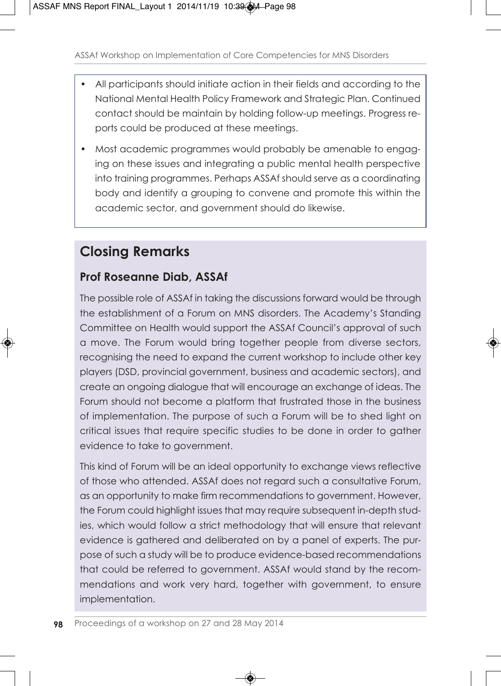- All participants should initiate action in their fields and according to the National Mental Health Policy Framework and Strategic Plan. Continued contact should be maintain by holding follow-up meetings. Progress reports could be produced at these meetings.
- Most academic programmes would probably be amenable to engaging on these issues and integrating a public mental health perspective into training programmes. Perhaps ASSAf should serve as a coordinating body and identify a grouping to convene and promote this within the academic sector, and government should do likewise.

### **Closing Remarks**

### **Prof Roseanne Diab, ASSAf**

The possible role of ASSAf in taking the discussions forward would be through the establishment of a Forum on MNS disorders. The Academy's Standing Committee on Health would support the ASSAf Council's approval of such a move. The Forum would bring together people from diverse sectors, recognising the need to expand the current workshop to include other key players (DSD, provincial government, business and academic sectors), and create an ongoing dialogue that will encourage an exchange of ideas. The Forum should not become a platform that frustrated those in the business of implementation. The purpose of such a Forum will be to shed light on critical issues that require specific studies to be done in order to gather evidence to take to government.

This kind of Forum will be an ideal opportunity to exchange views reflective of those who attended. ASSAf does not regard such a consultative Forum, as an opportunity to make firm recommendations to government. However, the Forum could highlight issues that may require subsequent in-depth studies, which would follow a strict methodology that will ensure that relevant evidence is gathered and deliberated on by a panel of experts. The purpose of such a study will be to produce evidence-based recommendations that could be referred to government. ASSAf would stand by the recommendations and work very hard, together with government, to ensure implementation.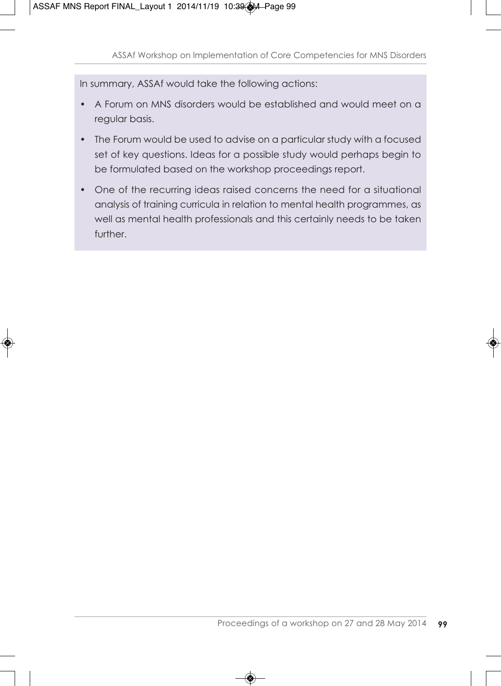In summary, ASSAf would take the following actions:

- A Forum on MNS disorders would be established and would meet on a regular basis.
- The Forum would be used to advise on a particular study with a focused set of key questions. Ideas for a possible study would perhaps begin to be formulated based on the workshop proceedings report.
- One of the recurring ideas raised concerns the need for a situational analysis of training curricula in relation to mental health programmes, as well as mental health professionals and this certainly needs to be taken further.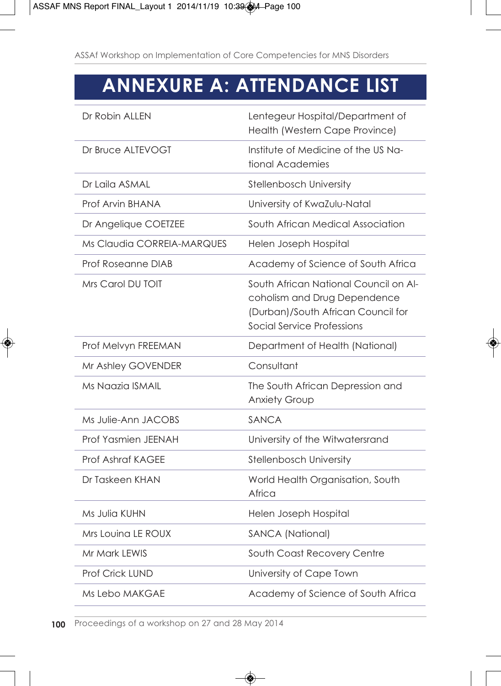# **ANNEXURE A: ATTENDANCE LIST**

| Dr Robin ALLEN             | Lentegeur Hospital/Department of<br>Health (Western Cape Province)                                                                        |
|----------------------------|-------------------------------------------------------------------------------------------------------------------------------------------|
| Dr Bruce ALTEVOGT          | Institute of Medicine of the US Na-<br>tional Academies                                                                                   |
| Dr Laila ASMAL             | <b>Stellenbosch University</b>                                                                                                            |
| Prof Arvin BHANA           | University of KwaZulu-Natal                                                                                                               |
| Dr Angelique COETZEE       | South African Medical Association                                                                                                         |
| Ms Claudia CORREIA-MARQUES | Helen Joseph Hospital                                                                                                                     |
| Prof Roseanne DIAB         | Academy of Science of South Africa                                                                                                        |
| Mrs Carol DU TOIT          | South African National Council on Al-<br>coholism and Drug Dependence<br>(Durban)/South African Council for<br>Social Service Professions |
| Prof Melvyn FREEMAN        | Department of Health (National)                                                                                                           |
| Mr Ashley GOVENDER         | Consultant                                                                                                                                |
| Ms Naazia ISMAIL           | The South African Depression and<br><b>Anxiety Group</b>                                                                                  |
| Ms Julie-Ann JACOBS        | SANCA                                                                                                                                     |
|                            |                                                                                                                                           |
| Prof Yasmien JEENAH        | University of the Witwatersrand                                                                                                           |
| Prof Ashraf KAGEE          | Stellenbosch University                                                                                                                   |
| Dr Taskeen KHAN            | World Health Organisation, South<br>Africa                                                                                                |
| Ms Julia KUHN              | Helen Joseph Hospital                                                                                                                     |
| Mrs Louina LE ROUX         | <b>SANCA (National)</b>                                                                                                                   |
| Mr Mark LEWIS              | South Coast Recovery Centre                                                                                                               |
| <b>Prof Crick LUND</b>     | University of Cape Town                                                                                                                   |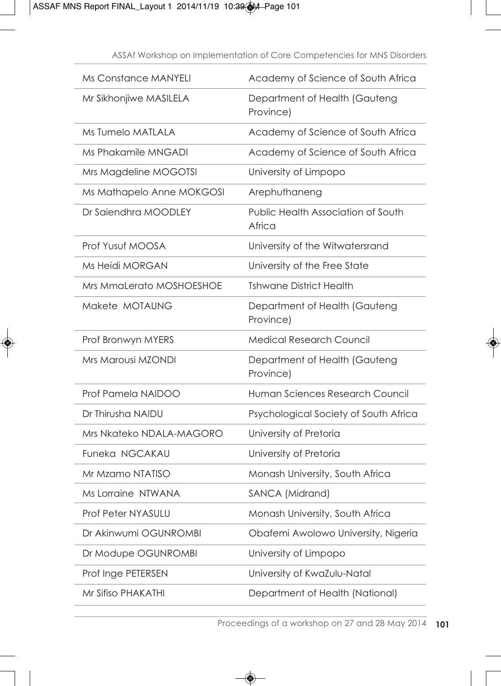| Ms Constance MANYELI      | Academy of Science of South Africa           |
|---------------------------|----------------------------------------------|
| Mr Sikhonjiwe MASILELA    | Department of Health (Gauteng<br>Province)   |
| Ms Tumelo MATLALA         | Academy of Science of South Africa           |
| Ms Phakamile MNGADI       | Academy of Science of South Africa           |
| Mrs Magdeline MOGOTSI     | University of Limpopo                        |
| Ms Mathapelo Anne MOKGOSI | Arephuthaneng                                |
| Dr Saiendhra MOODLEY      | Public Health Association of South<br>Africa |
| Prof Yusuf MOOSA          | University of the Witwatersrand              |
| Ms Heidi MORGAN           | University of the Free State                 |
| Mrs MmaLerato MOSHOESHOE  | <b>Tshwane District Health</b>               |
| Makete MOTAUNG            | Department of Health (Gauteng<br>Province)   |
| Prof Bronwyn MYERS        | <b>Medical Research Council</b>              |
| Mrs Marousi MZONDI        | Department of Health (Gauteng<br>Province)   |
| Prof Pamela NAIDOO        | Human Sciences Research Council              |
| Dr Thirusha NAIDU         | Psychological Society of South Africa        |
| Mrs Nkateko NDALA-MAGORO  | University of Pretoria                       |
| Funeka NGCAKAU            | University of Pretoria                       |
| Mr Mzamo NTATISO          | Monash University, South Africa              |
| Ms Lorraine NTWANA        | SANCA (Midrand)                              |
| <b>Prof Peter NYASULU</b> | Monash University, South Africa              |
| Dr Akinwumi OGUNROMBI     | Obafemi Awolowo University, Nigeria          |
| Dr Modupe OGUNROMBI       | University of Limpopo                        |
| Prof Inge PETERSEN        | University of KwaZulu-Natal                  |
| Mr Sifiso PHAKATHI        | Department of Health (National)              |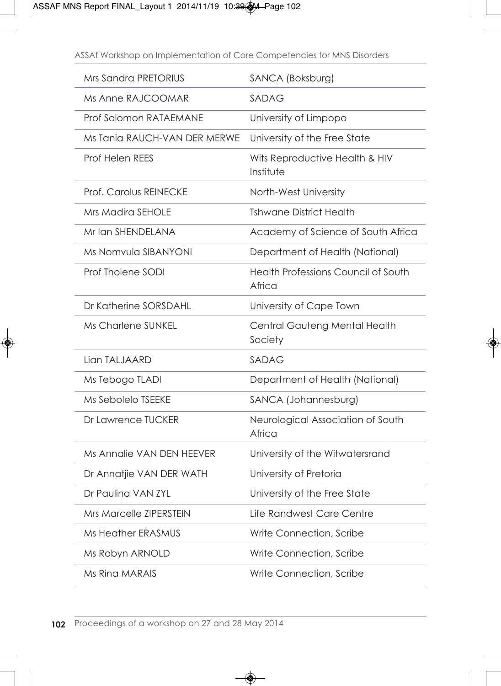| Mrs Sandra PRETORIUS           | SANCA (Boksburg)                              |
|--------------------------------|-----------------------------------------------|
| Ms Anne RAJCOOMAR              | SADAG                                         |
| Prof Solomon RATAEMANE         | University of Limpopo                         |
| Ms Tania RAUCH-VAN DER MERWE   | University of the Free State                  |
| <b>Prof Helen REES</b>         | Wits Reproductive Health & HIV<br>Institute   |
| Prof. Carolus REINECKE         | North-West University                         |
| <b>Mrs Madira SEHOLE</b>       | <b>Tshwane District Health</b>                |
| Mr Ian SHENDELANA              | Academy of Science of South Africa            |
| Ms Nomvula SIBANYONI           | Department of Health (National)               |
| Prof Tholene SODI              | Health Professions Council of South<br>Africa |
| Dr Katherine SORSDAHL          | University of Cape Town                       |
| Ms Charlene SUNKEL             | Central Gauteng Mental Health<br>Society      |
| Lian TALJAARD                  | <b>SADAG</b>                                  |
| Ms Tebogo TLADI                | Department of Health (National)               |
| Ms Sebolelo TSEEKE             | SANCA (Johannesburg)                          |
| Dr Lawrence TUCKER             | Neurological Association of South<br>Africa   |
| Ms Annalie VAN DEN HEEVER      | University of the Witwatersrand               |
| Dr Annatjie VAN DER WATH       | University of Pretoria                        |
| Dr Paulina VAN ZYL             | University of the Free State                  |
| <b>Mrs Marcelle ZIPERSTEIN</b> | Life Randwest Care Centre                     |
| <b>Ms Heather ERASMUS</b>      | Write Connection, Scribe                      |
| Ms Robyn ARNOLD                | Write Connection, Scribe                      |
| Ms Ring MARAIS                 | Write Connection, Scribe                      |